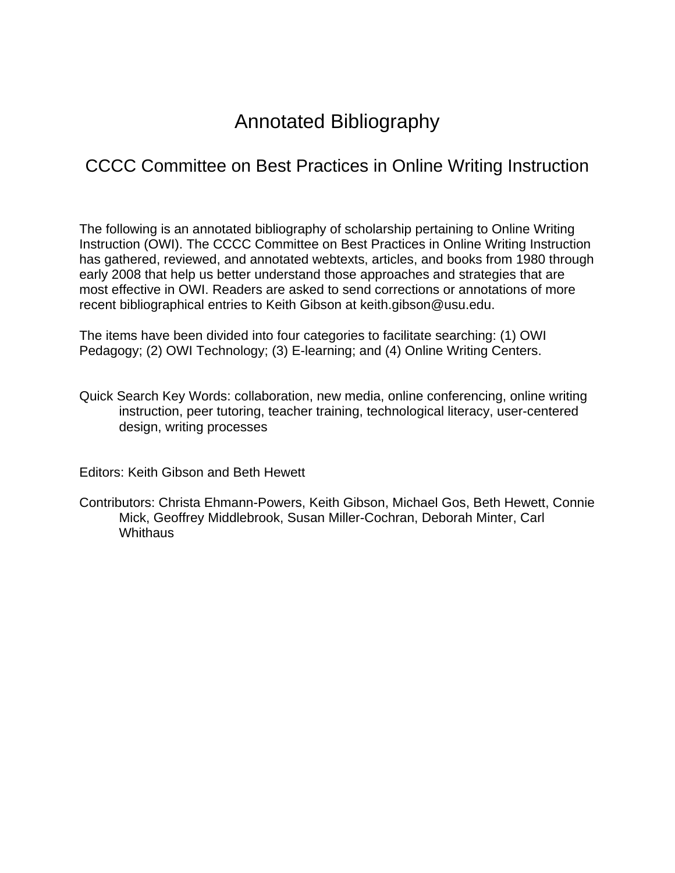# Annotated Bibliography

# CCCC Committee on Best Practices in Online Writing Instruction

The following is an annotated bibliography of scholarship pertaining to Online Writing Instruction (OWI). The CCCC Committee on Best Practices in Online Writing Instruction has gathered, reviewed, and annotated webtexts, articles, and books from 1980 through early 2008 that help us better understand those approaches and strategies that are most effective in OWI. Readers are asked to send corrections or annotations of more recent bibliographical entries to Keith Gibson at keith.gibson@usu.edu.

The items have been divided into four categories to facilitate searching: (1) OWI Pedagogy; (2) OWI Technology; (3) E-learning; and (4) Online Writing Centers.

Quick Search Key Words: collaboration, new media, online conferencing, online writing instruction, peer tutoring, teacher training, technological literacy, user-centered design, writing processes

Editors: Keith Gibson and Beth Hewett

Contributors: Christa Ehmann-Powers, Keith Gibson, Michael Gos, Beth Hewett, Connie Mick, Geoffrey Middlebrook, Susan Miller-Cochran, Deborah Minter, Carl **Whithaus**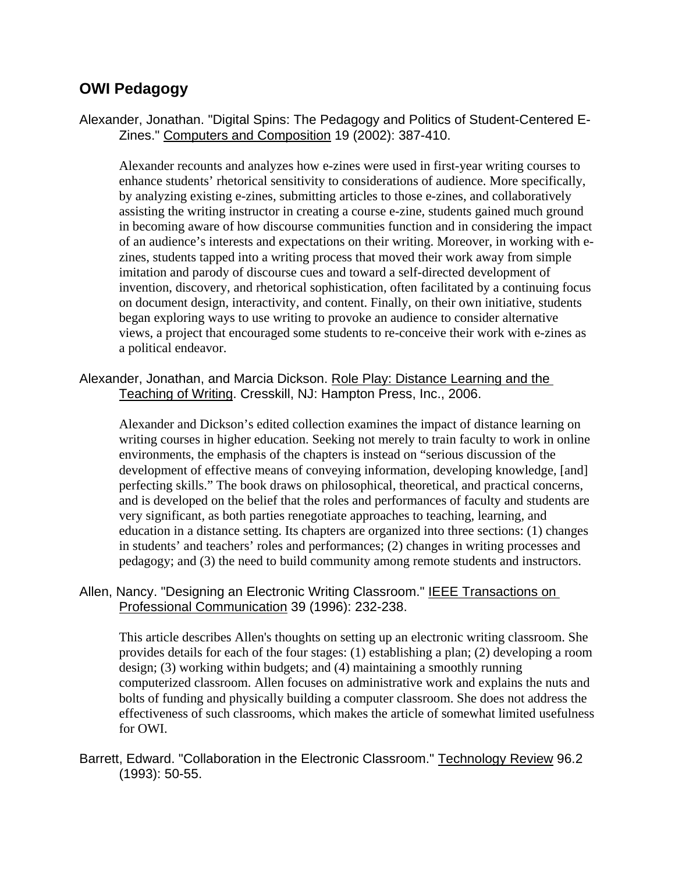# **OWI Pedagogy**

Alexander, Jonathan. "Digital Spins: The Pedagogy and Politics of Student-Centered E-Zines." Computers and Composition 19 (2002): 387-410.

Alexander recounts and analyzes how e-zines were used in first-year writing courses to enhance students' rhetorical sensitivity to considerations of audience. More specifically, by analyzing existing e-zines, submitting articles to those e-zines, and collaboratively assisting the writing instructor in creating a course e-zine, students gained much ground in becoming aware of how discourse communities function and in considering the impact of an audience's interests and expectations on their writing. Moreover, in working with ezines, students tapped into a writing process that moved their work away from simple imitation and parody of discourse cues and toward a self-directed development of invention, discovery, and rhetorical sophistication, often facilitated by a continuing focus on document design, interactivity, and content. Finally, on their own initiative, students began exploring ways to use writing to provoke an audience to consider alternative views, a project that encouraged some students to re-conceive their work with e-zines as a political endeavor.

Alexander, Jonathan, and Marcia Dickson. Role Play: Distance Learning and the Teaching of Writing. Cresskill, NJ: Hampton Press, Inc., 2006.

Alexander and Dickson's edited collection examines the impact of distance learning on writing courses in higher education. Seeking not merely to train faculty to work in online environments, the emphasis of the chapters is instead on "serious discussion of the development of effective means of conveying information, developing knowledge, [and] perfecting skills." The book draws on philosophical, theoretical, and practical concerns, and is developed on the belief that the roles and performances of faculty and students are very significant, as both parties renegotiate approaches to teaching, learning, and education in a distance setting. Its chapters are organized into three sections: (1) changes in students' and teachers' roles and performances; (2) changes in writing processes and pedagogy; and (3) the need to build community among remote students and instructors.

#### Allen, Nancy. "Designing an Electronic Writing Classroom." IEEE Transactions on Professional Communication 39 (1996): 232-238.

This article describes Allen's thoughts on setting up an electronic writing classroom. She provides details for each of the four stages: (1) establishing a plan; (2) developing a room design; (3) working within budgets; and (4) maintaining a smoothly running computerized classroom. Allen focuses on administrative work and explains the nuts and bolts of funding and physically building a computer classroom. She does not address the effectiveness of such classrooms, which makes the article of somewhat limited usefulness for OWI.

Barrett, Edward. "Collaboration in the Electronic Classroom." Technology Review 96.2 (1993): 50-55.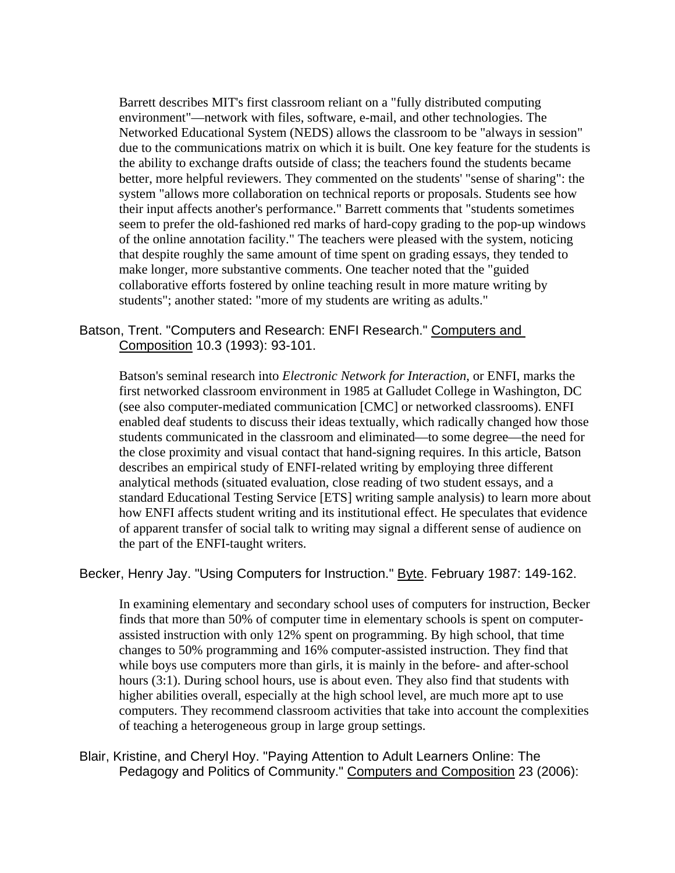Barrett describes MIT's first classroom reliant on a "fully distributed computing environment"—network with files, software, e-mail, and other technologies. The Networked Educational System (NEDS) allows the classroom to be "always in session" due to the communications matrix on which it is built. One key feature for the students is the ability to exchange drafts outside of class; the teachers found the students became better, more helpful reviewers. They commented on the students' "sense of sharing": the system "allows more collaboration on technical reports or proposals. Students see how their input affects another's performance." Barrett comments that "students sometimes seem to prefer the old-fashioned red marks of hard-copy grading to the pop-up windows of the online annotation facility." The teachers were pleased with the system, noticing that despite roughly the same amount of time spent on grading essays, they tended to make longer, more substantive comments. One teacher noted that the "guided collaborative efforts fostered by online teaching result in more mature writing by students"; another stated: "more of my students are writing as adults."

# Batson, Trent. "Computers and Research: ENFI Research." Computers and Composition 10.3 (1993): 93-101.

Batson's seminal research into *Electronic Network for Interaction*, or ENFI, marks the first networked classroom environment in 1985 at Galludet College in Washington, DC (see also computer-mediated communication [CMC] or networked classrooms). ENFI enabled deaf students to discuss their ideas textually, which radically changed how those students communicated in the classroom and eliminated—to some degree—the need for the close proximity and visual contact that hand-signing requires. In this article, Batson describes an empirical study of ENFI-related writing by employing three different analytical methods (situated evaluation, close reading of two student essays, and a standard Educational Testing Service [ETS] writing sample analysis) to learn more about how ENFI affects student writing and its institutional effect. He speculates that evidence of apparent transfer of social talk to writing may signal a different sense of audience on the part of the ENFI-taught writers.

#### Becker, Henry Jay. "Using Computers for Instruction." Byte. February 1987: 149-162.

In examining elementary and secondary school uses of computers for instruction, Becker finds that more than 50% of computer time in elementary schools is spent on computerassisted instruction with only 12% spent on programming. By high school, that time changes to 50% programming and 16% computer-assisted instruction. They find that while boys use computers more than girls, it is mainly in the before- and after-school hours (3:1). During school hours, use is about even. They also find that students with higher abilities overall, especially at the high school level, are much more apt to use computers. They recommend classroom activities that take into account the complexities of teaching a heterogeneous group in large group settings.

Blair, Kristine, and Cheryl Hoy. "Paying Attention to Adult Learners Online: The Pedagogy and Politics of Community." Computers and Composition 23 (2006):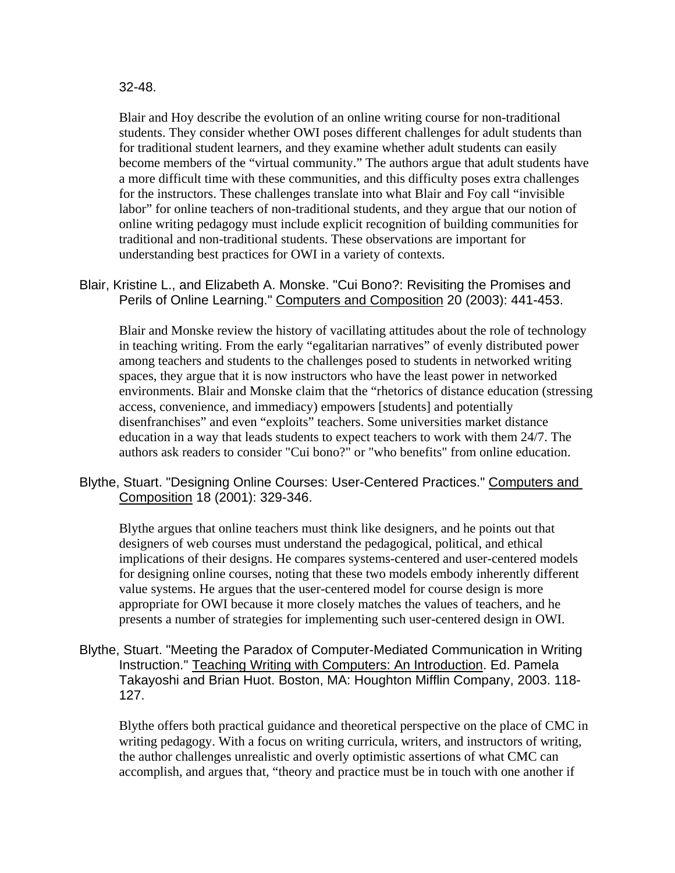#### 32-48.

Blair and Hoy describe the evolution of an online writing course for non-traditional students. They consider whether OWI poses different challenges for adult students than for traditional student learners, and they examine whether adult students can easily become members of the "virtual community." The authors argue that adult students have a more difficult time with these communities, and this difficulty poses extra challenges for the instructors. These challenges translate into what Blair and Foy call "invisible labor" for online teachers of non-traditional students, and they argue that our notion of online writing pedagogy must include explicit recognition of building communities for traditional and non-traditional students. These observations are important for understanding best practices for OWI in a variety of contexts.

Blair, Kristine L., and Elizabeth A. Monske. "Cui Bono?: Revisiting the Promises and Perils of Online Learning." Computers and Composition 20 (2003): 441-453.

Blair and Monske review the history of vacillating attitudes about the role of technology in teaching writing. From the early "egalitarian narratives" of evenly distributed power among teachers and students to the challenges posed to students in networked writing spaces, they argue that it is now instructors who have the least power in networked environments. Blair and Monske claim that the "rhetorics of distance education (stressing access, convenience, and immediacy) empowers [students] and potentially disenfranchises" and even "exploits" teachers. Some universities market distance education in a way that leads students to expect teachers to work with them 24/7. The authors ask readers to consider "Cui bono?" or "who benefits" from online education.

Blythe, Stuart. "Designing Online Courses: User-Centered Practices." Computers and Composition 18 (2001): 329-346.

Blythe argues that online teachers must think like designers, and he points out that designers of web courses must understand the pedagogical, political, and ethical implications of their designs. He compares systems-centered and user-centered models for designing online courses, noting that these two models embody inherently different value systems. He argues that the user-centered model for course design is more appropriate for OWI because it more closely matches the values of teachers, and he presents a number of strategies for implementing such user-centered design in OWI.

Blythe, Stuart. "Meeting the Paradox of Computer-Mediated Communication in Writing Instruction." Teaching Writing with Computers: An Introduction. Ed. Pamela Takayoshi and Brian Huot. Boston, MA: Houghton Mifflin Company, 2003. 118- 127.

Blythe offers both practical guidance and theoretical perspective on the place of CMC in writing pedagogy. With a focus on writing curricula, writers, and instructors of writing, the author challenges unrealistic and overly optimistic assertions of what CMC can accomplish, and argues that, "theory and practice must be in touch with one another if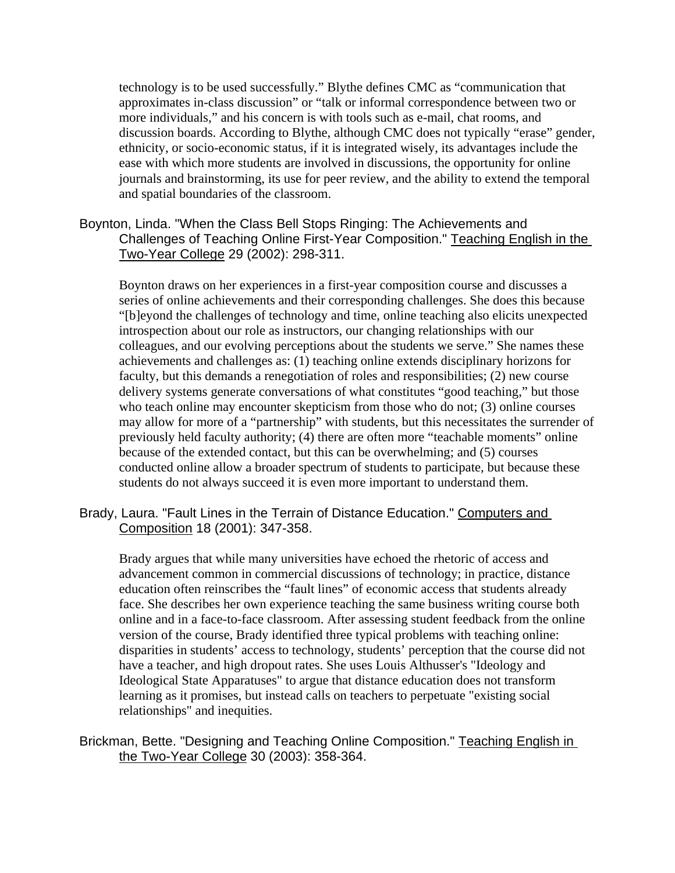technology is to be used successfully." Blythe defines CMC as "communication that approximates in-class discussion" or "talk or informal correspondence between two or more individuals," and his concern is with tools such as e-mail, chat rooms, and discussion boards. According to Blythe, although CMC does not typically "erase" gender, ethnicity, or socio-economic status, if it is integrated wisely, its advantages include the ease with which more students are involved in discussions, the opportunity for online journals and brainstorming, its use for peer review, and the ability to extend the temporal and spatial boundaries of the classroom.

# Boynton, Linda. "When the Class Bell Stops Ringing: The Achievements and Challenges of Teaching Online First-Year Composition." Teaching English in the Two-Year College 29 (2002): 298-311.

Boynton draws on her experiences in a first-year composition course and discusses a series of online achievements and their corresponding challenges. She does this because "[b]eyond the challenges of technology and time, online teaching also elicits unexpected introspection about our role as instructors, our changing relationships with our colleagues, and our evolving perceptions about the students we serve." She names these achievements and challenges as: (1) teaching online extends disciplinary horizons for faculty, but this demands a renegotiation of roles and responsibilities; (2) new course delivery systems generate conversations of what constitutes "good teaching," but those who teach online may encounter skepticism from those who do not; (3) online courses may allow for more of a "partnership" with students, but this necessitates the surrender of previously held faculty authority; (4) there are often more "teachable moments" online because of the extended contact, but this can be overwhelming; and (5) courses conducted online allow a broader spectrum of students to participate, but because these students do not always succeed it is even more important to understand them.

Brady, Laura. "Fault Lines in the Terrain of Distance Education." Computers and Composition 18 (2001): 347-358.

Brady argues that while many universities have echoed the rhetoric of access and advancement common in commercial discussions of technology; in practice, distance education often reinscribes the "fault lines" of economic access that students already face. She describes her own experience teaching the same business writing course both online and in a face-to-face classroom. After assessing student feedback from the online version of the course, Brady identified three typical problems with teaching online: disparities in students' access to technology, students' perception that the course did not have a teacher, and high dropout rates. She uses Louis Althusser's "Ideology and Ideological State Apparatuses" to argue that distance education does not transform learning as it promises, but instead calls on teachers to perpetuate "existing social relationships" and inequities.

Brickman, Bette. "Designing and Teaching Online Composition." Teaching English in the Two-Year College 30 (2003): 358-364.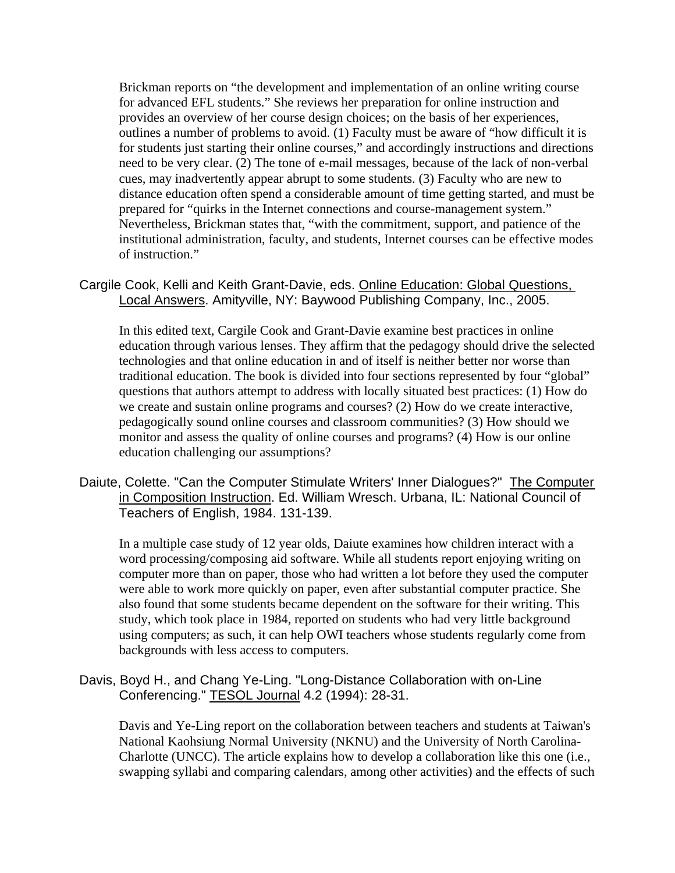Brickman reports on "the development and implementation of an online writing course for advanced EFL students." She reviews her preparation for online instruction and provides an overview of her course design choices; on the basis of her experiences, outlines a number of problems to avoid. (1) Faculty must be aware of "how difficult it is for students just starting their online courses," and accordingly instructions and directions need to be very clear. (2) The tone of e-mail messages, because of the lack of non-verbal cues, may inadvertently appear abrupt to some students. (3) Faculty who are new to distance education often spend a considerable amount of time getting started, and must be prepared for "quirks in the Internet connections and course-management system." Nevertheless, Brickman states that, "with the commitment, support, and patience of the institutional administration, faculty, and students, Internet courses can be effective modes of instruction."

Cargile Cook, Kelli and Keith Grant-Davie, eds. Online Education: Global Questions, Local Answers. Amityville, NY: Baywood Publishing Company, Inc., 2005.

In this edited text, Cargile Cook and Grant-Davie examine best practices in online education through various lenses. They affirm that the pedagogy should drive the selected technologies and that online education in and of itself is neither better nor worse than traditional education. The book is divided into four sections represented by four "global" questions that authors attempt to address with locally situated best practices: (1) How do we create and sustain online programs and courses? (2) How do we create interactive, pedagogically sound online courses and classroom communities? (3) How should we monitor and assess the quality of online courses and programs? (4) How is our online education challenging our assumptions?

Daiute, Colette. "Can the Computer Stimulate Writers' Inner Dialogues?" The Computer in Composition Instruction. Ed. William Wresch. Urbana, IL: National Council of Teachers of English, 1984. 131-139.

In a multiple case study of 12 year olds, Daiute examines how children interact with a word processing/composing aid software. While all students report enjoying writing on computer more than on paper, those who had written a lot before they used the computer were able to work more quickly on paper, even after substantial computer practice. She also found that some students became dependent on the software for their writing. This study, which took place in 1984, reported on students who had very little background using computers; as such, it can help OWI teachers whose students regularly come from backgrounds with less access to computers.

Davis, Boyd H., and Chang Ye-Ling. "Long-Distance Collaboration with on-Line Conferencing." TESOL Journal 4.2 (1994): 28-31.

Davis and Ye-Ling report on the collaboration between teachers and students at Taiwan's National Kaohsiung Normal University (NKNU) and the University of North Carolina-Charlotte (UNCC). The article explains how to develop a collaboration like this one (i.e., swapping syllabi and comparing calendars, among other activities) and the effects of such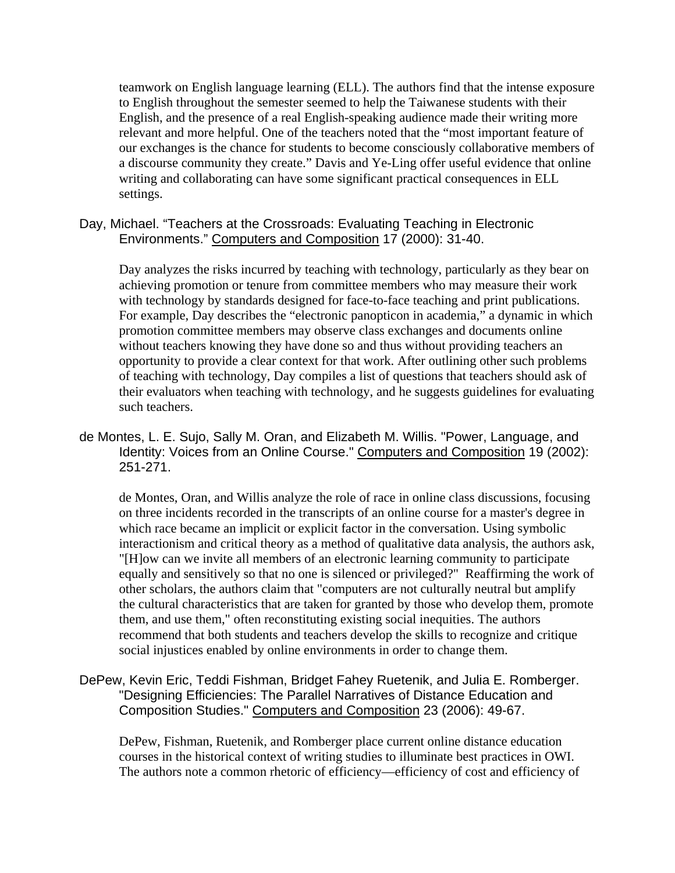teamwork on English language learning (ELL). The authors find that the intense exposure to English throughout the semester seemed to help the Taiwanese students with their English, and the presence of a real English-speaking audience made their writing more relevant and more helpful. One of the teachers noted that the "most important feature of our exchanges is the chance for students to become consciously collaborative members of a discourse community they create." Davis and Ye-Ling offer useful evidence that online writing and collaborating can have some significant practical consequences in ELL settings.

Day, Michael. "Teachers at the Crossroads: Evaluating Teaching in Electronic Environments." Computers and Composition 17 (2000): 31-40.

Day analyzes the risks incurred by teaching with technology, particularly as they bear on achieving promotion or tenure from committee members who may measure their work with technology by standards designed for face-to-face teaching and print publications. For example, Day describes the "electronic panopticon in academia," a dynamic in which promotion committee members may observe class exchanges and documents online without teachers knowing they have done so and thus without providing teachers an opportunity to provide a clear context for that work. After outlining other such problems of teaching with technology, Day compiles a list of questions that teachers should ask of their evaluators when teaching with technology, and he suggests guidelines for evaluating such teachers.

de Montes, L. E. Sujo, Sally M. Oran, and Elizabeth M. Willis. "Power, Language, and Identity: Voices from an Online Course." Computers and Composition 19 (2002): 251-271.

de Montes, Oran, and Willis analyze the role of race in online class discussions, focusing on three incidents recorded in the transcripts of an online course for a master's degree in which race became an implicit or explicit factor in the conversation. Using symbolic interactionism and critical theory as a method of qualitative data analysis, the authors ask, "[H]ow can we invite all members of an electronic learning community to participate equally and sensitively so that no one is silenced or privileged?" Reaffirming the work of other scholars, the authors claim that "computers are not culturally neutral but amplify the cultural characteristics that are taken for granted by those who develop them, promote them, and use them," often reconstituting existing social inequities. The authors recommend that both students and teachers develop the skills to recognize and critique social injustices enabled by online environments in order to change them.

DePew, Kevin Eric, Teddi Fishman, Bridget Fahey Ruetenik, and Julia E. Romberger. "Designing Efficiencies: The Parallel Narratives of Distance Education and Composition Studies." Computers and Composition 23 (2006): 49-67.

DePew, Fishman, Ruetenik, and Romberger place current online distance education courses in the historical context of writing studies to illuminate best practices in OWI. The authors note a common rhetoric of efficiency—efficiency of cost and efficiency of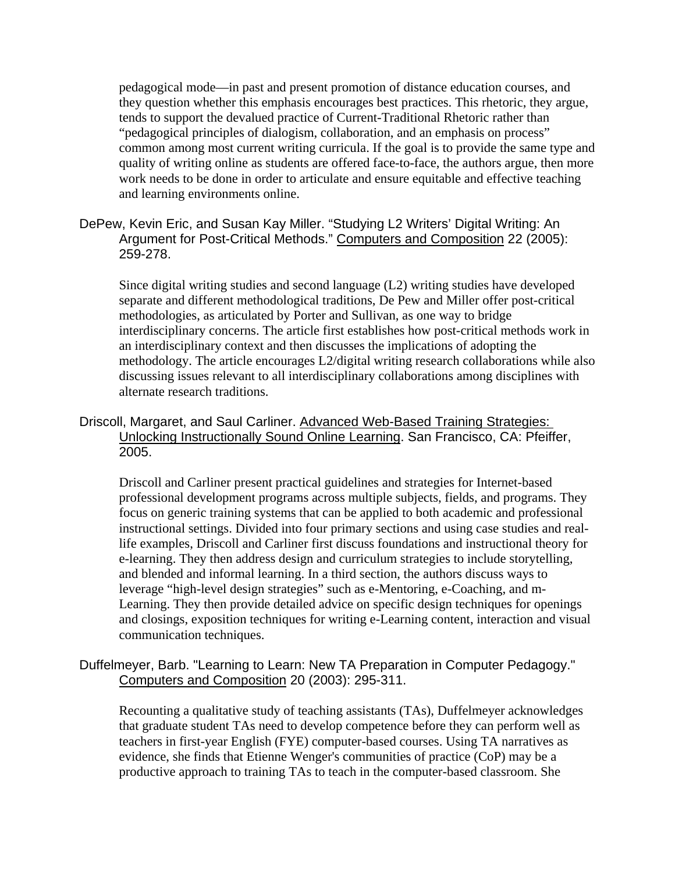pedagogical mode—in past and present promotion of distance education courses, and they question whether this emphasis encourages best practices. This rhetoric, they argue, tends to support the devalued practice of Current-Traditional Rhetoric rather than "pedagogical principles of dialogism, collaboration, and an emphasis on process" common among most current writing curricula. If the goal is to provide the same type and quality of writing online as students are offered face-to-face, the authors argue, then more work needs to be done in order to articulate and ensure equitable and effective teaching and learning environments online.

# DePew, Kevin Eric, and Susan Kay Miller. "Studying L2 Writers' Digital Writing: An Argument for Post-Critical Methods." Computers and Composition 22 (2005): 259-278.

Since digital writing studies and second language (L2) writing studies have developed separate and different methodological traditions, De Pew and Miller offer post-critical methodologies, as articulated by Porter and Sullivan, as one way to bridge interdisciplinary concerns. The article first establishes how post-critical methods work in an interdisciplinary context and then discusses the implications of adopting the methodology. The article encourages L2/digital writing research collaborations while also discussing issues relevant to all interdisciplinary collaborations among disciplines with alternate research traditions.

# Driscoll, Margaret, and Saul Carliner. Advanced Web-Based Training Strategies: Unlocking Instructionally Sound Online Learning. San Francisco, CA: Pfeiffer, 2005.

Driscoll and Carliner present practical guidelines and strategies for Internet-based professional development programs across multiple subjects, fields, and programs. They focus on generic training systems that can be applied to both academic and professional instructional settings. Divided into four primary sections and using case studies and reallife examples, Driscoll and Carliner first discuss foundations and instructional theory for e-learning. They then address design and curriculum strategies to include storytelling, and blended and informal learning. In a third section, the authors discuss ways to leverage "high-level design strategies" such as e-Mentoring, e-Coaching, and m-Learning. They then provide detailed advice on specific design techniques for openings and closings, exposition techniques for writing e-Learning content, interaction and visual communication techniques.

# Duffelmeyer, Barb. "Learning to Learn: New TA Preparation in Computer Pedagogy." Computers and Composition 20 (2003): 295-311.

Recounting a qualitative study of teaching assistants (TAs), Duffelmeyer acknowledges that graduate student TAs need to develop competence before they can perform well as teachers in first-year English (FYE) computer-based courses. Using TA narratives as evidence, she finds that Etienne Wenger's communities of practice (CoP) may be a productive approach to training TAs to teach in the computer-based classroom. She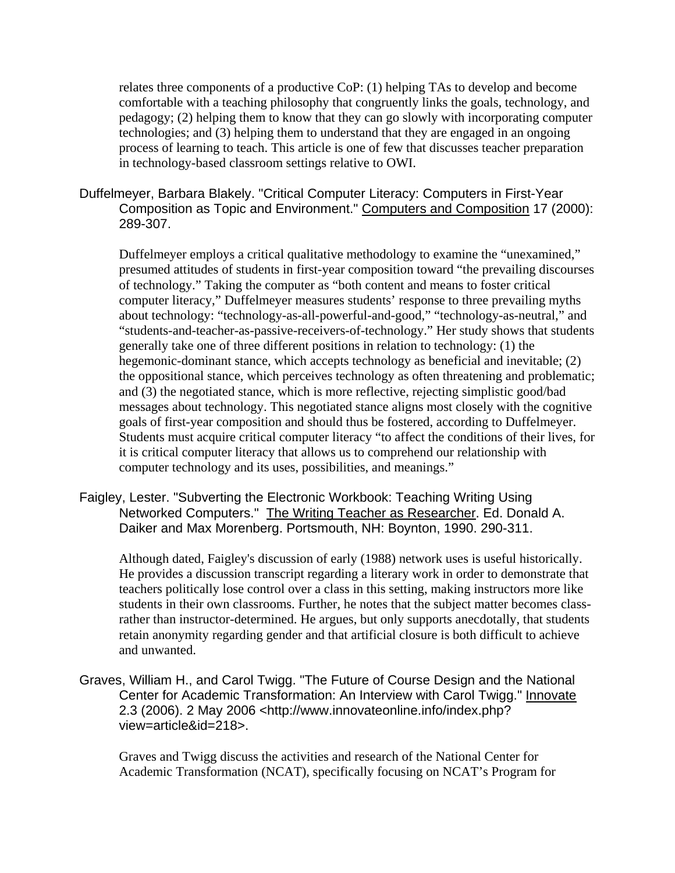relates three components of a productive CoP: (1) helping TAs to develop and become comfortable with a teaching philosophy that congruently links the goals, technology, and pedagogy; (2) helping them to know that they can go slowly with incorporating computer technologies; and (3) helping them to understand that they are engaged in an ongoing process of learning to teach. This article is one of few that discusses teacher preparation in technology-based classroom settings relative to OWI.

#### Duffelmeyer, Barbara Blakely. "Critical Computer Literacy: Computers in First-Year Composition as Topic and Environment." Computers and Composition 17 (2000): 289-307.

Duffelmeyer employs a critical qualitative methodology to examine the "unexamined," presumed attitudes of students in first-year composition toward "the prevailing discourses of technology." Taking the computer as "both content and means to foster critical computer literacy," Duffelmeyer measures students' response to three prevailing myths about technology: "technology-as-all-powerful-and-good," "technology-as-neutral," and "students-and-teacher-as-passive-receivers-of-technology." Her study shows that students generally take one of three different positions in relation to technology: (1) the hegemonic-dominant stance, which accepts technology as beneficial and inevitable; (2) the oppositional stance, which perceives technology as often threatening and problematic; and (3) the negotiated stance, which is more reflective, rejecting simplistic good/bad messages about technology. This negotiated stance aligns most closely with the cognitive goals of first-year composition and should thus be fostered, according to Duffelmeyer. Students must acquire critical computer literacy "to affect the conditions of their lives, for it is critical computer literacy that allows us to comprehend our relationship with computer technology and its uses, possibilities, and meanings."

#### Faigley, Lester. "Subverting the Electronic Workbook: Teaching Writing Using Networked Computers." The Writing Teacher as Researcher. Ed. Donald A. Daiker and Max Morenberg. Portsmouth, NH: Boynton, 1990. 290-311.

Although dated, Faigley's discussion of early (1988) network uses is useful historically. He provides a discussion transcript regarding a literary work in order to demonstrate that teachers politically lose control over a class in this setting, making instructors more like students in their own classrooms. Further, he notes that the subject matter becomes classrather than instructor-determined. He argues, but only supports anecdotally, that students retain anonymity regarding gender and that artificial closure is both difficult to achieve and unwanted.

Graves, William H., and Carol Twigg. "The Future of Course Design and the National Center for Academic Transformation: An Interview with Carol Twigg." Innovate 2.3 (2006). 2 May 2006 <http://www.innovateonline.info/index.php? view=article&id=218>.

Graves and Twigg discuss the activities and research of the National Center for Academic Transformation (NCAT), specifically focusing on NCAT's Program for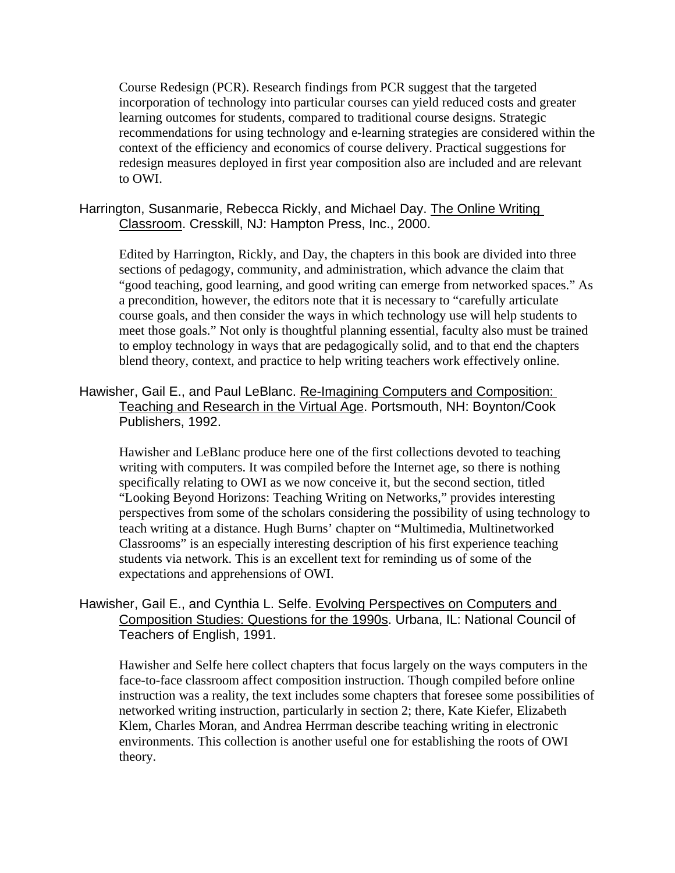Course Redesign (PCR). Research findings from PCR suggest that the targeted incorporation of technology into particular courses can yield reduced costs and greater learning outcomes for students, compared to traditional course designs. Strategic recommendations for using technology and e-learning strategies are considered within the context of the efficiency and economics of course delivery. Practical suggestions for redesign measures deployed in first year composition also are included and are relevant to OWI.

Harrington, Susanmarie, Rebecca Rickly, and Michael Day. The Online Writing Classroom. Cresskill, NJ: Hampton Press, Inc., 2000.

Edited by Harrington, Rickly, and Day, the chapters in this book are divided into three sections of pedagogy, community, and administration, which advance the claim that "good teaching, good learning, and good writing can emerge from networked spaces." As a precondition, however, the editors note that it is necessary to "carefully articulate course goals, and then consider the ways in which technology use will help students to meet those goals." Not only is thoughtful planning essential, faculty also must be trained to employ technology in ways that are pedagogically solid, and to that end the chapters blend theory, context, and practice to help writing teachers work effectively online.

# Hawisher, Gail E., and Paul LeBlanc. Re-Imagining Computers and Composition: Teaching and Research in the Virtual Age. Portsmouth, NH: Boynton/Cook Publishers, 1992.

Hawisher and LeBlanc produce here one of the first collections devoted to teaching writing with computers. It was compiled before the Internet age, so there is nothing specifically relating to OWI as we now conceive it, but the second section, titled "Looking Beyond Horizons: Teaching Writing on Networks," provides interesting perspectives from some of the scholars considering the possibility of using technology to teach writing at a distance. Hugh Burns' chapter on "Multimedia, Multinetworked Classrooms" is an especially interesting description of his first experience teaching students via network. This is an excellent text for reminding us of some of the expectations and apprehensions of OWI.

# Hawisher, Gail E., and Cynthia L. Selfe. Evolving Perspectives on Computers and Composition Studies: Questions for the 1990s. Urbana, IL: National Council of Teachers of English, 1991.

Hawisher and Selfe here collect chapters that focus largely on the ways computers in the face-to-face classroom affect composition instruction. Though compiled before online instruction was a reality, the text includes some chapters that foresee some possibilities of networked writing instruction, particularly in section 2; there, Kate Kiefer, Elizabeth Klem, Charles Moran, and Andrea Herrman describe teaching writing in electronic environments. This collection is another useful one for establishing the roots of OWI theory.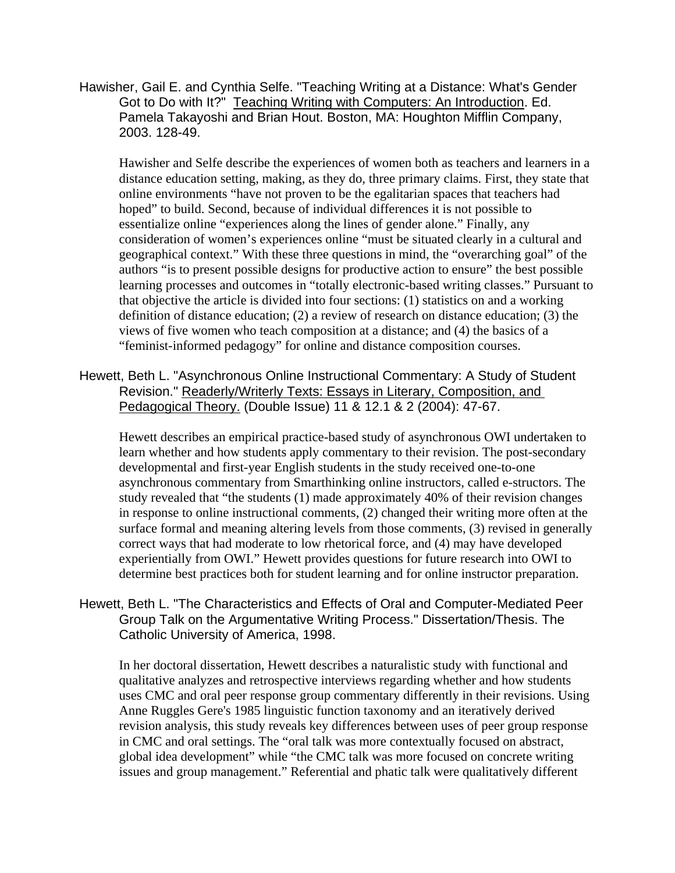Hawisher, Gail E. and Cynthia Selfe. "Teaching Writing at a Distance: What's Gender Got to Do with It?" Teaching Writing with Computers: An Introduction. Ed. Pamela Takayoshi and Brian Hout. Boston, MA: Houghton Mifflin Company, 2003. 128-49.

Hawisher and Selfe describe the experiences of women both as teachers and learners in a distance education setting, making, as they do, three primary claims. First, they state that online environments "have not proven to be the egalitarian spaces that teachers had hoped" to build. Second, because of individual differences it is not possible to essentialize online "experiences along the lines of gender alone." Finally, any consideration of women's experiences online "must be situated clearly in a cultural and geographical context." With these three questions in mind, the "overarching goal" of the authors "is to present possible designs for productive action to ensure" the best possible learning processes and outcomes in "totally electronic-based writing classes." Pursuant to that objective the article is divided into four sections: (1) statistics on and a working definition of distance education; (2) a review of research on distance education; (3) the views of five women who teach composition at a distance; and (4) the basics of a "feminist-informed pedagogy" for online and distance composition courses.

Hewett, Beth L. "Asynchronous Online Instructional Commentary: A Study of Student Revision." Readerly/Writerly Texts: Essays in Literary, Composition, and Pedagogical Theory. (Double Issue) 11 & 12.1 & 2 (2004): 47-67.

Hewett describes an empirical practice-based study of asynchronous OWI undertaken to learn whether and how students apply commentary to their revision. The post-secondary developmental and first-year English students in the study received one-to-one asynchronous commentary from Smarthinking online instructors, called e-structors. The study revealed that "the students (1) made approximately 40% of their revision changes in response to online instructional comments, (2) changed their writing more often at the surface formal and meaning altering levels from those comments, (3) revised in generally correct ways that had moderate to low rhetorical force, and (4) may have developed experientially from OWI." Hewett provides questions for future research into OWI to determine best practices both for student learning and for online instructor preparation.

Hewett, Beth L. "The Characteristics and Effects of Oral and Computer-Mediated Peer Group Talk on the Argumentative Writing Process." Dissertation/Thesis. The Catholic University of America, 1998.

In her doctoral dissertation, Hewett describes a naturalistic study with functional and qualitative analyzes and retrospective interviews regarding whether and how students uses CMC and oral peer response group commentary differently in their revisions. Using Anne Ruggles Gere's 1985 linguistic function taxonomy and an iteratively derived revision analysis, this study reveals key differences between uses of peer group response in CMC and oral settings. The "oral talk was more contextually focused on abstract, global idea development" while "the CMC talk was more focused on concrete writing issues and group management." Referential and phatic talk were qualitatively different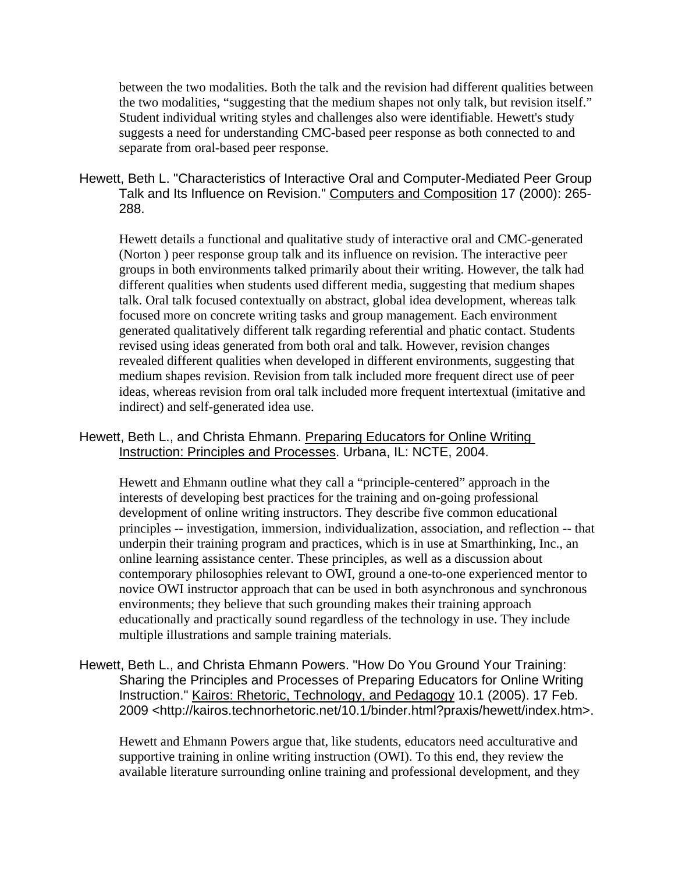between the two modalities. Both the talk and the revision had different qualities between the two modalities, "suggesting that the medium shapes not only talk, but revision itself." Student individual writing styles and challenges also were identifiable. Hewett's study suggests a need for understanding CMC-based peer response as both connected to and separate from oral-based peer response.

Hewett, Beth L. "Characteristics of Interactive Oral and Computer-Mediated Peer Group Talk and Its Influence on Revision." Computers and Composition 17 (2000): 265- 288.

Hewett details a functional and qualitative study of interactive oral and CMC-generated (Norton ) peer response group talk and its influence on revision. The interactive peer groups in both environments talked primarily about their writing. However, the talk had different qualities when students used different media, suggesting that medium shapes talk. Oral talk focused contextually on abstract, global idea development, whereas talk focused more on concrete writing tasks and group management. Each environment generated qualitatively different talk regarding referential and phatic contact. Students revised using ideas generated from both oral and talk. However, revision changes revealed different qualities when developed in different environments, suggesting that medium shapes revision. Revision from talk included more frequent direct use of peer ideas, whereas revision from oral talk included more frequent intertextual (imitative and indirect) and self-generated idea use.

# Hewett, Beth L., and Christa Ehmann. Preparing Educators for Online Writing Instruction: Principles and Processes. Urbana, IL: NCTE, 2004.

Hewett and Ehmann outline what they call a "principle-centered" approach in the interests of developing best practices for the training and on-going professional development of online writing instructors. They describe five common educational principles -- investigation, immersion, individualization, association, and reflection -- that underpin their training program and practices, which is in use at Smarthinking, Inc., an online learning assistance center. These principles, as well as a discussion about contemporary philosophies relevant to OWI, ground a one-to-one experienced mentor to novice OWI instructor approach that can be used in both asynchronous and synchronous environments; they believe that such grounding makes their training approach educationally and practically sound regardless of the technology in use. They include multiple illustrations and sample training materials.

Hewett, Beth L., and Christa Ehmann Powers. "How Do You Ground Your Training: Sharing the Principles and Processes of Preparing Educators for Online Writing Instruction." Kairos: Rhetoric, Technology, and Pedagogy 10.1 (2005). 17 Feb. 2009 <http://kairos.technorhetoric.net/10.1/binder.html?praxis/hewett/index.htm>.

Hewett and Ehmann Powers argue that, like students, educators need acculturative and supportive training in online writing instruction (OWI). To this end, they review the available literature surrounding online training and professional development, and they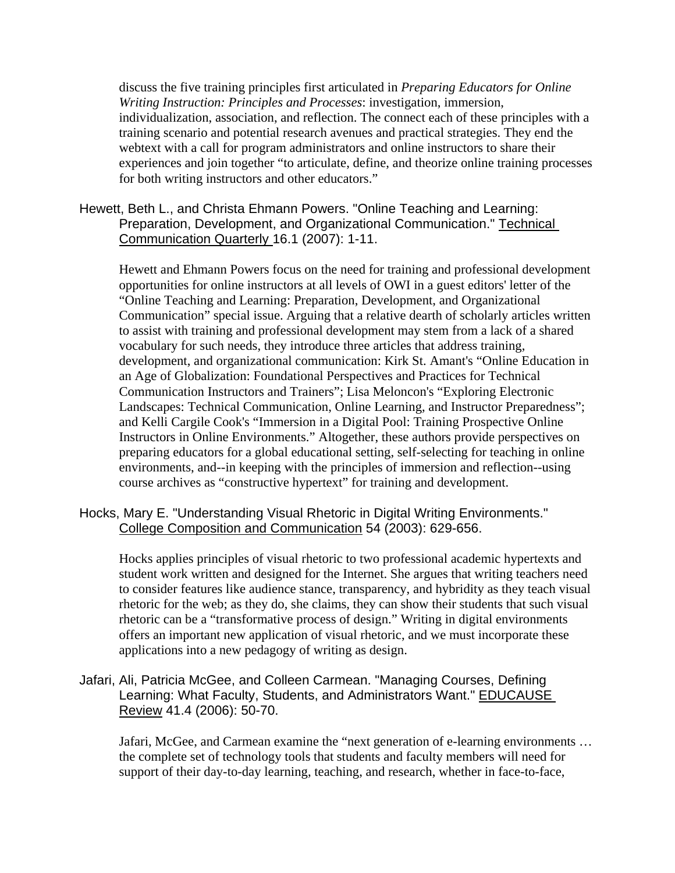discuss the five training principles first articulated in *Preparing Educators for Online Writing Instruction: Principles and Processes*: investigation, immersion, individualization, association, and reflection. The connect each of these principles with a training scenario and potential research avenues and practical strategies. They end the webtext with a call for program administrators and online instructors to share their experiences and join together "to articulate, define, and theorize online training processes for both writing instructors and other educators."

# Hewett, Beth L., and Christa Ehmann Powers. "Online Teaching and Learning: Preparation, Development, and Organizational Communication." Technical Communication Quarterly 16.1 (2007): 1-11.

Hewett and Ehmann Powers focus on the need for training and professional development opportunities for online instructors at all levels of OWI in a guest editors' letter of the "Online Teaching and Learning: Preparation, Development, and Organizational Communication" special issue. Arguing that a relative dearth of scholarly articles written to assist with training and professional development may stem from a lack of a shared vocabulary for such needs, they introduce three articles that address training, development, and organizational communication: Kirk St. Amant's "Online Education in an Age of Globalization: Foundational Perspectives and Practices for Technical Communication Instructors and Trainers"; Lisa Meloncon's "Exploring Electronic Landscapes: Technical Communication, Online Learning, and Instructor Preparedness"; and Kelli Cargile Cook's "Immersion in a Digital Pool: Training Prospective Online Instructors in Online Environments." Altogether, these authors provide perspectives on preparing educators for a global educational setting, self-selecting for teaching in online environments, and--in keeping with the principles of immersion and reflection--using course archives as "constructive hypertext" for training and development.

#### Hocks, Mary E. "Understanding Visual Rhetoric in Digital Writing Environments." College Composition and Communication 54 (2003): 629-656.

Hocks applies principles of visual rhetoric to two professional academic hypertexts and student work written and designed for the Internet. She argues that writing teachers need to consider features like audience stance, transparency, and hybridity as they teach visual rhetoric for the web; as they do, she claims, they can show their students that such visual rhetoric can be a "transformative process of design." Writing in digital environments offers an important new application of visual rhetoric, and we must incorporate these applications into a new pedagogy of writing as design.

# Jafari, Ali, Patricia McGee, and Colleen Carmean. "Managing Courses, Defining Learning: What Faculty, Students, and Administrators Want." EDUCAUSE Review 41.4 (2006): 50-70.

Jafari, McGee, and Carmean examine the "next generation of e-learning environments … the complete set of technology tools that students and faculty members will need for support of their day-to-day learning, teaching, and research, whether in face-to-face,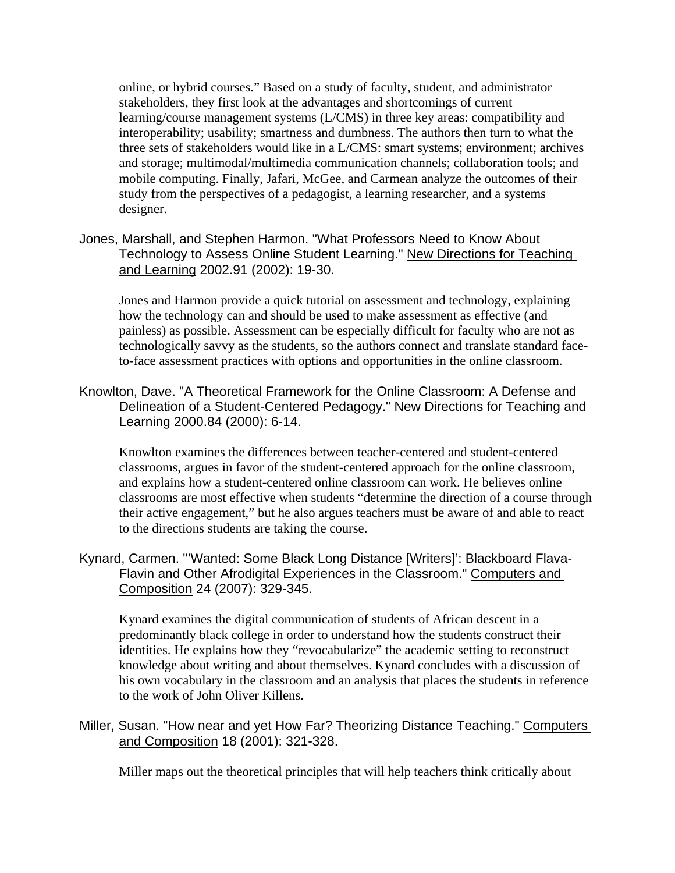online, or hybrid courses." Based on a study of faculty, student, and administrator stakeholders, they first look at the advantages and shortcomings of current learning/course management systems (L/CMS) in three key areas: compatibility and interoperability; usability; smartness and dumbness. The authors then turn to what the three sets of stakeholders would like in a L/CMS: smart systems; environment; archives and storage; multimodal/multimedia communication channels; collaboration tools; and mobile computing. Finally, Jafari, McGee, and Carmean analyze the outcomes of their study from the perspectives of a pedagogist, a learning researcher, and a systems designer.

Jones, Marshall, and Stephen Harmon. "What Professors Need to Know About Technology to Assess Online Student Learning." New Directions for Teaching and Learning 2002.91 (2002): 19-30.

Jones and Harmon provide a quick tutorial on assessment and technology, explaining how the technology can and should be used to make assessment as effective (and painless) as possible. Assessment can be especially difficult for faculty who are not as technologically savvy as the students, so the authors connect and translate standard faceto-face assessment practices with options and opportunities in the online classroom.

Knowlton, Dave. "A Theoretical Framework for the Online Classroom: A Defense and Delineation of a Student-Centered Pedagogy." New Directions for Teaching and Learning 2000.84 (2000): 6-14.

Knowlton examines the differences between teacher-centered and student-centered classrooms, argues in favor of the student-centered approach for the online classroom, and explains how a student-centered online classroom can work. He believes online classrooms are most effective when students "determine the direction of a course through their active engagement," but he also argues teachers must be aware of and able to react to the directions students are taking the course.

Kynard, Carmen. "'Wanted: Some Black Long Distance [Writers]': Blackboard Flava-Flavin and Other Afrodigital Experiences in the Classroom." Computers and Composition 24 (2007): 329-345.

Kynard examines the digital communication of students of African descent in a predominantly black college in order to understand how the students construct their identities. He explains how they "revocabularize" the academic setting to reconstruct knowledge about writing and about themselves. Kynard concludes with a discussion of his own vocabulary in the classroom and an analysis that places the students in reference to the work of John Oliver Killens.

Miller, Susan. "How near and yet How Far? Theorizing Distance Teaching." Computers and Composition 18 (2001): 321-328.

Miller maps out the theoretical principles that will help teachers think critically about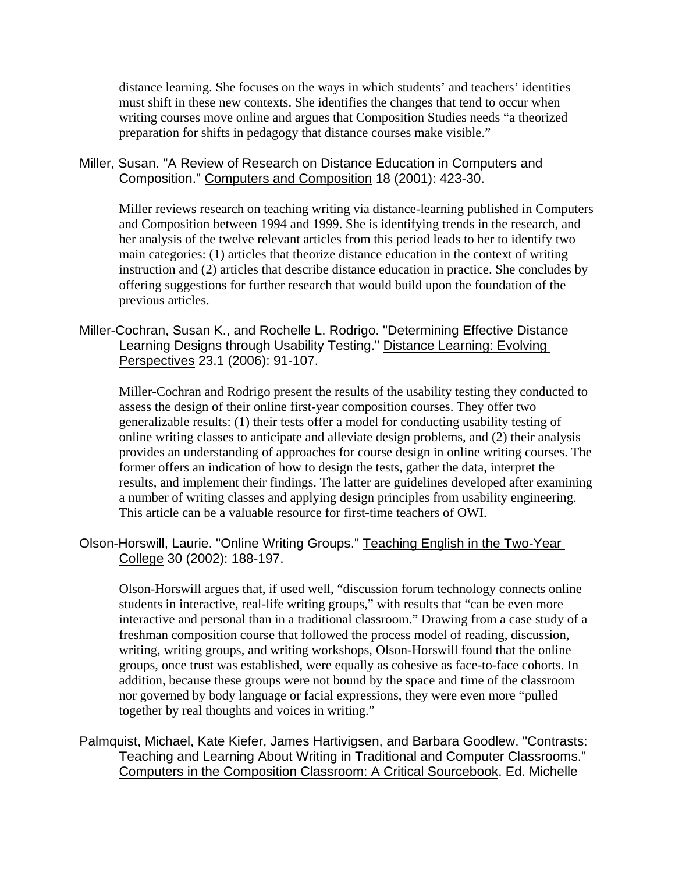distance learning. She focuses on the ways in which students' and teachers' identities must shift in these new contexts. She identifies the changes that tend to occur when writing courses move online and argues that Composition Studies needs "a theorized preparation for shifts in pedagogy that distance courses make visible."

#### Miller, Susan. "A Review of Research on Distance Education in Computers and Composition." Computers and Composition 18 (2001): 423-30.

Miller reviews research on teaching writing via distance-learning published in Computers and Composition between 1994 and 1999. She is identifying trends in the research, and her analysis of the twelve relevant articles from this period leads to her to identify two main categories: (1) articles that theorize distance education in the context of writing instruction and (2) articles that describe distance education in practice. She concludes by offering suggestions for further research that would build upon the foundation of the previous articles.

# Miller-Cochran, Susan K., and Rochelle L. Rodrigo. "Determining Effective Distance Learning Designs through Usability Testing." Distance Learning: Evolving Perspectives 23.1 (2006): 91-107.

Miller-Cochran and Rodrigo present the results of the usability testing they conducted to assess the design of their online first-year composition courses. They offer two generalizable results: (1) their tests offer a model for conducting usability testing of online writing classes to anticipate and alleviate design problems, and (2) their analysis provides an understanding of approaches for course design in online writing courses. The former offers an indication of how to design the tests, gather the data, interpret the results, and implement their findings. The latter are guidelines developed after examining a number of writing classes and applying design principles from usability engineering. This article can be a valuable resource for first-time teachers of OWI.

# Olson-Horswill, Laurie. "Online Writing Groups." Teaching English in the Two-Year College 30 (2002): 188-197.

Olson-Horswill argues that, if used well, "discussion forum technology connects online students in interactive, real-life writing groups," with results that "can be even more interactive and personal than in a traditional classroom." Drawing from a case study of a freshman composition course that followed the process model of reading, discussion, writing, writing groups, and writing workshops, Olson-Horswill found that the online groups, once trust was established, were equally as cohesive as face-to-face cohorts. In addition, because these groups were not bound by the space and time of the classroom nor governed by body language or facial expressions, they were even more "pulled together by real thoughts and voices in writing."

# Palmquist, Michael, Kate Kiefer, James Hartivigsen, and Barbara Goodlew. "Contrasts: Teaching and Learning About Writing in Traditional and Computer Classrooms." Computers in the Composition Classroom: A Critical Sourcebook. Ed. Michelle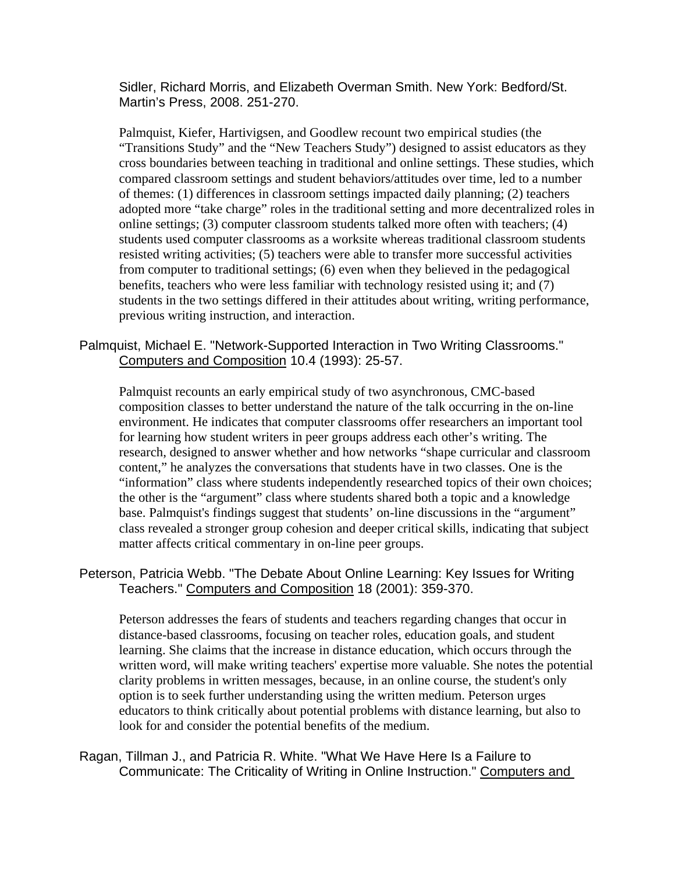Sidler, Richard Morris, and Elizabeth Overman Smith. New York: Bedford/St. Martin's Press, 2008. 251-270.

Palmquist, Kiefer, Hartivigsen, and Goodlew recount two empirical studies (the "Transitions Study" and the "New Teachers Study") designed to assist educators as they cross boundaries between teaching in traditional and online settings. These studies, which compared classroom settings and student behaviors/attitudes over time, led to a number of themes: (1) differences in classroom settings impacted daily planning; (2) teachers adopted more "take charge" roles in the traditional setting and more decentralized roles in online settings; (3) computer classroom students talked more often with teachers; (4) students used computer classrooms as a worksite whereas traditional classroom students resisted writing activities; (5) teachers were able to transfer more successful activities from computer to traditional settings; (6) even when they believed in the pedagogical benefits, teachers who were less familiar with technology resisted using it; and (7) students in the two settings differed in their attitudes about writing, writing performance, previous writing instruction, and interaction.

Palmquist, Michael E. "Network-Supported Interaction in Two Writing Classrooms." Computers and Composition 10.4 (1993): 25-57.

Palmquist recounts an early empirical study of two asynchronous, CMC-based composition classes to better understand the nature of the talk occurring in the on-line environment. He indicates that computer classrooms offer researchers an important tool for learning how student writers in peer groups address each other's writing. The research, designed to answer whether and how networks "shape curricular and classroom content," he analyzes the conversations that students have in two classes. One is the "information" class where students independently researched topics of their own choices; the other is the "argument" class where students shared both a topic and a knowledge base. Palmquist's findings suggest that students' on-line discussions in the "argument" class revealed a stronger group cohesion and deeper critical skills, indicating that subject matter affects critical commentary in on-line peer groups.

#### Peterson, Patricia Webb. "The Debate About Online Learning: Key Issues for Writing Teachers." Computers and Composition 18 (2001): 359-370.

Peterson addresses the fears of students and teachers regarding changes that occur in distance-based classrooms, focusing on teacher roles, education goals, and student learning. She claims that the increase in distance education, which occurs through the written word, will make writing teachers' expertise more valuable. She notes the potential clarity problems in written messages, because, in an online course, the student's only option is to seek further understanding using the written medium. Peterson urges educators to think critically about potential problems with distance learning, but also to look for and consider the potential benefits of the medium.

Ragan, Tillman J., and Patricia R. White. "What We Have Here Is a Failure to Communicate: The Criticality of Writing in Online Instruction." Computers and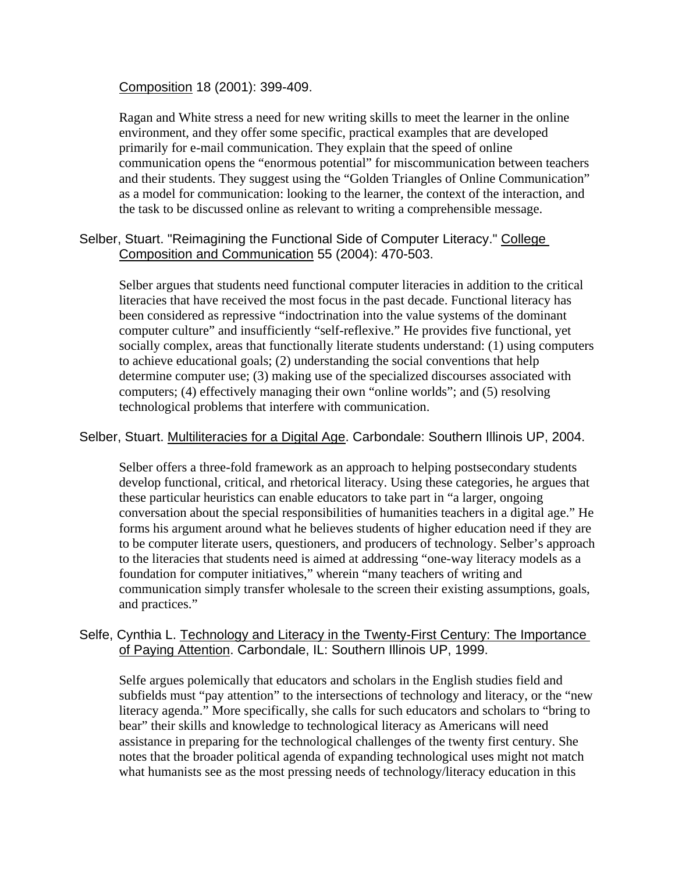Composition 18 (2001): 399-409.

Ragan and White stress a need for new writing skills to meet the learner in the online environment, and they offer some specific, practical examples that are developed primarily for e-mail communication. They explain that the speed of online communication opens the "enormous potential" for miscommunication between teachers and their students. They suggest using the "Golden Triangles of Online Communication" as a model for communication: looking to the learner, the context of the interaction, and the task to be discussed online as relevant to writing a comprehensible message.

#### Selber, Stuart. "Reimagining the Functional Side of Computer Literacy." College Composition and Communication 55 (2004): 470-503.

Selber argues that students need functional computer literacies in addition to the critical literacies that have received the most focus in the past decade. Functional literacy has been considered as repressive "indoctrination into the value systems of the dominant computer culture" and insufficiently "self-reflexive." He provides five functional, yet socially complex, areas that functionally literate students understand: (1) using computers to achieve educational goals; (2) understanding the social conventions that help determine computer use; (3) making use of the specialized discourses associated with computers; (4) effectively managing their own "online worlds"; and (5) resolving technological problems that interfere with communication.

#### Selber, Stuart. Multiliteracies for a Digital Age. Carbondale: Southern Illinois UP, 2004.

Selber offers a three-fold framework as an approach to helping postsecondary students develop functional, critical, and rhetorical literacy. Using these categories, he argues that these particular heuristics can enable educators to take part in "a larger, ongoing conversation about the special responsibilities of humanities teachers in a digital age." He forms his argument around what he believes students of higher education need if they are to be computer literate users, questioners, and producers of technology. Selber's approach to the literacies that students need is aimed at addressing "one-way literacy models as a foundation for computer initiatives," wherein "many teachers of writing and communication simply transfer wholesale to the screen their existing assumptions, goals, and practices."

# Selfe, Cynthia L. Technology and Literacy in the Twenty-First Century: The Importance of Paying Attention. Carbondale, IL: Southern Illinois UP, 1999.

Selfe argues polemically that educators and scholars in the English studies field and subfields must "pay attention" to the intersections of technology and literacy, or the "new literacy agenda." More specifically, she calls for such educators and scholars to "bring to bear" their skills and knowledge to technological literacy as Americans will need assistance in preparing for the technological challenges of the twenty first century. She notes that the broader political agenda of expanding technological uses might not match what humanists see as the most pressing needs of technology/literacy education in this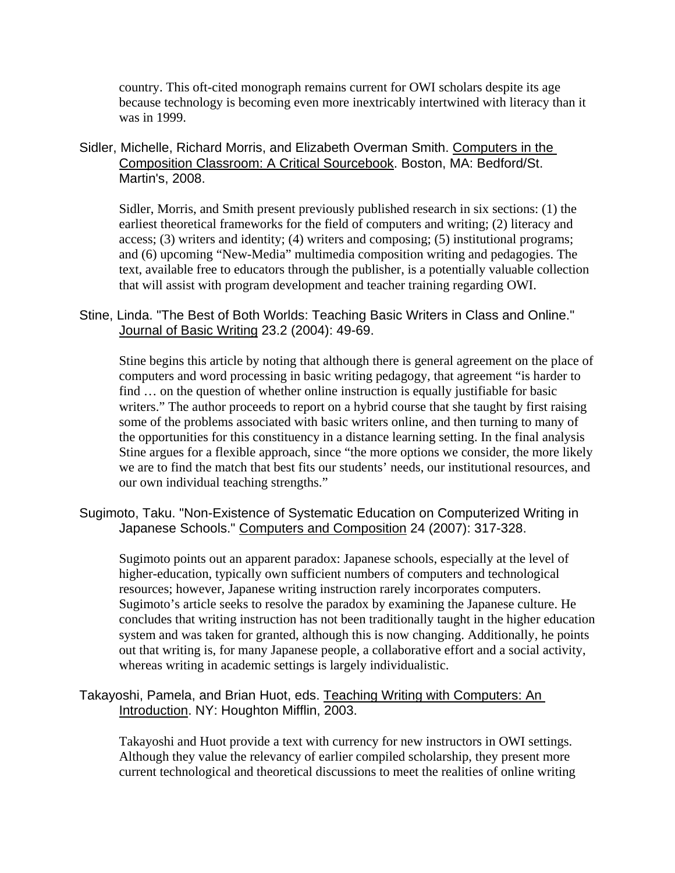country. This oft-cited monograph remains current for OWI scholars despite its age because technology is becoming even more inextricably intertwined with literacy than it was in 1999.

Sidler, Michelle, Richard Morris, and Elizabeth Overman Smith. Computers in the Composition Classroom: A Critical Sourcebook. Boston, MA: Bedford/St. Martin's, 2008.

Sidler, Morris, and Smith present previously published research in six sections: (1) the earliest theoretical frameworks for the field of computers and writing; (2) literacy and access; (3) writers and identity; (4) writers and composing; (5) institutional programs; and (6) upcoming "New-Media" multimedia composition writing and pedagogies. The text, available free to educators through the publisher, is a potentially valuable collection that will assist with program development and teacher training regarding OWI.

Stine, Linda. "The Best of Both Worlds: Teaching Basic Writers in Class and Online." Journal of Basic Writing 23.2 (2004): 49-69.

Stine begins this article by noting that although there is general agreement on the place of computers and word processing in basic writing pedagogy, that agreement "is harder to find … on the question of whether online instruction is equally justifiable for basic writers." The author proceeds to report on a hybrid course that she taught by first raising some of the problems associated with basic writers online, and then turning to many of the opportunities for this constituency in a distance learning setting. In the final analysis Stine argues for a flexible approach, since "the more options we consider, the more likely we are to find the match that best fits our students' needs, our institutional resources, and our own individual teaching strengths."

Sugimoto, Taku. "Non-Existence of Systematic Education on Computerized Writing in Japanese Schools." Computers and Composition 24 (2007): 317-328.

Sugimoto points out an apparent paradox: Japanese schools, especially at the level of higher-education, typically own sufficient numbers of computers and technological resources; however, Japanese writing instruction rarely incorporates computers. Sugimoto's article seeks to resolve the paradox by examining the Japanese culture. He concludes that writing instruction has not been traditionally taught in the higher education system and was taken for granted, although this is now changing. Additionally, he points out that writing is, for many Japanese people, a collaborative effort and a social activity, whereas writing in academic settings is largely individualistic.

Takayoshi, Pamela, and Brian Huot, eds. Teaching Writing with Computers: An Introduction. NY: Houghton Mifflin, 2003.

Takayoshi and Huot provide a text with currency for new instructors in OWI settings. Although they value the relevancy of earlier compiled scholarship, they present more current technological and theoretical discussions to meet the realities of online writing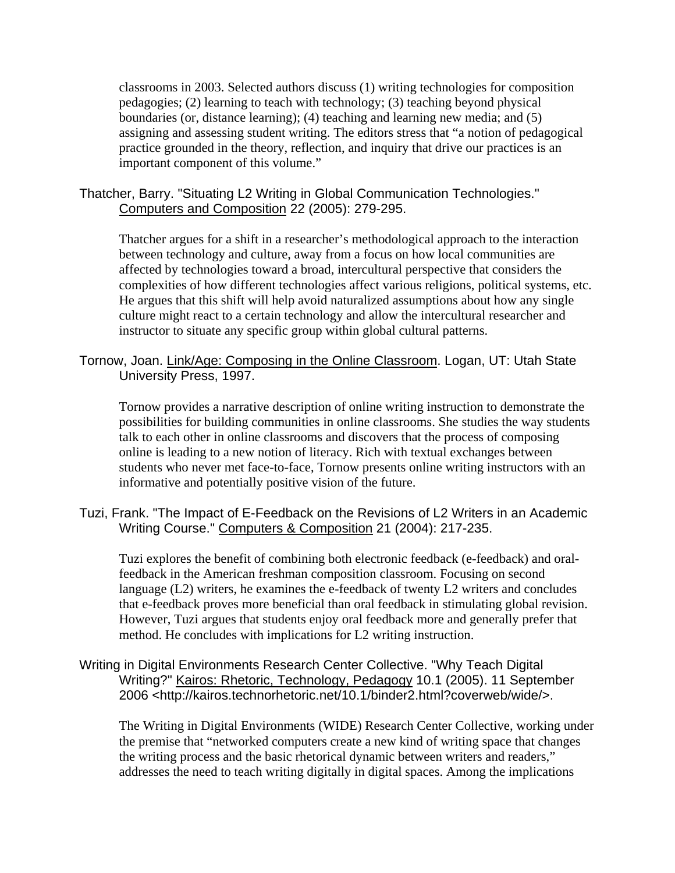classrooms in 2003. Selected authors discuss (1) writing technologies for composition pedagogies; (2) learning to teach with technology; (3) teaching beyond physical boundaries (or, distance learning); (4) teaching and learning new media; and (5) assigning and assessing student writing. The editors stress that "a notion of pedagogical practice grounded in the theory, reflection, and inquiry that drive our practices is an important component of this volume."

Thatcher, Barry. "Situating L2 Writing in Global Communication Technologies." Computers and Composition 22 (2005): 279-295.

Thatcher argues for a shift in a researcher's methodological approach to the interaction between technology and culture, away from a focus on how local communities are affected by technologies toward a broad, intercultural perspective that considers the complexities of how different technologies affect various religions, political systems, etc. He argues that this shift will help avoid naturalized assumptions about how any single culture might react to a certain technology and allow the intercultural researcher and instructor to situate any specific group within global cultural patterns.

# Tornow, Joan. Link/Age: Composing in the Online Classroom. Logan, UT: Utah State University Press, 1997.

Tornow provides a narrative description of online writing instruction to demonstrate the possibilities for building communities in online classrooms. She studies the way students talk to each other in online classrooms and discovers that the process of composing online is leading to a new notion of literacy. Rich with textual exchanges between students who never met face-to-face, Tornow presents online writing instructors with an informative and potentially positive vision of the future.

Tuzi, Frank. "The Impact of E-Feedback on the Revisions of L2 Writers in an Academic Writing Course." Computers & Composition 21 (2004): 217-235.

Tuzi explores the benefit of combining both electronic feedback (e-feedback) and oralfeedback in the American freshman composition classroom. Focusing on second language (L2) writers, he examines the e-feedback of twenty L2 writers and concludes that e-feedback proves more beneficial than oral feedback in stimulating global revision. However, Tuzi argues that students enjoy oral feedback more and generally prefer that method. He concludes with implications for L2 writing instruction.

Writing in Digital Environments Research Center Collective. "Why Teach Digital Writing?" Kairos: Rhetoric, Technology, Pedagogy 10.1 (2005). 11 September 2006 <http://kairos.technorhetoric.net/10.1/binder2.html?coverweb/wide/>.

The Writing in Digital Environments (WIDE) Research Center Collective, working under the premise that "networked computers create a new kind of writing space that changes the writing process and the basic rhetorical dynamic between writers and readers," addresses the need to teach writing digitally in digital spaces. Among the implications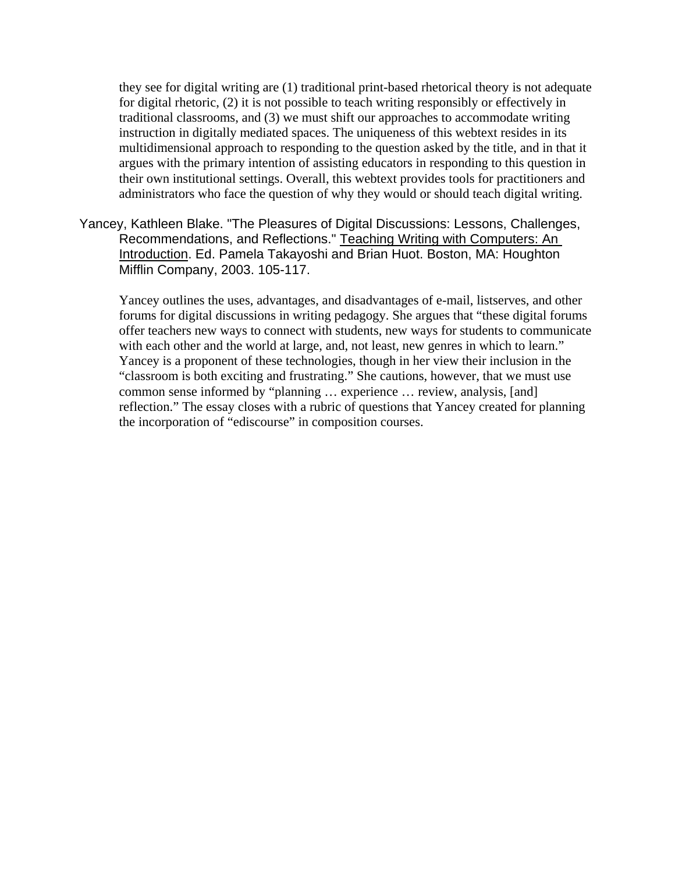they see for digital writing are (1) traditional print-based rhetorical theory is not adequate for digital rhetoric, (2) it is not possible to teach writing responsibly or effectively in traditional classrooms, and (3) we must shift our approaches to accommodate writing instruction in digitally mediated spaces. The uniqueness of this webtext resides in its multidimensional approach to responding to the question asked by the title, and in that it argues with the primary intention of assisting educators in responding to this question in their own institutional settings. Overall, this webtext provides tools for practitioners and administrators who face the question of why they would or should teach digital writing.

Yancey, Kathleen Blake. "The Pleasures of Digital Discussions: Lessons, Challenges, Recommendations, and Reflections." Teaching Writing with Computers: An Introduction. Ed. Pamela Takayoshi and Brian Huot. Boston, MA: Houghton Mifflin Company, 2003. 105-117.

Yancey outlines the uses, advantages, and disadvantages of e-mail, listserves, and other forums for digital discussions in writing pedagogy. She argues that "these digital forums offer teachers new ways to connect with students, new ways for students to communicate with each other and the world at large, and, not least, new genres in which to learn." Yancey is a proponent of these technologies, though in her view their inclusion in the "classroom is both exciting and frustrating." She cautions, however, that we must use common sense informed by "planning … experience … review, analysis, [and] reflection." The essay closes with a rubric of questions that Yancey created for planning the incorporation of "ediscourse" in composition courses.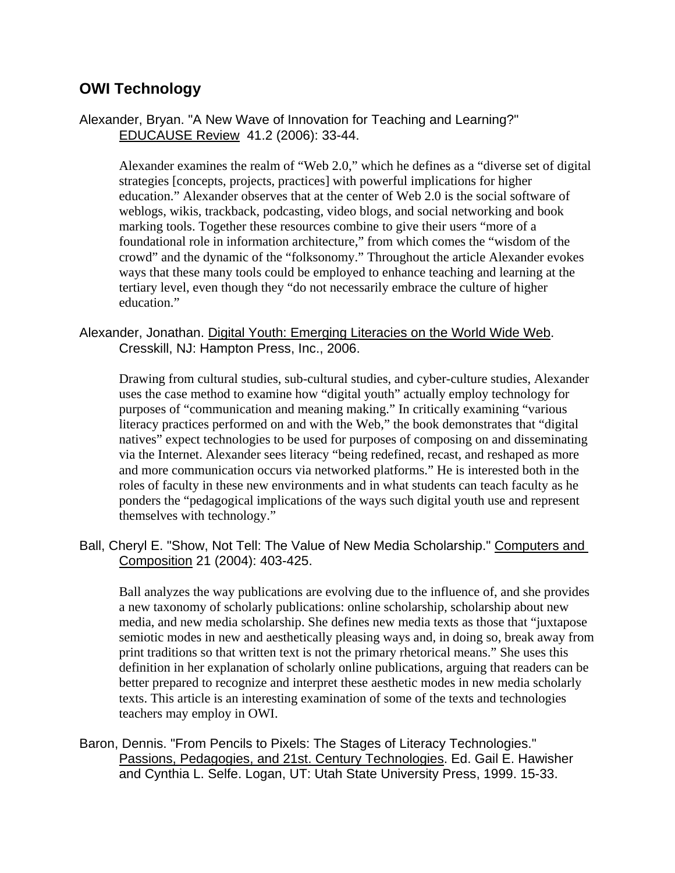# **OWI Technology**

Alexander, Bryan. "A New Wave of Innovation for Teaching and Learning?" EDUCAUSE Review 41.2 (2006): 33-44.

Alexander examines the realm of "Web 2.0," which he defines as a "diverse set of digital strategies [concepts, projects, practices] with powerful implications for higher education." Alexander observes that at the center of Web 2.0 is the social software of weblogs, wikis, trackback, podcasting, video blogs, and social networking and book marking tools. Together these resources combine to give their users "more of a foundational role in information architecture," from which comes the "wisdom of the crowd" and the dynamic of the "folksonomy." Throughout the article Alexander evokes ways that these many tools could be employed to enhance teaching and learning at the tertiary level, even though they "do not necessarily embrace the culture of higher education."

#### Alexander, Jonathan. Digital Youth: Emerging Literacies on the World Wide Web. Cresskill, NJ: Hampton Press, Inc., 2006.

Drawing from cultural studies, sub-cultural studies, and cyber-culture studies, Alexander uses the case method to examine how "digital youth" actually employ technology for purposes of "communication and meaning making." In critically examining "various literacy practices performed on and with the Web," the book demonstrates that "digital natives" expect technologies to be used for purposes of composing on and disseminating via the Internet. Alexander sees literacy "being redefined, recast, and reshaped as more and more communication occurs via networked platforms." He is interested both in the roles of faculty in these new environments and in what students can teach faculty as he ponders the "pedagogical implications of the ways such digital youth use and represent themselves with technology."

Ball, Cheryl E. "Show, Not Tell: The Value of New Media Scholarship." Computers and Composition 21 (2004): 403-425.

Ball analyzes the way publications are evolving due to the influence of, and she provides a new taxonomy of scholarly publications: online scholarship, scholarship about new media, and new media scholarship. She defines new media texts as those that "juxtapose semiotic modes in new and aesthetically pleasing ways and, in doing so, break away from print traditions so that written text is not the primary rhetorical means." She uses this definition in her explanation of scholarly online publications, arguing that readers can be better prepared to recognize and interpret these aesthetic modes in new media scholarly texts. This article is an interesting examination of some of the texts and technologies teachers may employ in OWI.

Baron, Dennis. "From Pencils to Pixels: The Stages of Literacy Technologies." Passions, Pedagogies, and 21st. Century Technologies. Ed. Gail E. Hawisher and Cynthia L. Selfe. Logan, UT: Utah State University Press, 1999. 15-33.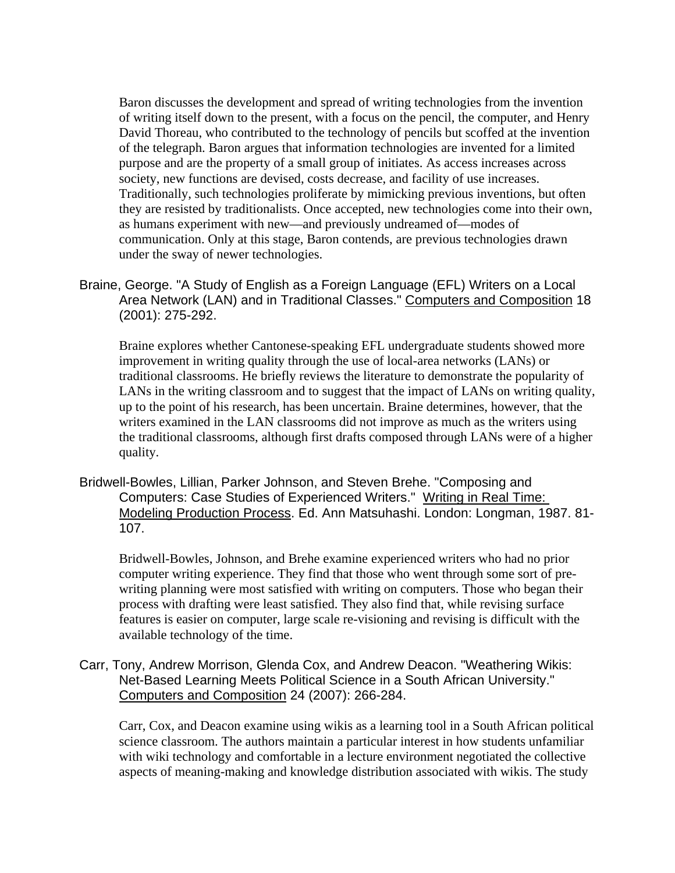Baron discusses the development and spread of writing technologies from the invention of writing itself down to the present, with a focus on the pencil, the computer, and Henry David Thoreau, who contributed to the technology of pencils but scoffed at the invention of the telegraph. Baron argues that information technologies are invented for a limited purpose and are the property of a small group of initiates. As access increases across society, new functions are devised, costs decrease, and facility of use increases. Traditionally, such technologies proliferate by mimicking previous inventions, but often they are resisted by traditionalists. Once accepted, new technologies come into their own, as humans experiment with new—and previously undreamed of—modes of communication. Only at this stage, Baron contends, are previous technologies drawn under the sway of newer technologies.

Braine, George. "A Study of English as a Foreign Language (EFL) Writers on a Local Area Network (LAN) and in Traditional Classes." Computers and Composition 18 (2001): 275-292.

Braine explores whether Cantonese-speaking EFL undergraduate students showed more improvement in writing quality through the use of local-area networks (LANs) or traditional classrooms. He briefly reviews the literature to demonstrate the popularity of LANs in the writing classroom and to suggest that the impact of LANs on writing quality, up to the point of his research, has been uncertain. Braine determines, however, that the writers examined in the LAN classrooms did not improve as much as the writers using the traditional classrooms, although first drafts composed through LANs were of a higher quality.

Bridwell-Bowles, Lillian, Parker Johnson, and Steven Brehe. "Composing and Computers: Case Studies of Experienced Writers." Writing in Real Time: Modeling Production Process. Ed. Ann Matsuhashi. London: Longman, 1987. 81- 107.

Bridwell-Bowles, Johnson, and Brehe examine experienced writers who had no prior computer writing experience. They find that those who went through some sort of prewriting planning were most satisfied with writing on computers. Those who began their process with drafting were least satisfied. They also find that, while revising surface features is easier on computer, large scale re-visioning and revising is difficult with the available technology of the time.

Carr, Tony, Andrew Morrison, Glenda Cox, and Andrew Deacon. "Weathering Wikis: Net-Based Learning Meets Political Science in a South African University." Computers and Composition 24 (2007): 266-284.

Carr, Cox, and Deacon examine using wikis as a learning tool in a South African political science classroom. The authors maintain a particular interest in how students unfamiliar with wiki technology and comfortable in a lecture environment negotiated the collective aspects of meaning-making and knowledge distribution associated with wikis. The study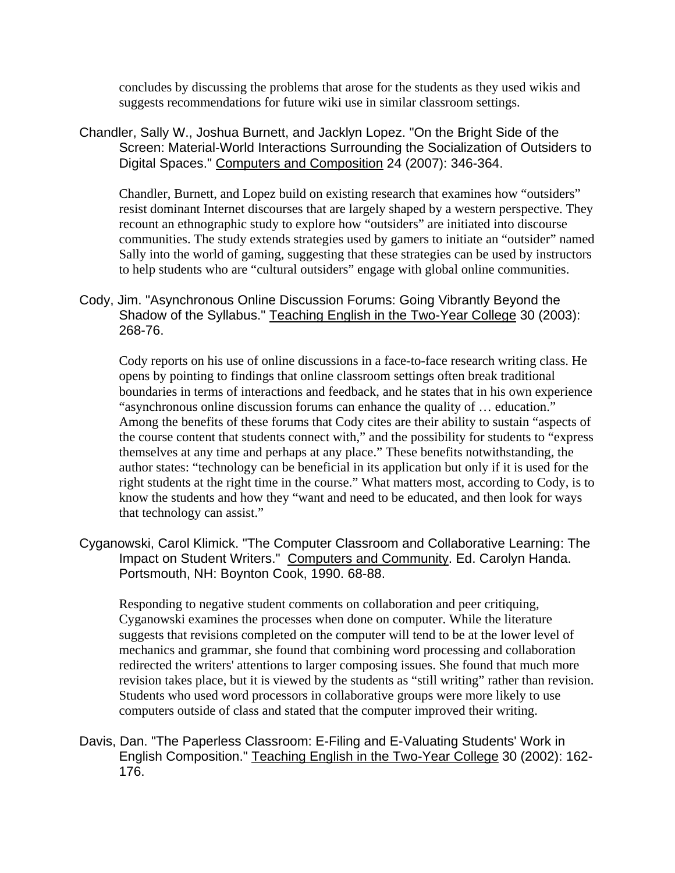concludes by discussing the problems that arose for the students as they used wikis and suggests recommendations for future wiki use in similar classroom settings.

Chandler, Sally W., Joshua Burnett, and Jacklyn Lopez. "On the Bright Side of the Screen: Material-World Interactions Surrounding the Socialization of Outsiders to Digital Spaces." Computers and Composition 24 (2007): 346-364.

Chandler, Burnett, and Lopez build on existing research that examines how "outsiders" resist dominant Internet discourses that are largely shaped by a western perspective. They recount an ethnographic study to explore how "outsiders" are initiated into discourse communities. The study extends strategies used by gamers to initiate an "outsider" named Sally into the world of gaming, suggesting that these strategies can be used by instructors to help students who are "cultural outsiders" engage with global online communities.

Cody, Jim. "Asynchronous Online Discussion Forums: Going Vibrantly Beyond the Shadow of the Syllabus." Teaching English in the Two-Year College 30 (2003): 268-76.

Cody reports on his use of online discussions in a face-to-face research writing class. He opens by pointing to findings that online classroom settings often break traditional boundaries in terms of interactions and feedback, and he states that in his own experience "asynchronous online discussion forums can enhance the quality of … education." Among the benefits of these forums that Cody cites are their ability to sustain "aspects of the course content that students connect with," and the possibility for students to "express themselves at any time and perhaps at any place." These benefits notwithstanding, the author states: "technology can be beneficial in its application but only if it is used for the right students at the right time in the course." What matters most, according to Cody, is to know the students and how they "want and need to be educated, and then look for ways that technology can assist."

Cyganowski, Carol Klimick. "The Computer Classroom and Collaborative Learning: The Impact on Student Writers." Computers and Community. Ed. Carolyn Handa. Portsmouth, NH: Boynton Cook, 1990. 68-88.

Responding to negative student comments on collaboration and peer critiquing, Cyganowski examines the processes when done on computer. While the literature suggests that revisions completed on the computer will tend to be at the lower level of mechanics and grammar, she found that combining word processing and collaboration redirected the writers' attentions to larger composing issues. She found that much more revision takes place, but it is viewed by the students as "still writing" rather than revision. Students who used word processors in collaborative groups were more likely to use computers outside of class and stated that the computer improved their writing.

Davis, Dan. "The Paperless Classroom: E-Filing and E-Valuating Students' Work in English Composition." Teaching English in the Two-Year College 30 (2002): 162- 176.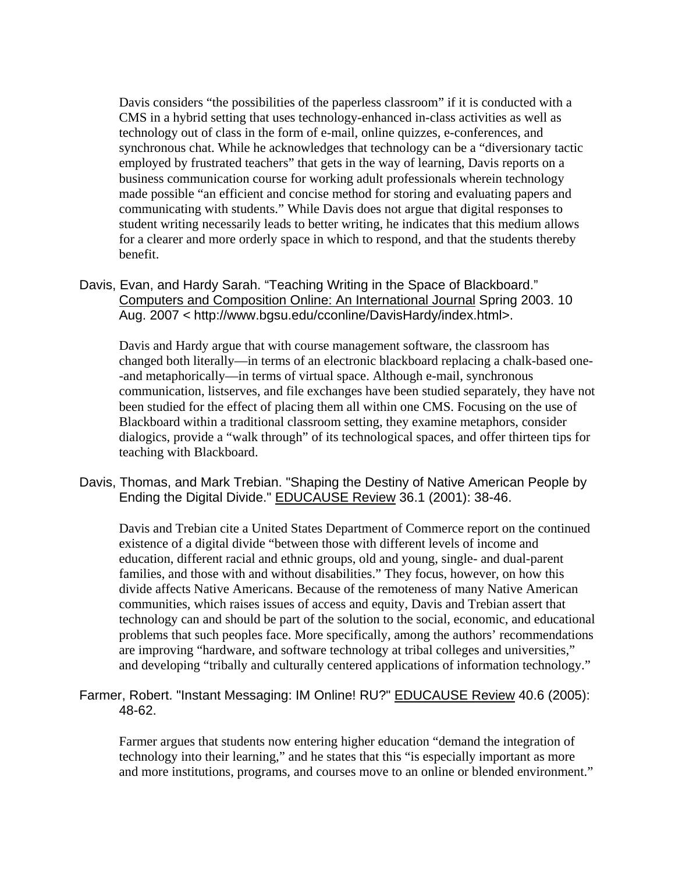Davis considers "the possibilities of the paperless classroom" if it is conducted with a CMS in a hybrid setting that uses technology-enhanced in-class activities as well as technology out of class in the form of e-mail, online quizzes, e-conferences, and synchronous chat. While he acknowledges that technology can be a "diversionary tactic employed by frustrated teachers" that gets in the way of learning, Davis reports on a business communication course for working adult professionals wherein technology made possible "an efficient and concise method for storing and evaluating papers and communicating with students." While Davis does not argue that digital responses to student writing necessarily leads to better writing, he indicates that this medium allows for a clearer and more orderly space in which to respond, and that the students thereby benefit.

Davis, Evan, and Hardy Sarah. "Teaching Writing in the Space of Blackboard." Computers and Composition Online: An International Journal Spring 2003. 10 Aug. 2007 < http://www.bgsu.edu/cconline/DavisHardy/index.html>.

Davis and Hardy argue that with course management software, the classroom has changed both literally—in terms of an electronic blackboard replacing a chalk-based one- -and metaphorically—in terms of virtual space. Although e-mail, synchronous communication, listserves, and file exchanges have been studied separately, they have not been studied for the effect of placing them all within one CMS. Focusing on the use of Blackboard within a traditional classroom setting, they examine metaphors, consider dialogics, provide a "walk through" of its technological spaces, and offer thirteen tips for teaching with Blackboard.

Davis, Thomas, and Mark Trebian. "Shaping the Destiny of Native American People by Ending the Digital Divide." EDUCAUSE Review 36.1 (2001): 38-46.

Davis and Trebian cite a United States Department of Commerce report on the continued existence of a digital divide "between those with different levels of income and education, different racial and ethnic groups, old and young, single- and dual-parent families, and those with and without disabilities." They focus, however, on how this divide affects Native Americans. Because of the remoteness of many Native American communities, which raises issues of access and equity, Davis and Trebian assert that technology can and should be part of the solution to the social, economic, and educational problems that such peoples face. More specifically, among the authors' recommendations are improving "hardware, and software technology at tribal colleges and universities," and developing "tribally and culturally centered applications of information technology."

# Farmer, Robert. "Instant Messaging: IM Online! RU?" EDUCAUSE Review 40.6 (2005): 48-62.

Farmer argues that students now entering higher education "demand the integration of technology into their learning," and he states that this "is especially important as more and more institutions, programs, and courses move to an online or blended environment."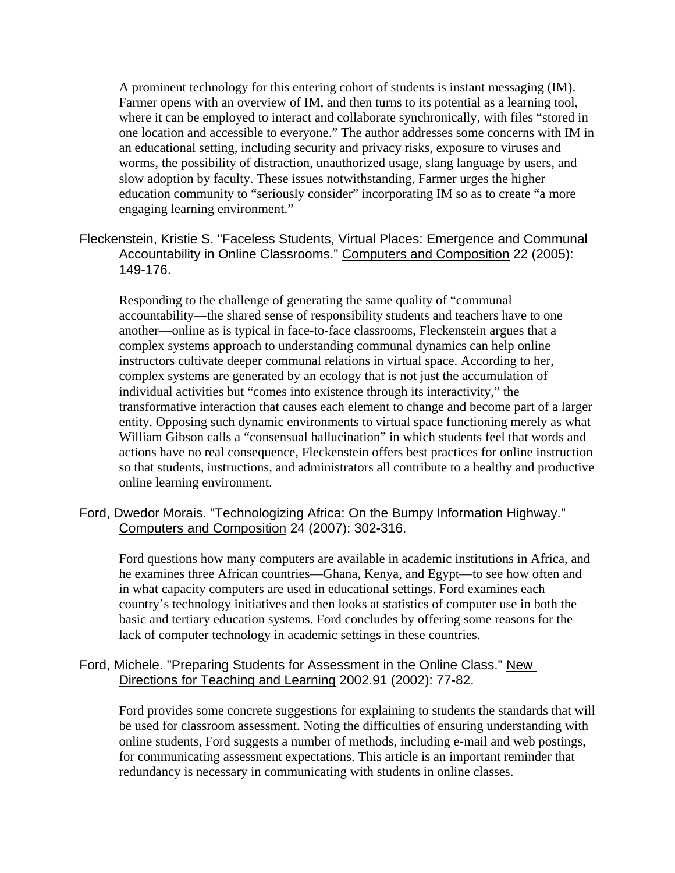A prominent technology for this entering cohort of students is instant messaging (IM). Farmer opens with an overview of IM, and then turns to its potential as a learning tool, where it can be employed to interact and collaborate synchronically, with files "stored in one location and accessible to everyone." The author addresses some concerns with IM in an educational setting, including security and privacy risks, exposure to viruses and worms, the possibility of distraction, unauthorized usage, slang language by users, and slow adoption by faculty. These issues notwithstanding, Farmer urges the higher education community to "seriously consider" incorporating IM so as to create "a more engaging learning environment."

Fleckenstein, Kristie S. "Faceless Students, Virtual Places: Emergence and Communal Accountability in Online Classrooms." Computers and Composition 22 (2005): 149-176.

Responding to the challenge of generating the same quality of "communal accountability—the shared sense of responsibility students and teachers have to one another—online as is typical in face-to-face classrooms, Fleckenstein argues that a complex systems approach to understanding communal dynamics can help online instructors cultivate deeper communal relations in virtual space. According to her, complex systems are generated by an ecology that is not just the accumulation of individual activities but "comes into existence through its interactivity," the transformative interaction that causes each element to change and become part of a larger entity. Opposing such dynamic environments to virtual space functioning merely as what William Gibson calls a "consensual hallucination" in which students feel that words and actions have no real consequence, Fleckenstein offers best practices for online instruction so that students, instructions, and administrators all contribute to a healthy and productive online learning environment.

Ford, Dwedor Morais. "Technologizing Africa: On the Bumpy Information Highway." Computers and Composition 24 (2007): 302-316.

Ford questions how many computers are available in academic institutions in Africa, and he examines three African countries—Ghana, Kenya, and Egypt—to see how often and in what capacity computers are used in educational settings. Ford examines each country's technology initiatives and then looks at statistics of computer use in both the basic and tertiary education systems. Ford concludes by offering some reasons for the lack of computer technology in academic settings in these countries.

#### Ford, Michele. "Preparing Students for Assessment in the Online Class." New Directions for Teaching and Learning 2002.91 (2002): 77-82.

Ford provides some concrete suggestions for explaining to students the standards that will be used for classroom assessment. Noting the difficulties of ensuring understanding with online students, Ford suggests a number of methods, including e-mail and web postings, for communicating assessment expectations. This article is an important reminder that redundancy is necessary in communicating with students in online classes.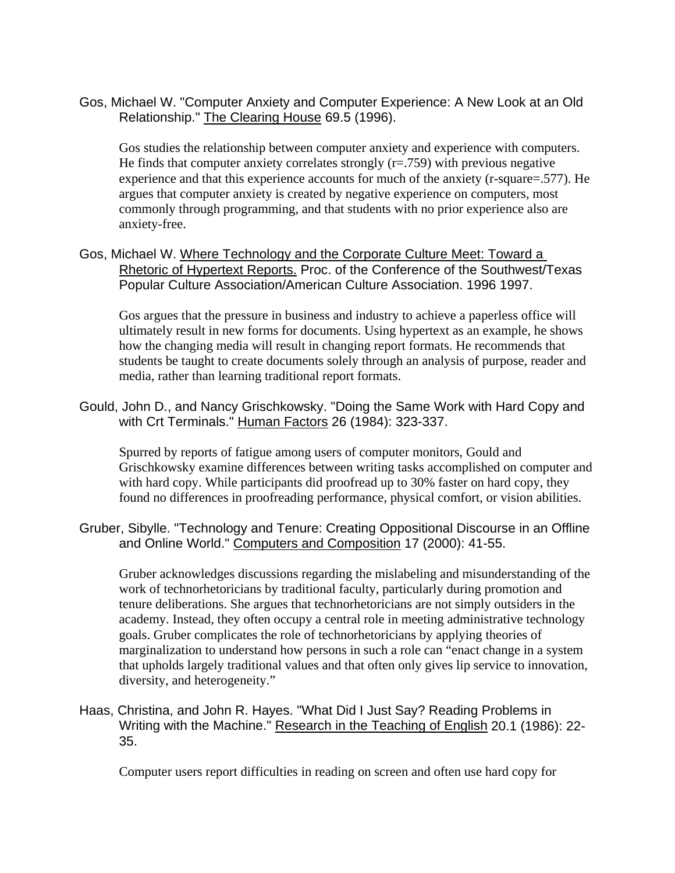Gos, Michael W. "Computer Anxiety and Computer Experience: A New Look at an Old Relationship." The Clearing House 69.5 (1996).

Gos studies the relationship between computer anxiety and experience with computers. He finds that computer anxiety correlates strongly  $(r=.759)$  with previous negative experience and that this experience accounts for much of the anxiety (r-square=.577). He argues that computer anxiety is created by negative experience on computers, most commonly through programming, and that students with no prior experience also are anxiety-free.

Gos, Michael W. Where Technology and the Corporate Culture Meet: Toward a Rhetoric of Hypertext Reports. Proc. of the Conference of the Southwest/Texas Popular Culture Association/American Culture Association. 1996 1997.

Gos argues that the pressure in business and industry to achieve a paperless office will ultimately result in new forms for documents. Using hypertext as an example, he shows how the changing media will result in changing report formats. He recommends that students be taught to create documents solely through an analysis of purpose, reader and media, rather than learning traditional report formats.

Gould, John D., and Nancy Grischkowsky. "Doing the Same Work with Hard Copy and with Crt Terminals." Human Factors 26 (1984): 323-337.

Spurred by reports of fatigue among users of computer monitors, Gould and Grischkowsky examine differences between writing tasks accomplished on computer and with hard copy. While participants did proofread up to 30% faster on hard copy, they found no differences in proofreading performance, physical comfort, or vision abilities.

Gruber, Sibylle. "Technology and Tenure: Creating Oppositional Discourse in an Offline and Online World." Computers and Composition 17 (2000): 41-55.

Gruber acknowledges discussions regarding the mislabeling and misunderstanding of the work of technorhetoricians by traditional faculty, particularly during promotion and tenure deliberations. She argues that technorhetoricians are not simply outsiders in the academy. Instead, they often occupy a central role in meeting administrative technology goals. Gruber complicates the role of technorhetoricians by applying theories of marginalization to understand how persons in such a role can "enact change in a system that upholds largely traditional values and that often only gives lip service to innovation, diversity, and heterogeneity."

Haas, Christina, and John R. Hayes. "What Did I Just Say? Reading Problems in Writing with the Machine." Research in the Teaching of English 20.1 (1986): 22-35.

Computer users report difficulties in reading on screen and often use hard copy for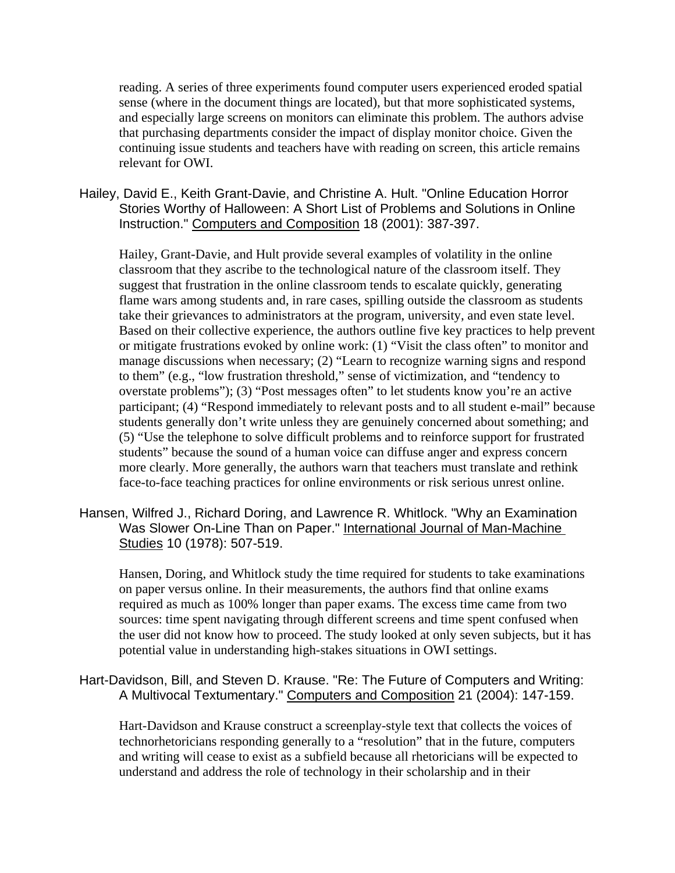reading. A series of three experiments found computer users experienced eroded spatial sense (where in the document things are located), but that more sophisticated systems, and especially large screens on monitors can eliminate this problem. The authors advise that purchasing departments consider the impact of display monitor choice. Given the continuing issue students and teachers have with reading on screen, this article remains relevant for OWI.

Hailey, David E., Keith Grant-Davie, and Christine A. Hult. "Online Education Horror Stories Worthy of Halloween: A Short List of Problems and Solutions in Online Instruction." Computers and Composition 18 (2001): 387-397.

Hailey, Grant-Davie, and Hult provide several examples of volatility in the online classroom that they ascribe to the technological nature of the classroom itself. They suggest that frustration in the online classroom tends to escalate quickly, generating flame wars among students and, in rare cases, spilling outside the classroom as students take their grievances to administrators at the program, university, and even state level. Based on their collective experience, the authors outline five key practices to help prevent or mitigate frustrations evoked by online work: (1) "Visit the class often" to monitor and manage discussions when necessary; (2) "Learn to recognize warning signs and respond to them" (e.g., "low frustration threshold," sense of victimization, and "tendency to overstate problems"); (3) "Post messages often" to let students know you're an active participant; (4) "Respond immediately to relevant posts and to all student e-mail" because students generally don't write unless they are genuinely concerned about something; and (5) "Use the telephone to solve difficult problems and to reinforce support for frustrated students" because the sound of a human voice can diffuse anger and express concern more clearly. More generally, the authors warn that teachers must translate and rethink face-to-face teaching practices for online environments or risk serious unrest online.

Hansen, Wilfred J., Richard Doring, and Lawrence R. Whitlock. "Why an Examination Was Slower On-Line Than on Paper." International Journal of Man-Machine Studies 10 (1978): 507-519.

Hansen, Doring, and Whitlock study the time required for students to take examinations on paper versus online. In their measurements, the authors find that online exams required as much as 100% longer than paper exams. The excess time came from two sources: time spent navigating through different screens and time spent confused when the user did not know how to proceed. The study looked at only seven subjects, but it has potential value in understanding high-stakes situations in OWI settings.

# Hart-Davidson, Bill, and Steven D. Krause. "Re: The Future of Computers and Writing: A Multivocal Textumentary." Computers and Composition 21 (2004): 147-159.

Hart-Davidson and Krause construct a screenplay-style text that collects the voices of technorhetoricians responding generally to a "resolution" that in the future, computers and writing will cease to exist as a subfield because all rhetoricians will be expected to understand and address the role of technology in their scholarship and in their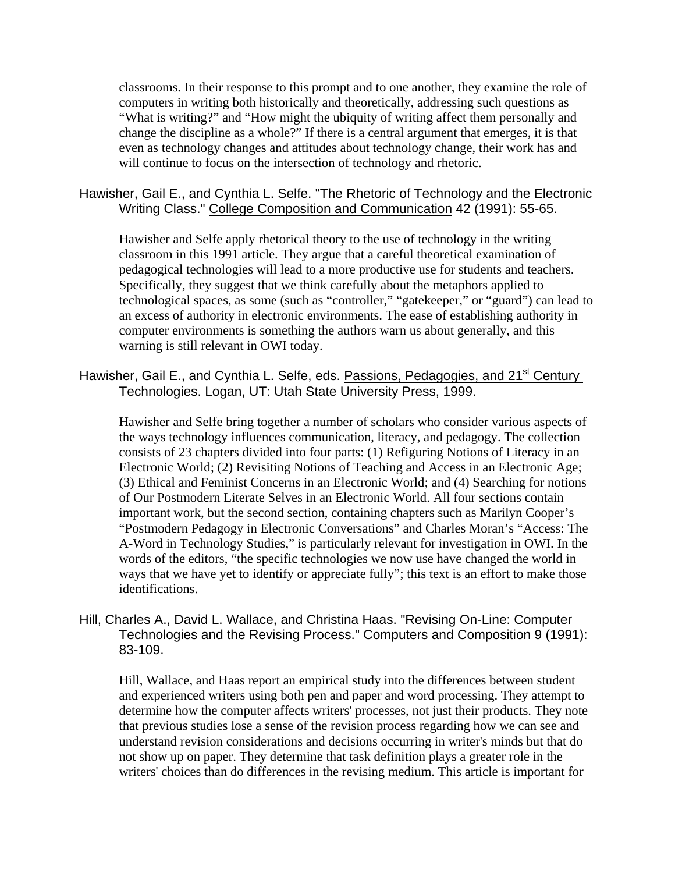classrooms. In their response to this prompt and to one another, they examine the role of computers in writing both historically and theoretically, addressing such questions as "What is writing?" and "How might the ubiquity of writing affect them personally and change the discipline as a whole?" If there is a central argument that emerges, it is that even as technology changes and attitudes about technology change, their work has and will continue to focus on the intersection of technology and rhetoric.

## Hawisher, Gail E., and Cynthia L. Selfe. "The Rhetoric of Technology and the Electronic Writing Class." College Composition and Communication 42 (1991): 55-65.

Hawisher and Selfe apply rhetorical theory to the use of technology in the writing classroom in this 1991 article. They argue that a careful theoretical examination of pedagogical technologies will lead to a more productive use for students and teachers. Specifically, they suggest that we think carefully about the metaphors applied to technological spaces, as some (such as "controller," "gatekeeper," or "guard") can lead to an excess of authority in electronic environments. The ease of establishing authority in computer environments is something the authors warn us about generally, and this warning is still relevant in OWI today.

Hawisher, Gail E., and Cynthia L. Selfe, eds. Passions, Pedagogies, and 21<sup>st</sup> Century Technologies. Logan, UT: Utah State University Press, 1999.

Hawisher and Selfe bring together a number of scholars who consider various aspects of the ways technology influences communication, literacy, and pedagogy. The collection consists of 23 chapters divided into four parts: (1) Refiguring Notions of Literacy in an Electronic World; (2) Revisiting Notions of Teaching and Access in an Electronic Age; (3) Ethical and Feminist Concerns in an Electronic World; and (4) Searching for notions of Our Postmodern Literate Selves in an Electronic World. All four sections contain important work, but the second section, containing chapters such as Marilyn Cooper's "Postmodern Pedagogy in Electronic Conversations" and Charles Moran's "Access: The A-Word in Technology Studies," is particularly relevant for investigation in OWI. In the words of the editors, "the specific technologies we now use have changed the world in ways that we have yet to identify or appreciate fully"; this text is an effort to make those identifications.

Hill, Charles A., David L. Wallace, and Christina Haas. "Revising On-Line: Computer Technologies and the Revising Process." Computers and Composition 9 (1991): 83-109.

Hill, Wallace, and Haas report an empirical study into the differences between student and experienced writers using both pen and paper and word processing. They attempt to determine how the computer affects writers' processes, not just their products. They note that previous studies lose a sense of the revision process regarding how we can see and understand revision considerations and decisions occurring in writer's minds but that do not show up on paper. They determine that task definition plays a greater role in the writers' choices than do differences in the revising medium. This article is important for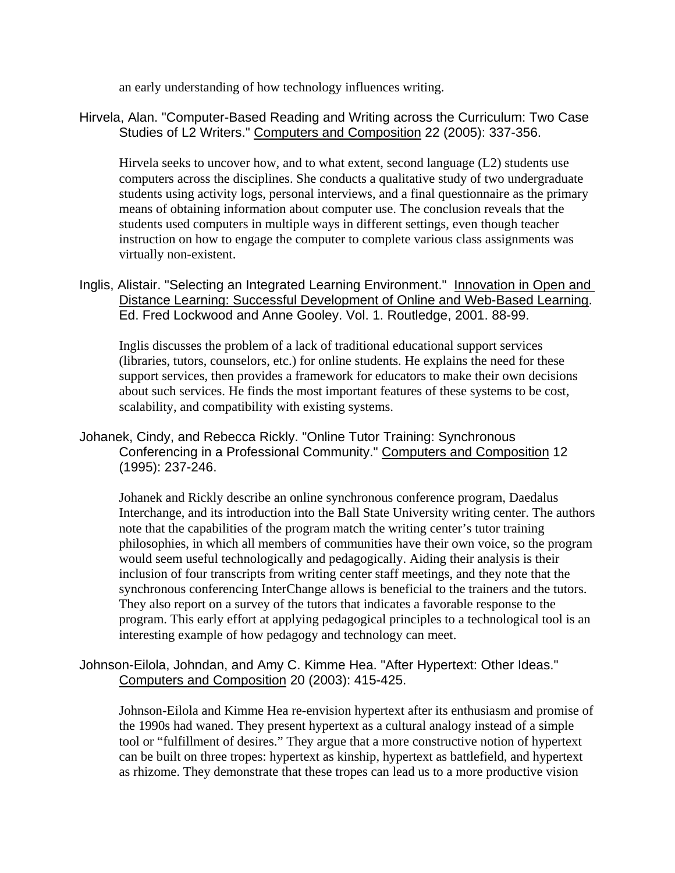an early understanding of how technology influences writing.

# Hirvela, Alan. "Computer-Based Reading and Writing across the Curriculum: Two Case Studies of L2 Writers." Computers and Composition 22 (2005): 337-356.

Hirvela seeks to uncover how, and to what extent, second language (L2) students use computers across the disciplines. She conducts a qualitative study of two undergraduate students using activity logs, personal interviews, and a final questionnaire as the primary means of obtaining information about computer use. The conclusion reveals that the students used computers in multiple ways in different settings, even though teacher instruction on how to engage the computer to complete various class assignments was virtually non-existent.

Inglis, Alistair. "Selecting an Integrated Learning Environment." Innovation in Open and Distance Learning: Successful Development of Online and Web-Based Learning. Ed. Fred Lockwood and Anne Gooley. Vol. 1. Routledge, 2001. 88-99.

Inglis discusses the problem of a lack of traditional educational support services (libraries, tutors, counselors, etc.) for online students. He explains the need for these support services, then provides a framework for educators to make their own decisions about such services. He finds the most important features of these systems to be cost, scalability, and compatibility with existing systems.

# Johanek, Cindy, and Rebecca Rickly. "Online Tutor Training: Synchronous Conferencing in a Professional Community." Computers and Composition 12 (1995): 237-246.

Johanek and Rickly describe an online synchronous conference program, Daedalus Interchange, and its introduction into the Ball State University writing center. The authors note that the capabilities of the program match the writing center's tutor training philosophies, in which all members of communities have their own voice, so the program would seem useful technologically and pedagogically. Aiding their analysis is their inclusion of four transcripts from writing center staff meetings, and they note that the synchronous conferencing InterChange allows is beneficial to the trainers and the tutors. They also report on a survey of the tutors that indicates a favorable response to the program. This early effort at applying pedagogical principles to a technological tool is an interesting example of how pedagogy and technology can meet.

## Johnson-Eilola, Johndan, and Amy C. Kimme Hea. "After Hypertext: Other Ideas." Computers and Composition 20 (2003): 415-425.

Johnson-Eilola and Kimme Hea re-envision hypertext after its enthusiasm and promise of the 1990s had waned. They present hypertext as a cultural analogy instead of a simple tool or "fulfillment of desires." They argue that a more constructive notion of hypertext can be built on three tropes: hypertext as kinship, hypertext as battlefield, and hypertext as rhizome. They demonstrate that these tropes can lead us to a more productive vision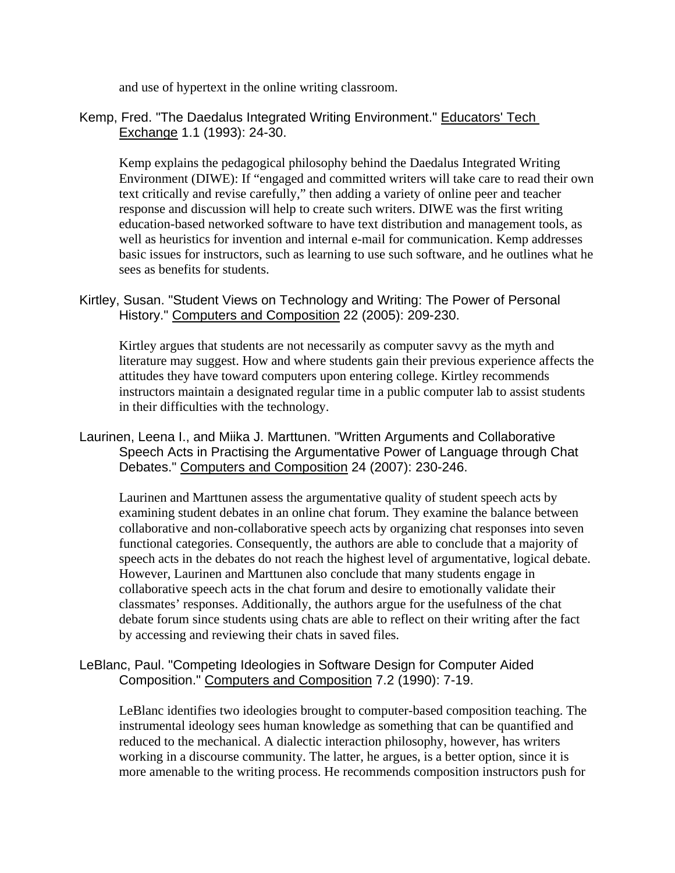and use of hypertext in the online writing classroom.

Kemp, Fred. "The Daedalus Integrated Writing Environment." Educators' Tech Exchange 1.1 (1993): 24-30.

Kemp explains the pedagogical philosophy behind the Daedalus Integrated Writing Environment (DIWE): If "engaged and committed writers will take care to read their own text critically and revise carefully," then adding a variety of online peer and teacher response and discussion will help to create such writers. DIWE was the first writing education-based networked software to have text distribution and management tools, as well as heuristics for invention and internal e-mail for communication. Kemp addresses basic issues for instructors, such as learning to use such software, and he outlines what he sees as benefits for students.

Kirtley, Susan. "Student Views on Technology and Writing: The Power of Personal History." Computers and Composition 22 (2005): 209-230.

Kirtley argues that students are not necessarily as computer savvy as the myth and literature may suggest. How and where students gain their previous experience affects the attitudes they have toward computers upon entering college. Kirtley recommends instructors maintain a designated regular time in a public computer lab to assist students in their difficulties with the technology.

Laurinen, Leena I., and Miika J. Marttunen. "Written Arguments and Collaborative Speech Acts in Practising the Argumentative Power of Language through Chat Debates." Computers and Composition 24 (2007): 230-246.

Laurinen and Marttunen assess the argumentative quality of student speech acts by examining student debates in an online chat forum. They examine the balance between collaborative and non-collaborative speech acts by organizing chat responses into seven functional categories. Consequently, the authors are able to conclude that a majority of speech acts in the debates do not reach the highest level of argumentative, logical debate. However, Laurinen and Marttunen also conclude that many students engage in collaborative speech acts in the chat forum and desire to emotionally validate their classmates' responses. Additionally, the authors argue for the usefulness of the chat debate forum since students using chats are able to reflect on their writing after the fact by accessing and reviewing their chats in saved files.

#### LeBlanc, Paul. "Competing Ideologies in Software Design for Computer Aided Composition." Computers and Composition 7.2 (1990): 7-19.

LeBlanc identifies two ideologies brought to computer-based composition teaching. The instrumental ideology sees human knowledge as something that can be quantified and reduced to the mechanical. A dialectic interaction philosophy, however, has writers working in a discourse community. The latter, he argues, is a better option, since it is more amenable to the writing process. He recommends composition instructors push for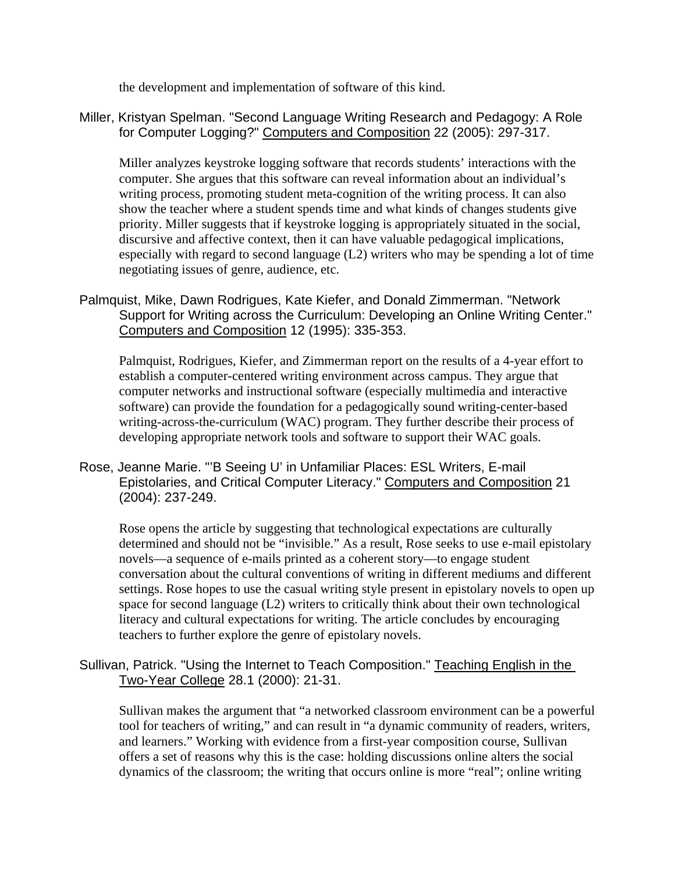the development and implementation of software of this kind.

# Miller, Kristyan Spelman. "Second Language Writing Research and Pedagogy: A Role for Computer Logging?" Computers and Composition 22 (2005): 297-317.

Miller analyzes keystroke logging software that records students' interactions with the computer. She argues that this software can reveal information about an individual's writing process, promoting student meta-cognition of the writing process. It can also show the teacher where a student spends time and what kinds of changes students give priority. Miller suggests that if keystroke logging is appropriately situated in the social, discursive and affective context, then it can have valuable pedagogical implications, especially with regard to second language (L2) writers who may be spending a lot of time negotiating issues of genre, audience, etc.

Palmquist, Mike, Dawn Rodrigues, Kate Kiefer, and Donald Zimmerman. "Network Support for Writing across the Curriculum: Developing an Online Writing Center." Computers and Composition 12 (1995): 335-353.

Palmquist, Rodrigues, Kiefer, and Zimmerman report on the results of a 4-year effort to establish a computer-centered writing environment across campus. They argue that computer networks and instructional software (especially multimedia and interactive software) can provide the foundation for a pedagogically sound writing-center-based writing-across-the-curriculum (WAC) program. They further describe their process of developing appropriate network tools and software to support their WAC goals.

Rose, Jeanne Marie. "'B Seeing U' in Unfamiliar Places: ESL Writers, E-mail Epistolaries, and Critical Computer Literacy." Computers and Composition 21 (2004): 237-249.

Rose opens the article by suggesting that technological expectations are culturally determined and should not be "invisible." As a result, Rose seeks to use e-mail epistolary novels—a sequence of e-mails printed as a coherent story—to engage student conversation about the cultural conventions of writing in different mediums and different settings. Rose hopes to use the casual writing style present in epistolary novels to open up space for second language (L2) writers to critically think about their own technological literacy and cultural expectations for writing. The article concludes by encouraging teachers to further explore the genre of epistolary novels.

Sullivan, Patrick. "Using the Internet to Teach Composition." Teaching English in the Two-Year College 28.1 (2000): 21-31.

Sullivan makes the argument that "a networked classroom environment can be a powerful tool for teachers of writing," and can result in "a dynamic community of readers, writers, and learners." Working with evidence from a first-year composition course, Sullivan offers a set of reasons why this is the case: holding discussions online alters the social dynamics of the classroom; the writing that occurs online is more "real"; online writing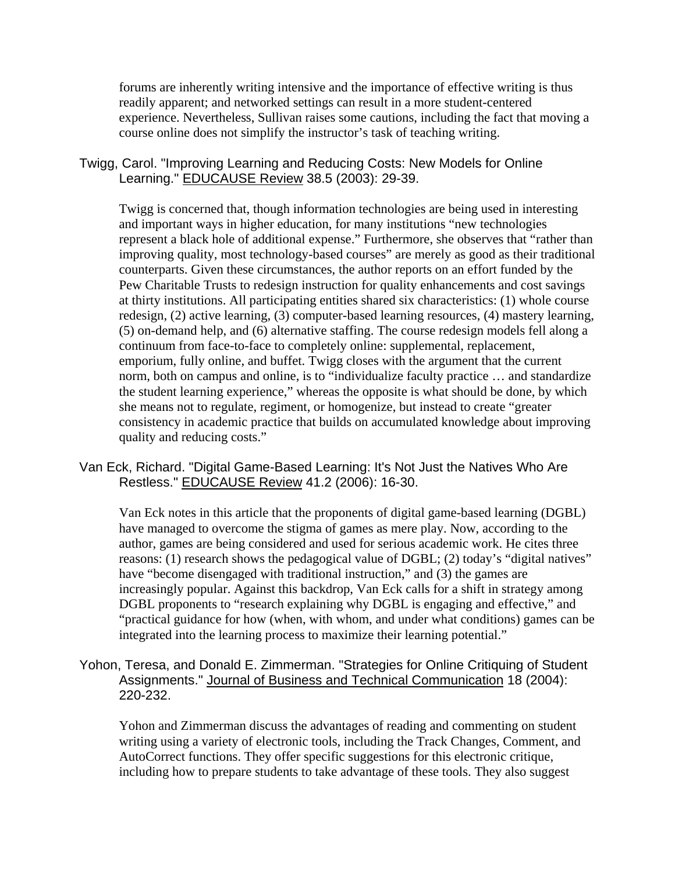forums are inherently writing intensive and the importance of effective writing is thus readily apparent; and networked settings can result in a more student-centered experience. Nevertheless, Sullivan raises some cautions, including the fact that moving a course online does not simplify the instructor's task of teaching writing.

#### Twigg, Carol. "Improving Learning and Reducing Costs: New Models for Online Learning." EDUCAUSE Review 38.5 (2003): 29-39.

Twigg is concerned that, though information technologies are being used in interesting and important ways in higher education, for many institutions "new technologies represent a black hole of additional expense." Furthermore, she observes that "rather than improving quality, most technology-based courses" are merely as good as their traditional counterparts. Given these circumstances, the author reports on an effort funded by the Pew Charitable Trusts to redesign instruction for quality enhancements and cost savings at thirty institutions. All participating entities shared six characteristics: (1) whole course redesign, (2) active learning, (3) computer-based learning resources, (4) mastery learning, (5) on-demand help, and (6) alternative staffing. The course redesign models fell along a continuum from face-to-face to completely online: supplemental, replacement, emporium, fully online, and buffet. Twigg closes with the argument that the current norm, both on campus and online, is to "individualize faculty practice … and standardize the student learning experience," whereas the opposite is what should be done, by which she means not to regulate, regiment, or homogenize, but instead to create "greater consistency in academic practice that builds on accumulated knowledge about improving quality and reducing costs."

Van Eck, Richard. "Digital Game-Based Learning: It's Not Just the Natives Who Are Restless." EDUCAUSE Review 41.2 (2006): 16-30.

Van Eck notes in this article that the proponents of digital game-based learning (DGBL) have managed to overcome the stigma of games as mere play. Now, according to the author, games are being considered and used for serious academic work. He cites three reasons: (1) research shows the pedagogical value of DGBL; (2) today's "digital natives" have "become disengaged with traditional instruction," and (3) the games are increasingly popular. Against this backdrop, Van Eck calls for a shift in strategy among DGBL proponents to "research explaining why DGBL is engaging and effective," and "practical guidance for how (when, with whom, and under what conditions) games can be integrated into the learning process to maximize their learning potential."

# Yohon, Teresa, and Donald E. Zimmerman. "Strategies for Online Critiquing of Student Assignments." Journal of Business and Technical Communication 18 (2004): 220-232.

Yohon and Zimmerman discuss the advantages of reading and commenting on student writing using a variety of electronic tools, including the Track Changes, Comment, and AutoCorrect functions. They offer specific suggestions for this electronic critique, including how to prepare students to take advantage of these tools. They also suggest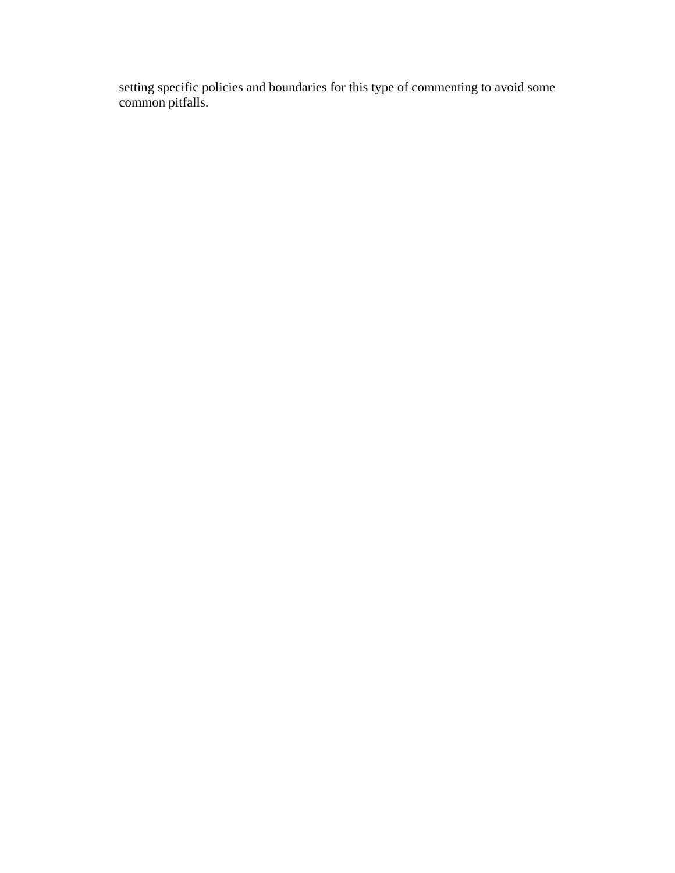setting specific policies and boundaries for this type of commenting to avoid some common pitfalls.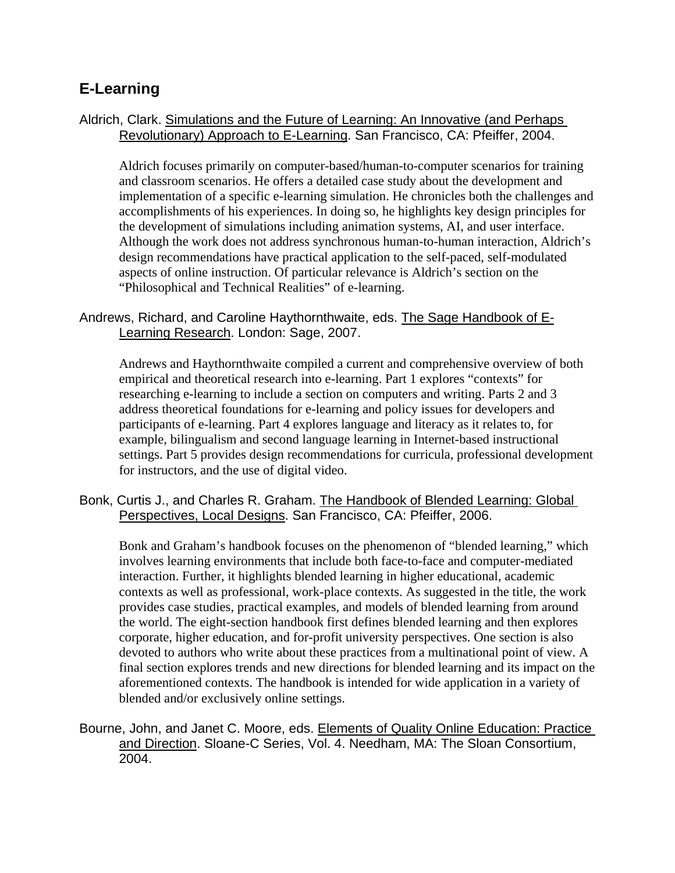# **E-Learning**

# Aldrich, Clark. Simulations and the Future of Learning: An Innovative (and Perhaps Revolutionary) Approach to E-Learning. San Francisco, CA: Pfeiffer, 2004.

Aldrich focuses primarily on computer-based/human-to-computer scenarios for training and classroom scenarios. He offers a detailed case study about the development and implementation of a specific e-learning simulation. He chronicles both the challenges and accomplishments of his experiences. In doing so, he highlights key design principles for the development of simulations including animation systems, AI, and user interface. Although the work does not address synchronous human-to-human interaction, Aldrich's design recommendations have practical application to the self-paced, self-modulated aspects of online instruction. Of particular relevance is Aldrich's section on the "Philosophical and Technical Realities" of e-learning.

# Andrews, Richard, and Caroline Haythornthwaite, eds. The Sage Handbook of E-Learning Research. London: Sage, 2007.

Andrews and Haythornthwaite compiled a current and comprehensive overview of both empirical and theoretical research into e-learning. Part 1 explores "contexts" for researching e-learning to include a section on computers and writing. Parts 2 and 3 address theoretical foundations for e-learning and policy issues for developers and participants of e-learning. Part 4 explores language and literacy as it relates to, for example, bilingualism and second language learning in Internet-based instructional settings. Part 5 provides design recommendations for curricula, professional development for instructors, and the use of digital video.

#### Bonk, Curtis J., and Charles R. Graham. The Handbook of Blended Learning: Global Perspectives, Local Designs. San Francisco, CA: Pfeiffer, 2006.

Bonk and Graham's handbook focuses on the phenomenon of "blended learning," which involves learning environments that include both face-to-face and computer-mediated interaction. Further, it highlights blended learning in higher educational, academic contexts as well as professional, work-place contexts. As suggested in the title, the work provides case studies, practical examples, and models of blended learning from around the world. The eight-section handbook first defines blended learning and then explores corporate, higher education, and for-profit university perspectives. One section is also devoted to authors who write about these practices from a multinational point of view. A final section explores trends and new directions for blended learning and its impact on the aforementioned contexts. The handbook is intended for wide application in a variety of blended and/or exclusively online settings.

Bourne, John, and Janet C. Moore, eds. Elements of Quality Online Education: Practice and Direction. Sloane-C Series, Vol. 4. Needham, MA: The Sloan Consortium, 2004.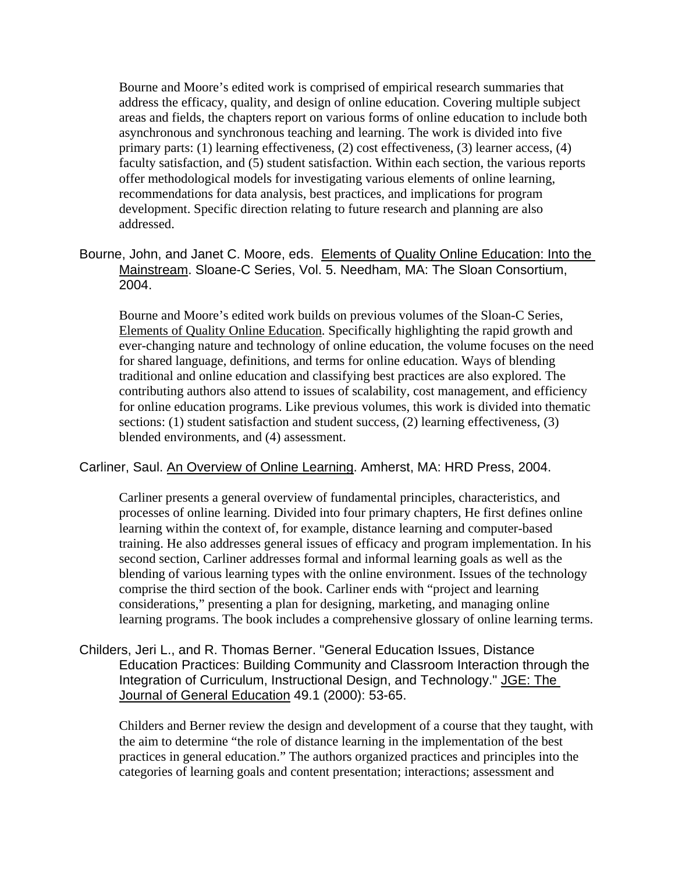Bourne and Moore's edited work is comprised of empirical research summaries that address the efficacy, quality, and design of online education. Covering multiple subject areas and fields, the chapters report on various forms of online education to include both asynchronous and synchronous teaching and learning. The work is divided into five primary parts: (1) learning effectiveness, (2) cost effectiveness, (3) learner access, (4) faculty satisfaction, and (5) student satisfaction. Within each section, the various reports offer methodological models for investigating various elements of online learning, recommendations for data analysis, best practices, and implications for program development. Specific direction relating to future research and planning are also addressed.

Bourne, John, and Janet C. Moore, eds. Elements of Quality Online Education: Into the Mainstream. Sloane-C Series, Vol. 5. Needham, MA: The Sloan Consortium, 2004.

Bourne and Moore's edited work builds on previous volumes of the Sloan-C Series, Elements of Quality Online Education. Specifically highlighting the rapid growth and ever-changing nature and technology of online education, the volume focuses on the need for shared language, definitions, and terms for online education. Ways of blending traditional and online education and classifying best practices are also explored. The contributing authors also attend to issues of scalability, cost management, and efficiency for online education programs. Like previous volumes, this work is divided into thematic sections: (1) student satisfaction and student success, (2) learning effectiveness, (3) blended environments, and (4) assessment.

#### Carliner, Saul. An Overview of Online Learning. Amherst, MA: HRD Press, 2004.

Carliner presents a general overview of fundamental principles, characteristics, and processes of online learning. Divided into four primary chapters, He first defines online learning within the context of, for example, distance learning and computer-based training. He also addresses general issues of efficacy and program implementation. In his second section, Carliner addresses formal and informal learning goals as well as the blending of various learning types with the online environment. Issues of the technology comprise the third section of the book. Carliner ends with "project and learning considerations," presenting a plan for designing, marketing, and managing online learning programs. The book includes a comprehensive glossary of online learning terms.

Childers, Jeri L., and R. Thomas Berner. "General Education Issues, Distance Education Practices: Building Community and Classroom Interaction through the Integration of Curriculum, Instructional Design, and Technology." JGE: The Journal of General Education 49.1 (2000): 53-65.

Childers and Berner review the design and development of a course that they taught, with the aim to determine "the role of distance learning in the implementation of the best practices in general education." The authors organized practices and principles into the categories of learning goals and content presentation; interactions; assessment and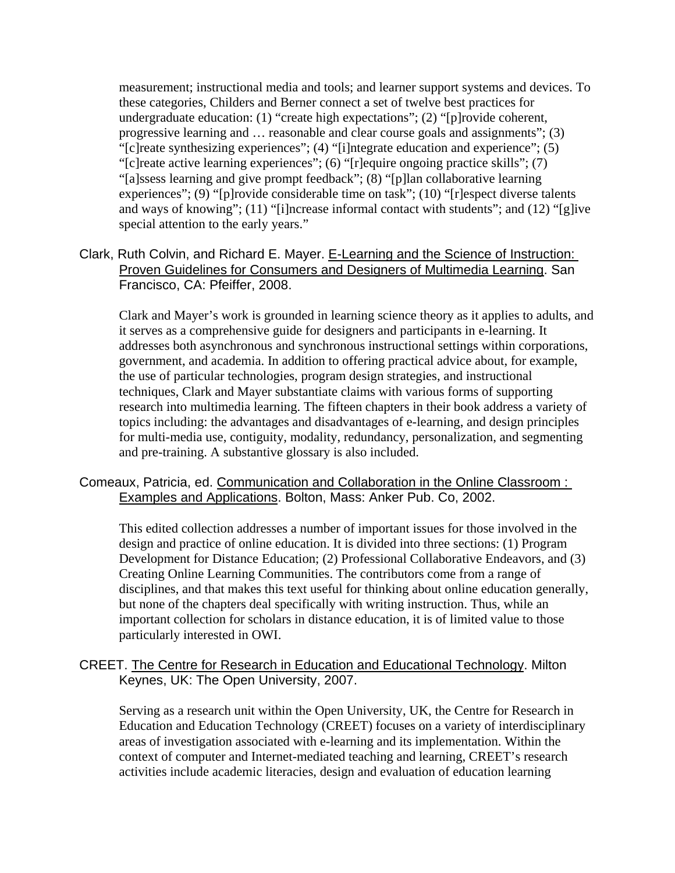measurement; instructional media and tools; and learner support systems and devices. To these categories, Childers and Berner connect a set of twelve best practices for undergraduate education: (1) "create high expectations"; (2) "[p]rovide coherent, progressive learning and … reasonable and clear course goals and assignments"; (3) "[c]reate synthesizing experiences"; (4) "[i]ntegrate education and experience"; (5) "[c]reate active learning experiences"; (6) "[r]equire ongoing practice skills"; (7) "[a]ssess learning and give prompt feedback"; (8) "[p]lan collaborative learning experiences"; (9) "[p]rovide considerable time on task"; (10) "[r]espect diverse talents and ways of knowing"; (11) "[i]ncrease informal contact with students"; and (12) "[g]ive special attention to the early years."

Clark, Ruth Colvin, and Richard E. Mayer. E-Learning and the Science of Instruction: Proven Guidelines for Consumers and Designers of Multimedia Learning. San Francisco, CA: Pfeiffer, 2008.

Clark and Mayer's work is grounded in learning science theory as it applies to adults, and it serves as a comprehensive guide for designers and participants in e-learning. It addresses both asynchronous and synchronous instructional settings within corporations, government, and academia. In addition to offering practical advice about, for example, the use of particular technologies, program design strategies, and instructional techniques, Clark and Mayer substantiate claims with various forms of supporting research into multimedia learning. The fifteen chapters in their book address a variety of topics including: the advantages and disadvantages of e-learning, and design principles for multi-media use, contiguity, modality, redundancy, personalization, and segmenting and pre-training. A substantive glossary is also included.

#### Comeaux, Patricia, ed. Communication and Collaboration in the Online Classroom : Examples and Applications. Bolton, Mass: Anker Pub. Co, 2002.

This edited collection addresses a number of important issues for those involved in the design and practice of online education. It is divided into three sections: (1) Program Development for Distance Education; (2) Professional Collaborative Endeavors, and (3) Creating Online Learning Communities. The contributors come from a range of disciplines, and that makes this text useful for thinking about online education generally, but none of the chapters deal specifically with writing instruction. Thus, while an important collection for scholars in distance education, it is of limited value to those particularly interested in OWI.

# CREET. The Centre for Research in Education and Educational Technology. Milton Keynes, UK: The Open University, 2007.

Serving as a research unit within the Open University, UK, the Centre for Research in Education and Education Technology (CREET) focuses on a variety of interdisciplinary areas of investigation associated with e-learning and its implementation. Within the context of computer and Internet-mediated teaching and learning, CREET's research activities include academic literacies, design and evaluation of education learning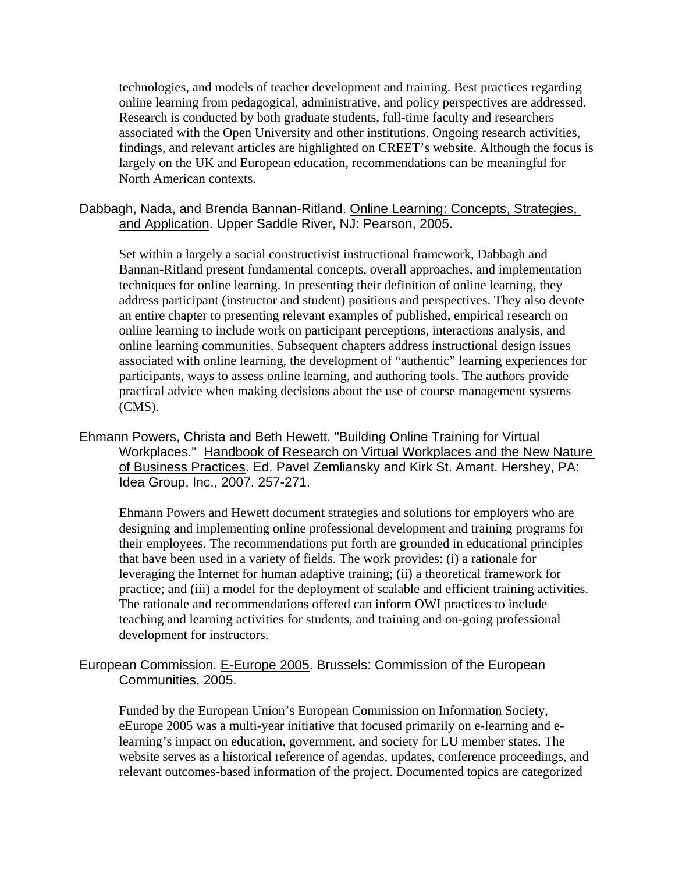technologies, and models of teacher development and training. Best practices regarding online learning from pedagogical, administrative, and policy perspectives are addressed. Research is conducted by both graduate students, full-time faculty and researchers associated with the Open University and other institutions. Ongoing research activities, findings, and relevant articles are highlighted on CREET's website. Although the focus is largely on the UK and European education, recommendations can be meaningful for North American contexts.

#### Dabbagh, Nada, and Brenda Bannan-Ritland. Online Learning: Concepts, Strategies, and Application. Upper Saddle River, NJ: Pearson, 2005.

Set within a largely a social constructivist instructional framework, Dabbagh and Bannan-Ritland present fundamental concepts, overall approaches, and implementation techniques for online learning. In presenting their definition of online learning, they address participant (instructor and student) positions and perspectives. They also devote an entire chapter to presenting relevant examples of published, empirical research on online learning to include work on participant perceptions, interactions analysis, and online learning communities. Subsequent chapters address instructional design issues associated with online learning, the development of "authentic" learning experiences for participants, ways to assess online learning, and authoring tools. The authors provide practical advice when making decisions about the use of course management systems (CMS).

Ehmann Powers, Christa and Beth Hewett. "Building Online Training for Virtual Workplaces." Handbook of Research on Virtual Workplaces and the New Nature of Business Practices. Ed. Pavel Zemliansky and Kirk St. Amant. Hershey, PA: Idea Group, Inc., 2007. 257-271.

Ehmann Powers and Hewett document strategies and solutions for employers who are designing and implementing online professional development and training programs for their employees. The recommendations put forth are grounded in educational principles that have been used in a variety of fields. The work provides: (i) a rationale for leveraging the Internet for human adaptive training; (ii) a theoretical framework for practice; and (iii) a model for the deployment of scalable and efficient training activities. The rationale and recommendations offered can inform OWI practices to include teaching and learning activities for students, and training and on-going professional development for instructors.

# European Commission. E-Europe 2005. Brussels: Commission of the European Communities, 2005.

Funded by the European Union's European Commission on Information Society, eEurope 2005 was a multi-year initiative that focused primarily on e-learning and elearning's impact on education, government, and society for EU member states. The website serves as a historical reference of agendas, updates, conference proceedings, and relevant outcomes-based information of the project. Documented topics are categorized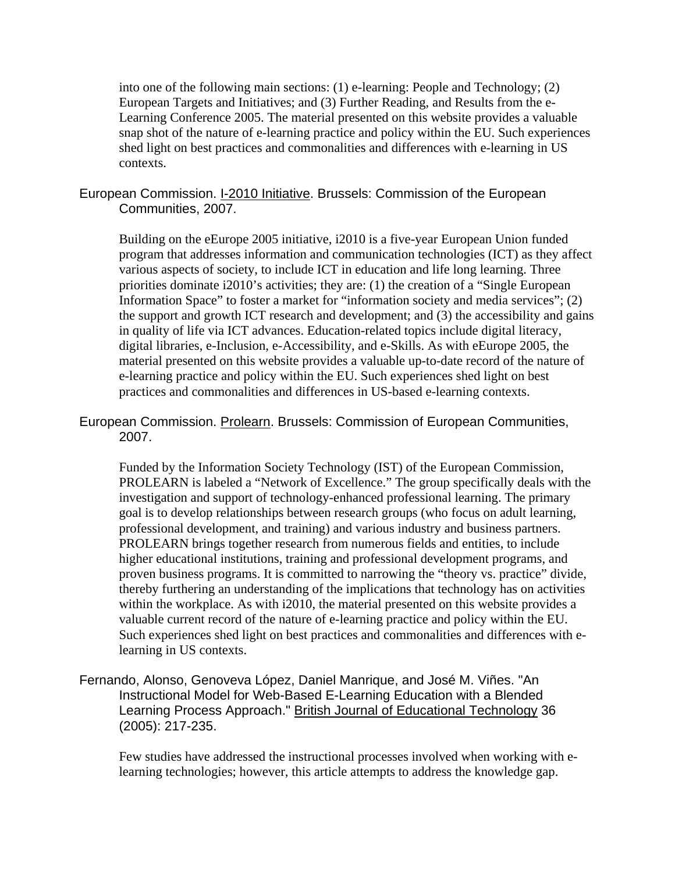into one of the following main sections: (1) e-learning: People and Technology; (2) European Targets and Initiatives; and (3) Further Reading, and Results from the e-Learning Conference 2005. The material presented on this website provides a valuable snap shot of the nature of e-learning practice and policy within the EU. Such experiences shed light on best practices and commonalities and differences with e-learning in US contexts.

#### European Commission. I-2010 Initiative. Brussels: Commission of the European Communities, 2007.

Building on the eEurope 2005 initiative, i2010 is a five-year European Union funded program that addresses information and communication technologies (ICT) as they affect various aspects of society, to include ICT in education and life long learning. Three priorities dominate i2010's activities; they are: (1) the creation of a "Single European Information Space" to foster a market for "information society and media services"; (2) the support and growth ICT research and development; and (3) the accessibility and gains in quality of life via ICT advances. Education-related topics include digital literacy, digital libraries, e-Inclusion, e-Accessibility, and e-Skills. As with eEurope 2005, the material presented on this website provides a valuable up-to-date record of the nature of e-learning practice and policy within the EU. Such experiences shed light on best practices and commonalities and differences in US-based e-learning contexts.

European Commission. Prolearn. Brussels: Commission of European Communities, 2007.

Funded by the Information Society Technology (IST) of the European Commission, PROLEARN is labeled a "Network of Excellence." The group specifically deals with the investigation and support of technology-enhanced professional learning. The primary goal is to develop relationships between research groups (who focus on adult learning, professional development, and training) and various industry and business partners. PROLEARN brings together research from numerous fields and entities, to include higher educational institutions, training and professional development programs, and proven business programs. It is committed to narrowing the "theory vs. practice" divide, thereby furthering an understanding of the implications that technology has on activities within the workplace. As with i2010, the material presented on this website provides a valuable current record of the nature of e-learning practice and policy within the EU. Such experiences shed light on best practices and commonalities and differences with elearning in US contexts.

Fernando, Alonso, Genoveva López, Daniel Manrique, and José M. Viñes. "An Instructional Model for Web-Based E-Learning Education with a Blended Learning Process Approach." British Journal of Educational Technology 36 (2005): 217-235.

Few studies have addressed the instructional processes involved when working with elearning technologies; however, this article attempts to address the knowledge gap.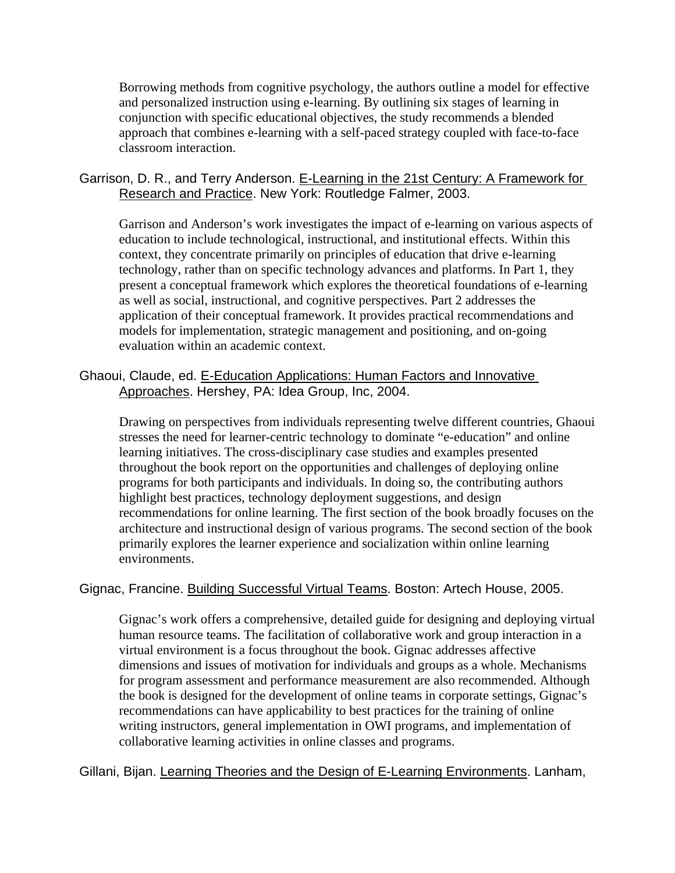Borrowing methods from cognitive psychology, the authors outline a model for effective and personalized instruction using e-learning. By outlining six stages of learning in conjunction with specific educational objectives, the study recommends a blended approach that combines e-learning with a self-paced strategy coupled with face-to-face classroom interaction.

# Garrison, D. R., and Terry Anderson. E-Learning in the 21st Century: A Framework for Research and Practice. New York: Routledge Falmer, 2003.

Garrison and Anderson's work investigates the impact of e-learning on various aspects of education to include technological, instructional, and institutional effects. Within this context, they concentrate primarily on principles of education that drive e-learning technology, rather than on specific technology advances and platforms. In Part 1, they present a conceptual framework which explores the theoretical foundations of e-learning as well as social, instructional, and cognitive perspectives. Part 2 addresses the application of their conceptual framework. It provides practical recommendations and models for implementation, strategic management and positioning, and on-going evaluation within an academic context.

# Ghaoui, Claude, ed. E-Education Applications: Human Factors and Innovative Approaches. Hershey, PA: Idea Group, Inc, 2004.

Drawing on perspectives from individuals representing twelve different countries, Ghaoui stresses the need for learner-centric technology to dominate "e-education" and online learning initiatives. The cross-disciplinary case studies and examples presented throughout the book report on the opportunities and challenges of deploying online programs for both participants and individuals. In doing so, the contributing authors highlight best practices, technology deployment suggestions, and design recommendations for online learning. The first section of the book broadly focuses on the architecture and instructional design of various programs. The second section of the book primarily explores the learner experience and socialization within online learning environments.

# Gignac, Francine. Building Successful Virtual Teams. Boston: Artech House, 2005.

Gignac's work offers a comprehensive, detailed guide for designing and deploying virtual human resource teams. The facilitation of collaborative work and group interaction in a virtual environment is a focus throughout the book. Gignac addresses affective dimensions and issues of motivation for individuals and groups as a whole. Mechanisms for program assessment and performance measurement are also recommended. Although the book is designed for the development of online teams in corporate settings, Gignac's recommendations can have applicability to best practices for the training of online writing instructors, general implementation in OWI programs, and implementation of collaborative learning activities in online classes and programs.

Gillani, Bijan. Learning Theories and the Design of E-Learning Environments. Lanham,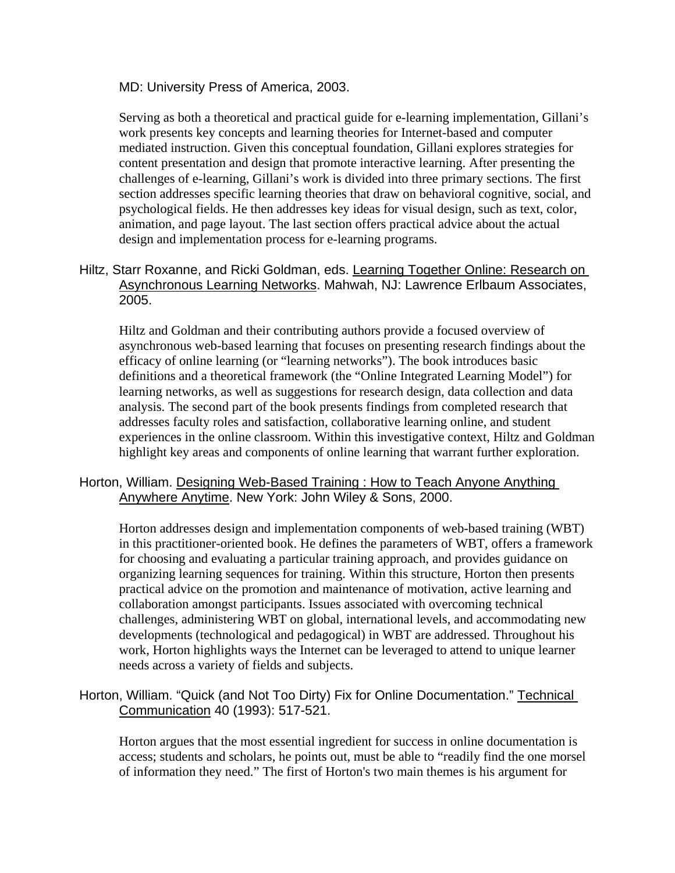#### MD: University Press of America, 2003.

Serving as both a theoretical and practical guide for e-learning implementation, Gillani's work presents key concepts and learning theories for Internet-based and computer mediated instruction. Given this conceptual foundation, Gillani explores strategies for content presentation and design that promote interactive learning. After presenting the challenges of e-learning, Gillani's work is divided into three primary sections. The first section addresses specific learning theories that draw on behavioral cognitive, social, and psychological fields. He then addresses key ideas for visual design, such as text, color, animation, and page layout. The last section offers practical advice about the actual design and implementation process for e-learning programs.

# Hiltz, Starr Roxanne, and Ricki Goldman, eds. Learning Together Online: Research on Asynchronous Learning Networks. Mahwah, NJ: Lawrence Erlbaum Associates, 2005.

Hiltz and Goldman and their contributing authors provide a focused overview of asynchronous web-based learning that focuses on presenting research findings about the efficacy of online learning (or "learning networks"). The book introduces basic definitions and a theoretical framework (the "Online Integrated Learning Model") for learning networks, as well as suggestions for research design, data collection and data analysis. The second part of the book presents findings from completed research that addresses faculty roles and satisfaction, collaborative learning online, and student experiences in the online classroom. Within this investigative context, Hiltz and Goldman highlight key areas and components of online learning that warrant further exploration.

# Horton, William. Designing Web-Based Training : How to Teach Anyone Anything Anywhere Anytime. New York: John Wiley & Sons, 2000.

Horton addresses design and implementation components of web-based training (WBT) in this practitioner-oriented book. He defines the parameters of WBT, offers a framework for choosing and evaluating a particular training approach, and provides guidance on organizing learning sequences for training. Within this structure, Horton then presents practical advice on the promotion and maintenance of motivation, active learning and collaboration amongst participants. Issues associated with overcoming technical challenges, administering WBT on global, international levels, and accommodating new developments (technological and pedagogical) in WBT are addressed. Throughout his work, Horton highlights ways the Internet can be leveraged to attend to unique learner needs across a variety of fields and subjects.

# Horton, William. "Quick (and Not Too Dirty) Fix for Online Documentation." Technical Communication 40 (1993): 517-521.

Horton argues that the most essential ingredient for success in online documentation is access; students and scholars, he points out, must be able to "readily find the one morsel of information they need." The first of Horton's two main themes is his argument for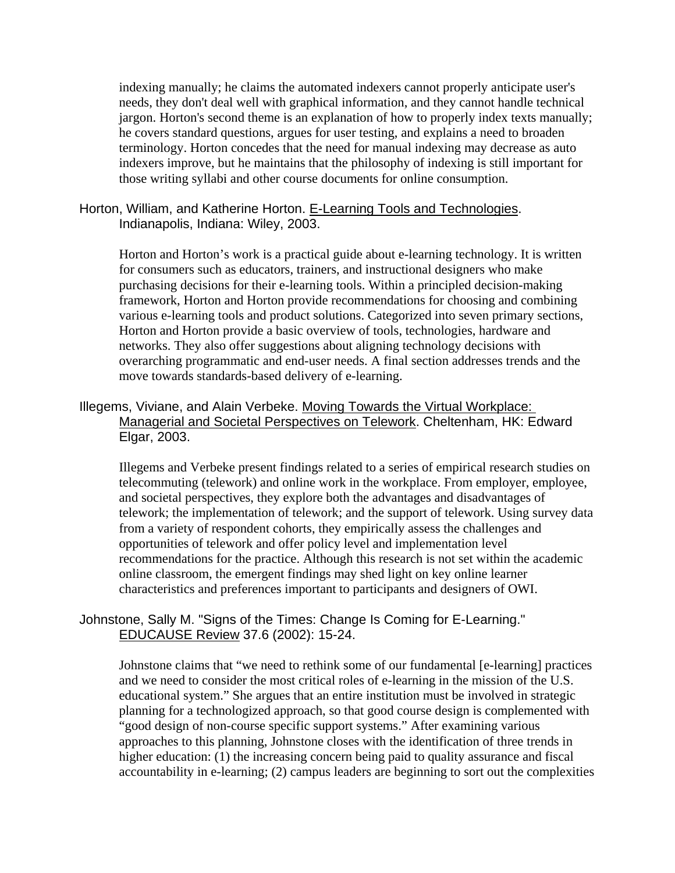indexing manually; he claims the automated indexers cannot properly anticipate user's needs, they don't deal well with graphical information, and they cannot handle technical jargon. Horton's second theme is an explanation of how to properly index texts manually; he covers standard questions, argues for user testing, and explains a need to broaden terminology. Horton concedes that the need for manual indexing may decrease as auto indexers improve, but he maintains that the philosophy of indexing is still important for those writing syllabi and other course documents for online consumption.

#### Horton, William, and Katherine Horton. E-Learning Tools and Technologies. Indianapolis, Indiana: Wiley, 2003.

Horton and Horton's work is a practical guide about e-learning technology. It is written for consumers such as educators, trainers, and instructional designers who make purchasing decisions for their e-learning tools. Within a principled decision-making framework, Horton and Horton provide recommendations for choosing and combining various e-learning tools and product solutions. Categorized into seven primary sections, Horton and Horton provide a basic overview of tools, technologies, hardware and networks. They also offer suggestions about aligning technology decisions with overarching programmatic and end-user needs. A final section addresses trends and the move towards standards-based delivery of e-learning.

# Illegems, Viviane, and Alain Verbeke. Moving Towards the Virtual Workplace: Managerial and Societal Perspectives on Telework. Cheltenham, HK: Edward Elgar, 2003.

Illegems and Verbeke present findings related to a series of empirical research studies on telecommuting (telework) and online work in the workplace. From employer, employee, and societal perspectives, they explore both the advantages and disadvantages of telework; the implementation of telework; and the support of telework. Using survey data from a variety of respondent cohorts, they empirically assess the challenges and opportunities of telework and offer policy level and implementation level recommendations for the practice. Although this research is not set within the academic online classroom, the emergent findings may shed light on key online learner characteristics and preferences important to participants and designers of OWI.

#### Johnstone, Sally M. "Signs of the Times: Change Is Coming for E-Learning." EDUCAUSE Review 37.6 (2002): 15-24.

Johnstone claims that "we need to rethink some of our fundamental [e-learning] practices and we need to consider the most critical roles of e-learning in the mission of the U.S. educational system." She argues that an entire institution must be involved in strategic planning for a technologized approach, so that good course design is complemented with "good design of non-course specific support systems." After examining various approaches to this planning, Johnstone closes with the identification of three trends in higher education: (1) the increasing concern being paid to quality assurance and fiscal accountability in e-learning; (2) campus leaders are beginning to sort out the complexities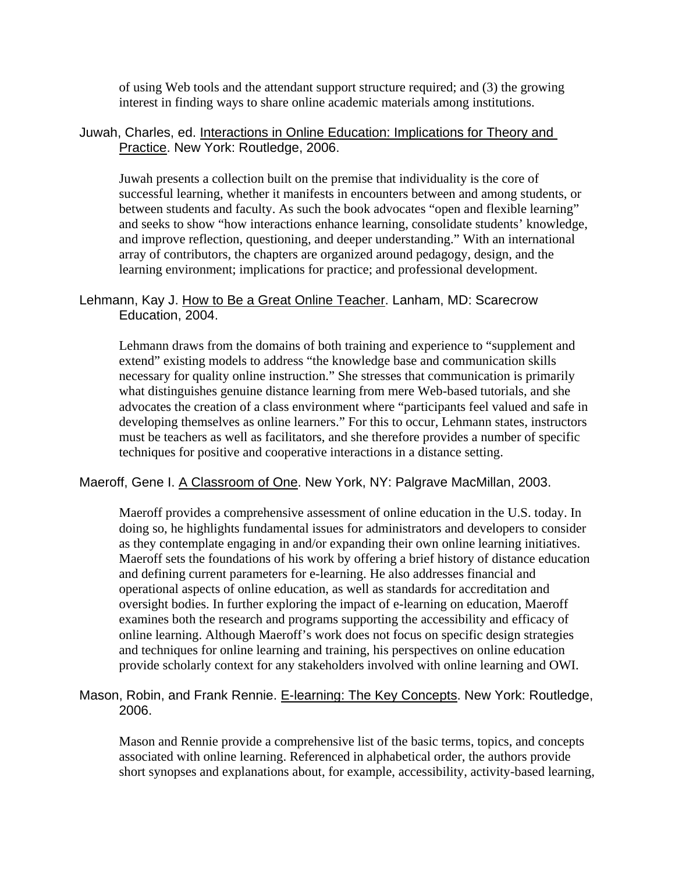of using Web tools and the attendant support structure required; and (3) the growing interest in finding ways to share online academic materials among institutions.

# Juwah, Charles, ed. Interactions in Online Education: Implications for Theory and Practice. New York: Routledge, 2006.

Juwah presents a collection built on the premise that individuality is the core of successful learning, whether it manifests in encounters between and among students, or between students and faculty. As such the book advocates "open and flexible learning" and seeks to show "how interactions enhance learning, consolidate students' knowledge, and improve reflection, questioning, and deeper understanding." With an international array of contributors, the chapters are organized around pedagogy, design, and the learning environment; implications for practice; and professional development.

# Lehmann, Kay J. How to Be a Great Online Teacher. Lanham, MD: Scarecrow Education, 2004.

Lehmann draws from the domains of both training and experience to "supplement and extend" existing models to address "the knowledge base and communication skills necessary for quality online instruction." She stresses that communication is primarily what distinguishes genuine distance learning from mere Web-based tutorials, and she advocates the creation of a class environment where "participants feel valued and safe in developing themselves as online learners." For this to occur, Lehmann states, instructors must be teachers as well as facilitators, and she therefore provides a number of specific techniques for positive and cooperative interactions in a distance setting.

#### Maeroff, Gene I. A Classroom of One. New York, NY: Palgrave MacMillan, 2003.

Maeroff provides a comprehensive assessment of online education in the U.S. today. In doing so, he highlights fundamental issues for administrators and developers to consider as they contemplate engaging in and/or expanding their own online learning initiatives. Maeroff sets the foundations of his work by offering a brief history of distance education and defining current parameters for e-learning. He also addresses financial and operational aspects of online education, as well as standards for accreditation and oversight bodies. In further exploring the impact of e-learning on education, Maeroff examines both the research and programs supporting the accessibility and efficacy of online learning. Although Maeroff's work does not focus on specific design strategies and techniques for online learning and training, his perspectives on online education provide scholarly context for any stakeholders involved with online learning and OWI.

# Mason, Robin, and Frank Rennie. E-learning: The Key Concepts. New York: Routledge, 2006.

Mason and Rennie provide a comprehensive list of the basic terms, topics, and concepts associated with online learning. Referenced in alphabetical order, the authors provide short synopses and explanations about, for example, accessibility, activity-based learning,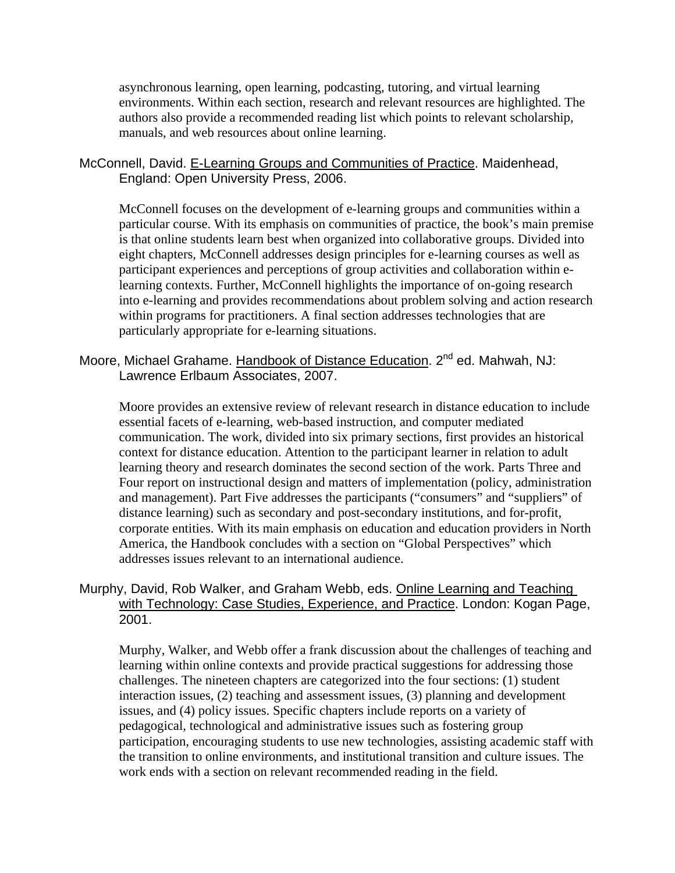asynchronous learning, open learning, podcasting, tutoring, and virtual learning environments. Within each section, research and relevant resources are highlighted. The authors also provide a recommended reading list which points to relevant scholarship, manuals, and web resources about online learning.

#### McConnell, David. E-Learning Groups and Communities of Practice. Maidenhead, England: Open University Press, 2006.

McConnell focuses on the development of e-learning groups and communities within a particular course. With its emphasis on communities of practice, the book's main premise is that online students learn best when organized into collaborative groups. Divided into eight chapters, McConnell addresses design principles for e-learning courses as well as participant experiences and perceptions of group activities and collaboration within elearning contexts. Further, McConnell highlights the importance of on-going research into e-learning and provides recommendations about problem solving and action research within programs for practitioners. A final section addresses technologies that are particularly appropriate for e-learning situations.

# Moore, Michael Grahame. Handbook of Distance Education. 2<sup>nd</sup> ed. Mahwah, NJ: Lawrence Erlbaum Associates, 2007.

Moore provides an extensive review of relevant research in distance education to include essential facets of e-learning, web-based instruction, and computer mediated communication. The work, divided into six primary sections, first provides an historical context for distance education. Attention to the participant learner in relation to adult learning theory and research dominates the second section of the work. Parts Three and Four report on instructional design and matters of implementation (policy, administration and management). Part Five addresses the participants ("consumers" and "suppliers" of distance learning) such as secondary and post-secondary institutions, and for-profit, corporate entities. With its main emphasis on education and education providers in North America, the Handbook concludes with a section on "Global Perspectives" which addresses issues relevant to an international audience.

# Murphy, David, Rob Walker, and Graham Webb, eds. Online Learning and Teaching with Technology: Case Studies, Experience, and Practice. London: Kogan Page, 2001.

Murphy, Walker, and Webb offer a frank discussion about the challenges of teaching and learning within online contexts and provide practical suggestions for addressing those challenges. The nineteen chapters are categorized into the four sections: (1) student interaction issues, (2) teaching and assessment issues, (3) planning and development issues, and (4) policy issues. Specific chapters include reports on a variety of pedagogical, technological and administrative issues such as fostering group participation, encouraging students to use new technologies, assisting academic staff with the transition to online environments, and institutional transition and culture issues. The work ends with a section on relevant recommended reading in the field.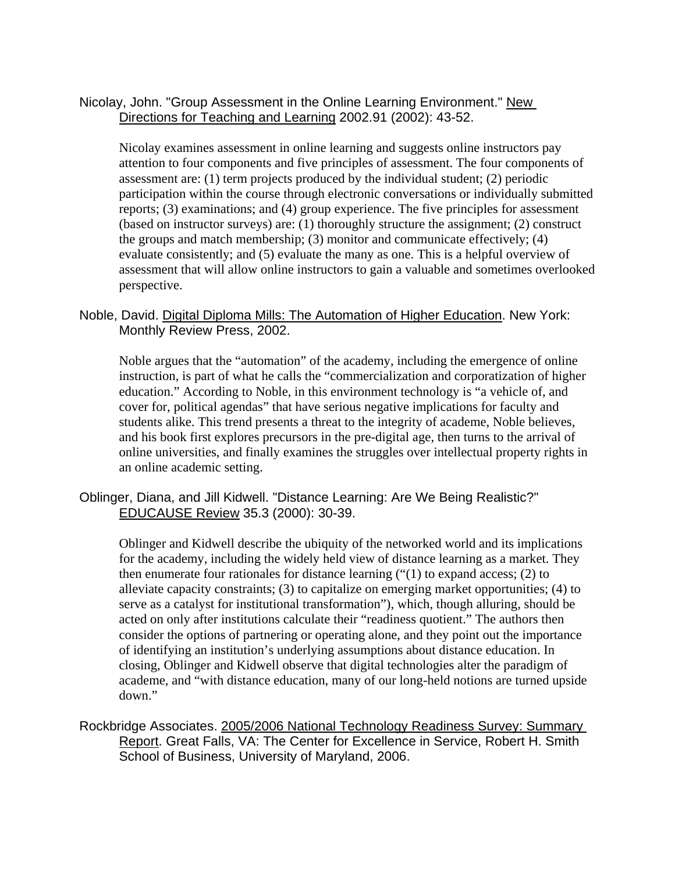Nicolay, John. "Group Assessment in the Online Learning Environment." New Directions for Teaching and Learning 2002.91 (2002): 43-52.

Nicolay examines assessment in online learning and suggests online instructors pay attention to four components and five principles of assessment. The four components of assessment are: (1) term projects produced by the individual student; (2) periodic participation within the course through electronic conversations or individually submitted reports; (3) examinations; and (4) group experience. The five principles for assessment (based on instructor surveys) are: (1) thoroughly structure the assignment; (2) construct the groups and match membership; (3) monitor and communicate effectively; (4) evaluate consistently; and (5) evaluate the many as one. This is a helpful overview of assessment that will allow online instructors to gain a valuable and sometimes overlooked perspective.

#### Noble, David. Digital Diploma Mills: The Automation of Higher Education. New York: Monthly Review Press, 2002.

Noble argues that the "automation" of the academy, including the emergence of online instruction, is part of what he calls the "commercialization and corporatization of higher education." According to Noble, in this environment technology is "a vehicle of, and cover for, political agendas" that have serious negative implications for faculty and students alike. This trend presents a threat to the integrity of academe, Noble believes, and his book first explores precursors in the pre-digital age, then turns to the arrival of online universities, and finally examines the struggles over intellectual property rights in an online academic setting.

# Oblinger, Diana, and Jill Kidwell. "Distance Learning: Are We Being Realistic?" EDUCAUSE Review 35.3 (2000): 30-39.

Oblinger and Kidwell describe the ubiquity of the networked world and its implications for the academy, including the widely held view of distance learning as a market. They then enumerate four rationales for distance learning  $("1)$  to expand access;  $(2)$  to alleviate capacity constraints; (3) to capitalize on emerging market opportunities; (4) to serve as a catalyst for institutional transformation"), which, though alluring, should be acted on only after institutions calculate their "readiness quotient." The authors then consider the options of partnering or operating alone, and they point out the importance of identifying an institution's underlying assumptions about distance education. In closing, Oblinger and Kidwell observe that digital technologies alter the paradigm of academe, and "with distance education, many of our long-held notions are turned upside down."

Rockbridge Associates. 2005/2006 National Technology Readiness Survey: Summary Report. Great Falls, VA: The Center for Excellence in Service, Robert H. Smith School of Business, University of Maryland, 2006.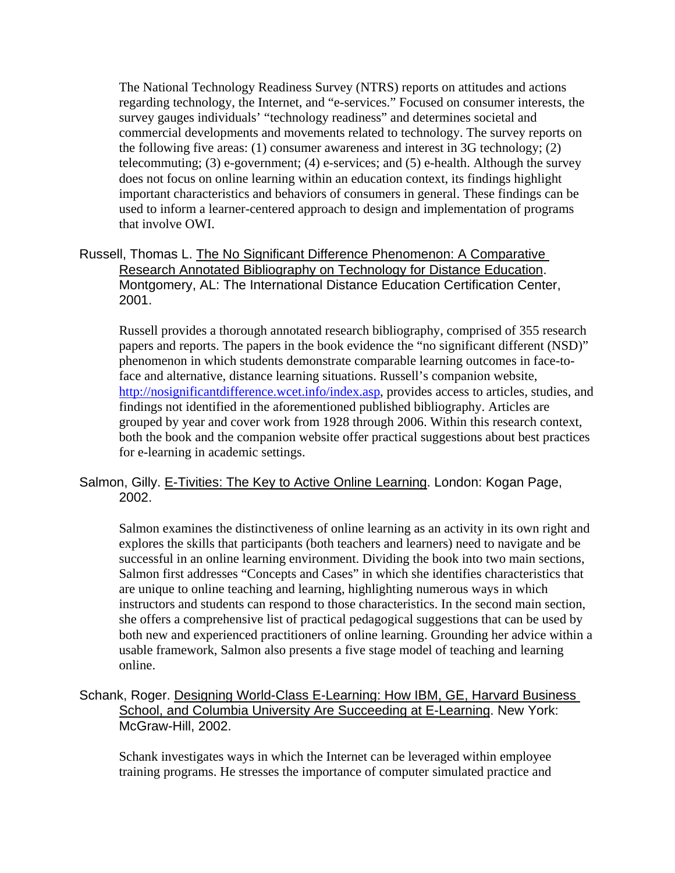The National Technology Readiness Survey (NTRS) reports on attitudes and actions regarding technology, the Internet, and "e-services." Focused on consumer interests, the survey gauges individuals' "technology readiness" and determines societal and commercial developments and movements related to technology. The survey reports on the following five areas: (1) consumer awareness and interest in 3G technology; (2) telecommuting; (3) e-government; (4) e-services; and (5) e-health. Although the survey does not focus on online learning within an education context, its findings highlight important characteristics and behaviors of consumers in general. These findings can be used to inform a learner-centered approach to design and implementation of programs that involve OWI.

Russell, Thomas L. The No Significant Difference Phenomenon: A Comparative Research Annotated Bibliography on Technology for Distance Education. Montgomery, AL: The International Distance Education Certification Center, 2001.

Russell provides a thorough annotated research bibliography, comprised of 355 research papers and reports. The papers in the book evidence the "no significant different (NSD)" phenomenon in which students demonstrate comparable learning outcomes in face-toface and alternative, distance learning situations. Russell's companion website, http://nosignificantdifference.wcet.info/index.asp, provides access to articles, studies, and findings not identified in the aforementioned published bibliography. Articles are grouped by year and cover work from 1928 through 2006. Within this research context, both the book and the companion website offer practical suggestions about best practices for e-learning in academic settings.

#### Salmon, Gilly. E-Tivities: The Key to Active Online Learning. London: Kogan Page, 2002.

Salmon examines the distinctiveness of online learning as an activity in its own right and explores the skills that participants (both teachers and learners) need to navigate and be successful in an online learning environment. Dividing the book into two main sections, Salmon first addresses "Concepts and Cases" in which she identifies characteristics that are unique to online teaching and learning, highlighting numerous ways in which instructors and students can respond to those characteristics. In the second main section, she offers a comprehensive list of practical pedagogical suggestions that can be used by both new and experienced practitioners of online learning. Grounding her advice within a usable framework, Salmon also presents a five stage model of teaching and learning online.

# Schank, Roger. Designing World-Class E-Learning: How IBM, GE, Harvard Business School, and Columbia University Are Succeeding at E-Learning. New York: McGraw-Hill, 2002.

Schank investigates ways in which the Internet can be leveraged within employee training programs. He stresses the importance of computer simulated practice and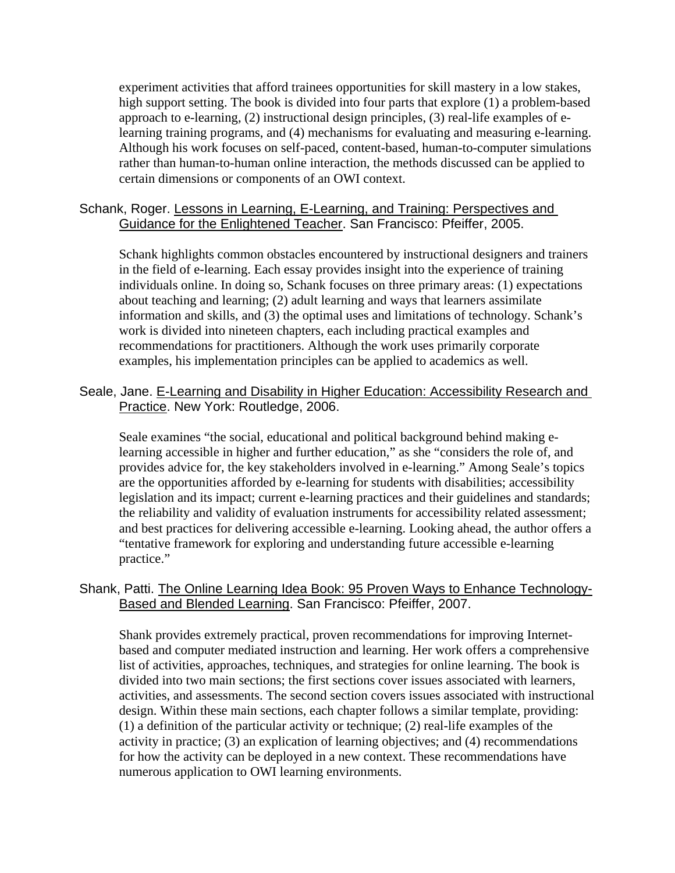experiment activities that afford trainees opportunities for skill mastery in a low stakes, high support setting. The book is divided into four parts that explore (1) a problem-based approach to e-learning, (2) instructional design principles, (3) real-life examples of elearning training programs, and (4) mechanisms for evaluating and measuring e-learning. Although his work focuses on self-paced, content-based, human-to-computer simulations rather than human-to-human online interaction, the methods discussed can be applied to certain dimensions or components of an OWI context.

#### Schank, Roger. Lessons in Learning, E-Learning, and Training: Perspectives and Guidance for the Enlightened Teacher. San Francisco: Pfeiffer, 2005.

Schank highlights common obstacles encountered by instructional designers and trainers in the field of e-learning. Each essay provides insight into the experience of training individuals online. In doing so, Schank focuses on three primary areas: (1) expectations about teaching and learning; (2) adult learning and ways that learners assimilate information and skills, and (3) the optimal uses and limitations of technology. Schank's work is divided into nineteen chapters, each including practical examples and recommendations for practitioners. Although the work uses primarily corporate examples, his implementation principles can be applied to academics as well.

#### Seale, Jane. E-Learning and Disability in Higher Education: Accessibility Research and Practice. New York: Routledge, 2006.

Seale examines "the social, educational and political background behind making elearning accessible in higher and further education," as she "considers the role of, and provides advice for, the key stakeholders involved in e-learning." Among Seale's topics are the opportunities afforded by e-learning for students with disabilities; accessibility legislation and its impact; current e-learning practices and their guidelines and standards; the reliability and validity of evaluation instruments for accessibility related assessment; and best practices for delivering accessible e-learning. Looking ahead, the author offers a "tentative framework for exploring and understanding future accessible e-learning practice."

#### Shank, Patti. The Online Learning Idea Book: 95 Proven Ways to Enhance Technology-Based and Blended Learning. San Francisco: Pfeiffer, 2007.

Shank provides extremely practical, proven recommendations for improving Internetbased and computer mediated instruction and learning. Her work offers a comprehensive list of activities, approaches, techniques, and strategies for online learning. The book is divided into two main sections; the first sections cover issues associated with learners, activities, and assessments. The second section covers issues associated with instructional design. Within these main sections, each chapter follows a similar template, providing: (1) a definition of the particular activity or technique; (2) real-life examples of the activity in practice; (3) an explication of learning objectives; and (4) recommendations for how the activity can be deployed in a new context. These recommendations have numerous application to OWI learning environments.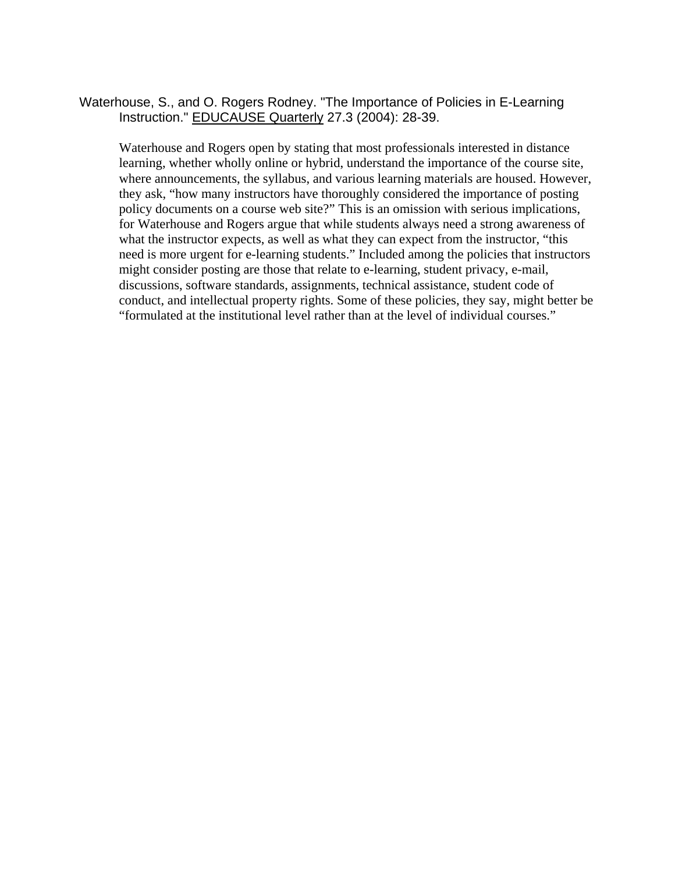Waterhouse, S., and O. Rogers Rodney. "The Importance of Policies in E-Learning Instruction." EDUCAUSE Quarterly 27.3 (2004): 28-39.

Waterhouse and Rogers open by stating that most professionals interested in distance learning, whether wholly online or hybrid, understand the importance of the course site, where announcements, the syllabus, and various learning materials are housed. However, they ask, "how many instructors have thoroughly considered the importance of posting policy documents on a course web site?" This is an omission with serious implications, for Waterhouse and Rogers argue that while students always need a strong awareness of what the instructor expects, as well as what they can expect from the instructor, "this need is more urgent for e-learning students." Included among the policies that instructors might consider posting are those that relate to e-learning, student privacy, e-mail, discussions, software standards, assignments, technical assistance, student code of conduct, and intellectual property rights. Some of these policies, they say, might better be "formulated at the institutional level rather than at the level of individual courses."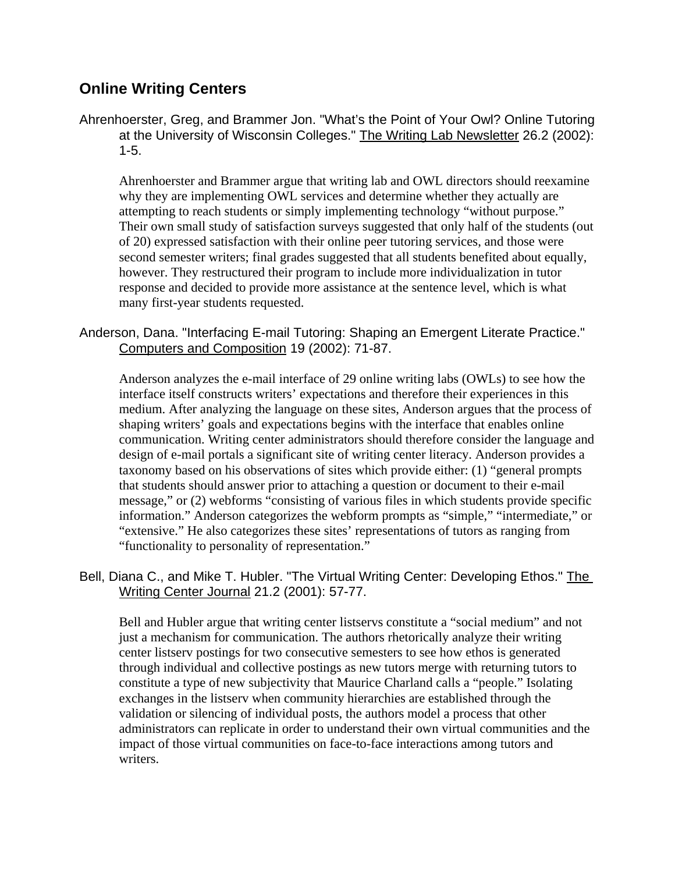# **Online Writing Centers**

Ahrenhoerster, Greg, and Brammer Jon. "What's the Point of Your Owl? Online Tutoring at the University of Wisconsin Colleges." The Writing Lab Newsletter 26.2 (2002): 1-5.

Ahrenhoerster and Brammer argue that writing lab and OWL directors should reexamine why they are implementing OWL services and determine whether they actually are attempting to reach students or simply implementing technology "without purpose." Their own small study of satisfaction surveys suggested that only half of the students (out of 20) expressed satisfaction with their online peer tutoring services, and those were second semester writers; final grades suggested that all students benefited about equally, however. They restructured their program to include more individualization in tutor response and decided to provide more assistance at the sentence level, which is what many first-year students requested.

# Anderson, Dana. "Interfacing E-mail Tutoring: Shaping an Emergent Literate Practice." Computers and Composition 19 (2002): 71-87.

Anderson analyzes the e-mail interface of 29 online writing labs (OWLs) to see how the interface itself constructs writers' expectations and therefore their experiences in this medium. After analyzing the language on these sites, Anderson argues that the process of shaping writers' goals and expectations begins with the interface that enables online communication. Writing center administrators should therefore consider the language and design of e-mail portals a significant site of writing center literacy. Anderson provides a taxonomy based on his observations of sites which provide either: (1) "general prompts that students should answer prior to attaching a question or document to their e-mail message," or (2) webforms "consisting of various files in which students provide specific information." Anderson categorizes the webform prompts as "simple," "intermediate," or "extensive." He also categorizes these sites' representations of tutors as ranging from "functionality to personality of representation."

# Bell, Diana C., and Mike T. Hubler. "The Virtual Writing Center: Developing Ethos." The Writing Center Journal 21.2 (2001): 57-77.

Bell and Hubler argue that writing center listservs constitute a "social medium" and not just a mechanism for communication. The authors rhetorically analyze their writing center listserv postings for two consecutive semesters to see how ethos is generated through individual and collective postings as new tutors merge with returning tutors to constitute a type of new subjectivity that Maurice Charland calls a "people." Isolating exchanges in the listserv when community hierarchies are established through the validation or silencing of individual posts, the authors model a process that other administrators can replicate in order to understand their own virtual communities and the impact of those virtual communities on face-to-face interactions among tutors and writers.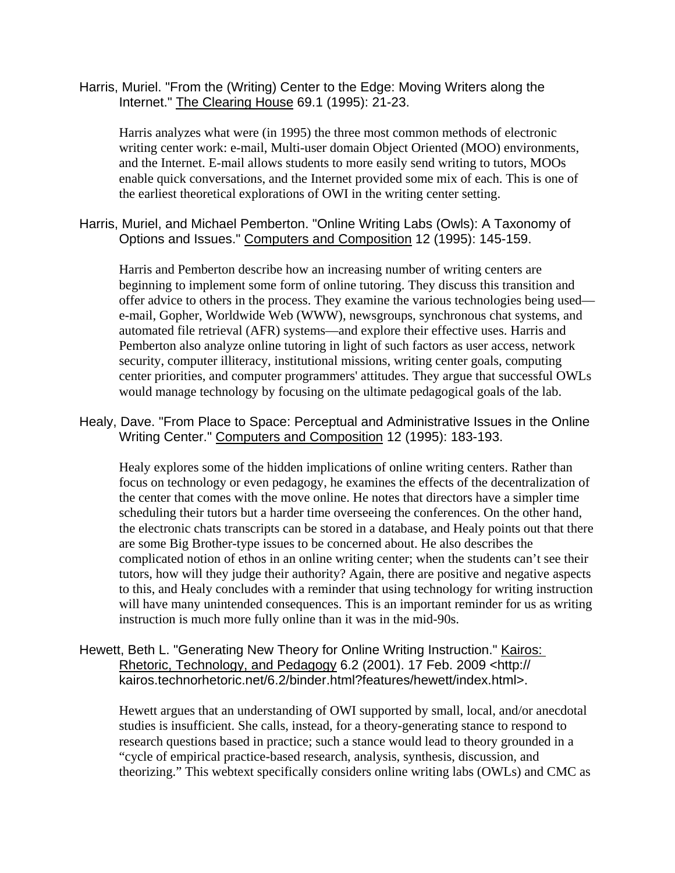Harris, Muriel. "From the (Writing) Center to the Edge: Moving Writers along the Internet." The Clearing House 69.1 (1995): 21-23.

Harris analyzes what were (in 1995) the three most common methods of electronic writing center work: e-mail, Multi-user domain Object Oriented (MOO) environments, and the Internet. E-mail allows students to more easily send writing to tutors, MOOs enable quick conversations, and the Internet provided some mix of each. This is one of the earliest theoretical explorations of OWI in the writing center setting.

Harris, Muriel, and Michael Pemberton. "Online Writing Labs (Owls): A Taxonomy of Options and Issues." Computers and Composition 12 (1995): 145-159.

Harris and Pemberton describe how an increasing number of writing centers are beginning to implement some form of online tutoring. They discuss this transition and offer advice to others in the process. They examine the various technologies being used e-mail, Gopher, Worldwide Web (WWW), newsgroups, synchronous chat systems, and automated file retrieval (AFR) systems—and explore their effective uses. Harris and Pemberton also analyze online tutoring in light of such factors as user access, network security, computer illiteracy, institutional missions, writing center goals, computing center priorities, and computer programmers' attitudes. They argue that successful OWLs would manage technology by focusing on the ultimate pedagogical goals of the lab.

Healy, Dave. "From Place to Space: Perceptual and Administrative Issues in the Online Writing Center." Computers and Composition 12 (1995): 183-193.

Healy explores some of the hidden implications of online writing centers. Rather than focus on technology or even pedagogy, he examines the effects of the decentralization of the center that comes with the move online. He notes that directors have a simpler time scheduling their tutors but a harder time overseeing the conferences. On the other hand, the electronic chats transcripts can be stored in a database, and Healy points out that there are some Big Brother-type issues to be concerned about. He also describes the complicated notion of ethos in an online writing center; when the students can't see their tutors, how will they judge their authority? Again, there are positive and negative aspects to this, and Healy concludes with a reminder that using technology for writing instruction will have many unintended consequences. This is an important reminder for us as writing instruction is much more fully online than it was in the mid-90s.

#### Hewett, Beth L. "Generating New Theory for Online Writing Instruction." Kairos: Rhetoric, Technology, and Pedagogy 6.2 (2001). 17 Feb. 2009 <http:// kairos.technorhetoric.net/6.2/binder.html?features/hewett/index.html>.

Hewett argues that an understanding of OWI supported by small, local, and/or anecdotal studies is insufficient. She calls, instead, for a theory-generating stance to respond to research questions based in practice; such a stance would lead to theory grounded in a "cycle of empirical practice-based research, analysis, synthesis, discussion, and theorizing." This webtext specifically considers online writing labs (OWLs) and CMC as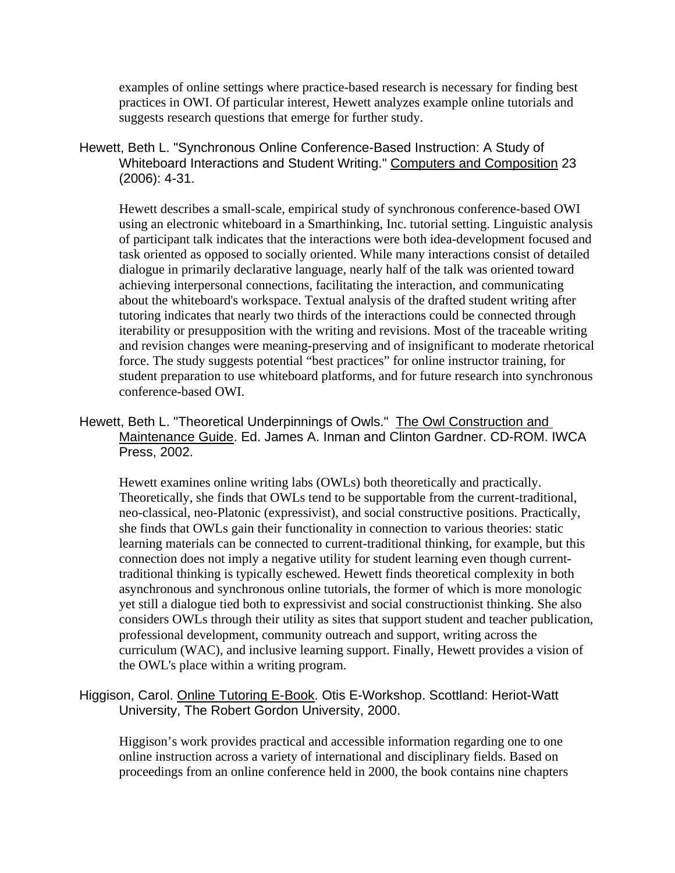examples of online settings where practice-based research is necessary for finding best practices in OWI. Of particular interest, Hewett analyzes example online tutorials and suggests research questions that emerge for further study.

Hewett, Beth L. "Synchronous Online Conference-Based Instruction: A Study of Whiteboard Interactions and Student Writing." Computers and Composition 23 (2006): 4-31.

Hewett describes a small-scale, empirical study of synchronous conference-based OWI using an electronic whiteboard in a Smarthinking, Inc. tutorial setting. Linguistic analysis of participant talk indicates that the interactions were both idea-development focused and task oriented as opposed to socially oriented. While many interactions consist of detailed dialogue in primarily declarative language, nearly half of the talk was oriented toward achieving interpersonal connections, facilitating the interaction, and communicating about the whiteboard's workspace. Textual analysis of the drafted student writing after tutoring indicates that nearly two thirds of the interactions could be connected through iterability or presupposition with the writing and revisions. Most of the traceable writing and revision changes were meaning-preserving and of insignificant to moderate rhetorical force. The study suggests potential "best practices" for online instructor training, for student preparation to use whiteboard platforms, and for future research into synchronous conference-based OWI.

Hewett, Beth L. "Theoretical Underpinnings of Owls." The Owl Construction and Maintenance Guide. Ed. James A. Inman and Clinton Gardner. CD-ROM. IWCA Press, 2002.

Hewett examines online writing labs (OWLs) both theoretically and practically. Theoretically, she finds that OWLs tend to be supportable from the current-traditional, neo-classical, neo-Platonic (expressivist), and social constructive positions. Practically, she finds that OWLs gain their functionality in connection to various theories: static learning materials can be connected to current-traditional thinking, for example, but this connection does not imply a negative utility for student learning even though currenttraditional thinking is typically eschewed. Hewett finds theoretical complexity in both asynchronous and synchronous online tutorials, the former of which is more monologic yet still a dialogue tied both to expressivist and social constructionist thinking. She also considers OWLs through their utility as sites that support student and teacher publication, professional development, community outreach and support, writing across the curriculum (WAC), and inclusive learning support. Finally, Hewett provides a vision of the OWL's place within a writing program.

# Higgison, Carol. Online Tutoring E-Book. Otis E-Workshop. Scottland: Heriot-Watt University, The Robert Gordon University, 2000.

Higgison's work provides practical and accessible information regarding one to one online instruction across a variety of international and disciplinary fields. Based on proceedings from an online conference held in 2000, the book contains nine chapters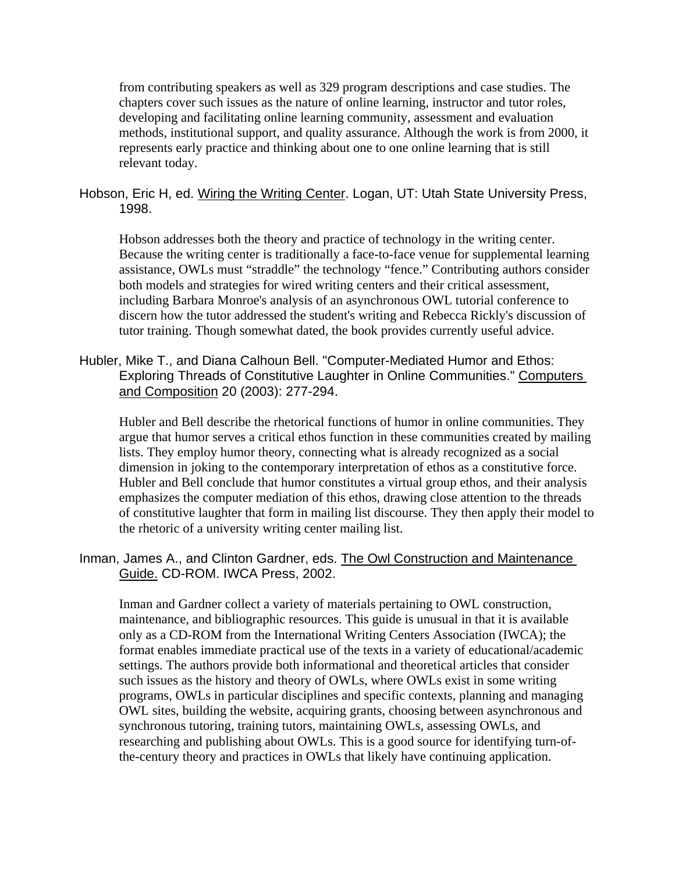from contributing speakers as well as 329 program descriptions and case studies. The chapters cover such issues as the nature of online learning, instructor and tutor roles, developing and facilitating online learning community, assessment and evaluation methods, institutional support, and quality assurance. Although the work is from 2000, it represents early practice and thinking about one to one online learning that is still relevant today.

Hobson, Eric H, ed. Wiring the Writing Center. Logan, UT: Utah State University Press, 1998.

Hobson addresses both the theory and practice of technology in the writing center. Because the writing center is traditionally a face-to-face venue for supplemental learning assistance, OWLs must "straddle" the technology "fence." Contributing authors consider both models and strategies for wired writing centers and their critical assessment, including Barbara Monroe's analysis of an asynchronous OWL tutorial conference to discern how the tutor addressed the student's writing and Rebecca Rickly's discussion of tutor training. Though somewhat dated, the book provides currently useful advice.

Hubler, Mike T., and Diana Calhoun Bell. "Computer-Mediated Humor and Ethos: Exploring Threads of Constitutive Laughter in Online Communities." Computers and Composition 20 (2003): 277-294.

Hubler and Bell describe the rhetorical functions of humor in online communities. They argue that humor serves a critical ethos function in these communities created by mailing lists. They employ humor theory, connecting what is already recognized as a social dimension in joking to the contemporary interpretation of ethos as a constitutive force. Hubler and Bell conclude that humor constitutes a virtual group ethos, and their analysis emphasizes the computer mediation of this ethos, drawing close attention to the threads of constitutive laughter that form in mailing list discourse. They then apply their model to the rhetoric of a university writing center mailing list.

Inman, James A., and Clinton Gardner, eds. The Owl Construction and Maintenance Guide. CD-ROM. IWCA Press, 2002.

Inman and Gardner collect a variety of materials pertaining to OWL construction, maintenance, and bibliographic resources. This guide is unusual in that it is available only as a CD-ROM from the International Writing Centers Association (IWCA); the format enables immediate practical use of the texts in a variety of educational/academic settings. The authors provide both informational and theoretical articles that consider such issues as the history and theory of OWLs, where OWLs exist in some writing programs, OWLs in particular disciplines and specific contexts, planning and managing OWL sites, building the website, acquiring grants, choosing between asynchronous and synchronous tutoring, training tutors, maintaining OWLs, assessing OWLs, and researching and publishing about OWLs. This is a good source for identifying turn-ofthe-century theory and practices in OWLs that likely have continuing application.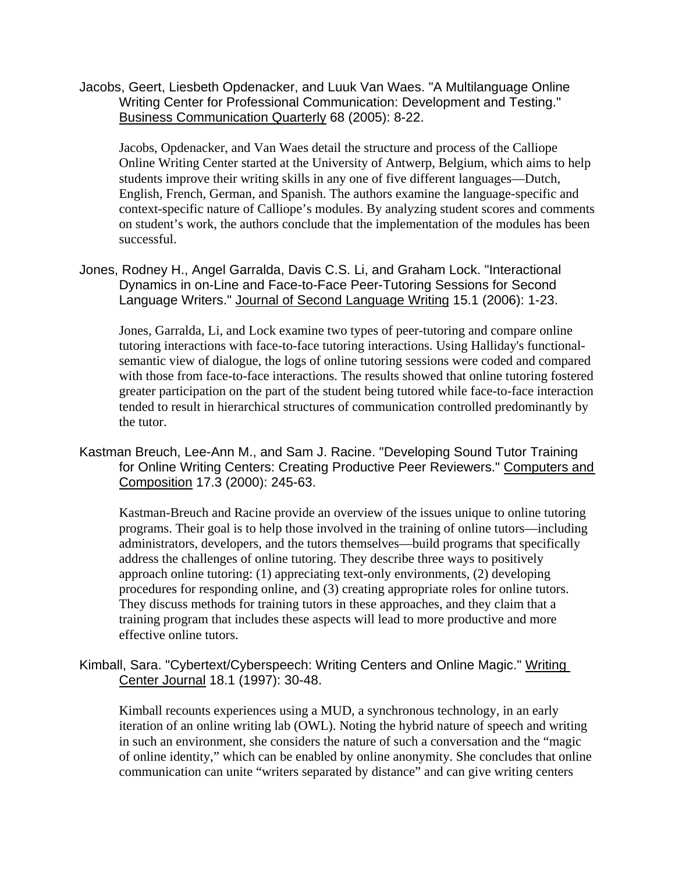Jacobs, Geert, Liesbeth Opdenacker, and Luuk Van Waes. "A Multilanguage Online Writing Center for Professional Communication: Development and Testing." Business Communication Quarterly 68 (2005): 8-22.

Jacobs, Opdenacker, and Van Waes detail the structure and process of the Calliope Online Writing Center started at the University of Antwerp, Belgium, which aims to help students improve their writing skills in any one of five different languages—Dutch, English, French, German, and Spanish. The authors examine the language-specific and context-specific nature of Calliope's modules. By analyzing student scores and comments on student's work, the authors conclude that the implementation of the modules has been successful.

Jones, Rodney H., Angel Garralda, Davis C.S. Li, and Graham Lock. "Interactional Dynamics in on-Line and Face-to-Face Peer-Tutoring Sessions for Second Language Writers." Journal of Second Language Writing 15.1 (2006): 1-23.

Jones, Garralda, Li, and Lock examine two types of peer-tutoring and compare online tutoring interactions with face-to-face tutoring interactions. Using Halliday's functionalsemantic view of dialogue, the logs of online tutoring sessions were coded and compared with those from face-to-face interactions. The results showed that online tutoring fostered greater participation on the part of the student being tutored while face-to-face interaction tended to result in hierarchical structures of communication controlled predominantly by the tutor.

Kastman Breuch, Lee-Ann M., and Sam J. Racine. "Developing Sound Tutor Training for Online Writing Centers: Creating Productive Peer Reviewers." Computers and Composition 17.3 (2000): 245-63.

 Kastman-Breuch and Racine provide an overview of the issues unique to online tutoring programs. Their goal is to help those involved in the training of online tutors—including administrators, developers, and the tutors themselves—build programs that specifically address the challenges of online tutoring. They describe three ways to positively approach online tutoring: (1) appreciating text-only environments, (2) developing procedures for responding online, and (3) creating appropriate roles for online tutors. They discuss methods for training tutors in these approaches, and they claim that a training program that includes these aspects will lead to more productive and more effective online tutors.

Kimball, Sara. "Cybertext/Cyberspeech: Writing Centers and Online Magic." Writing Center Journal 18.1 (1997): 30-48.

Kimball recounts experiences using a MUD, a synchronous technology, in an early iteration of an online writing lab (OWL). Noting the hybrid nature of speech and writing in such an environment, she considers the nature of such a conversation and the "magic of online identity," which can be enabled by online anonymity. She concludes that online communication can unite "writers separated by distance" and can give writing centers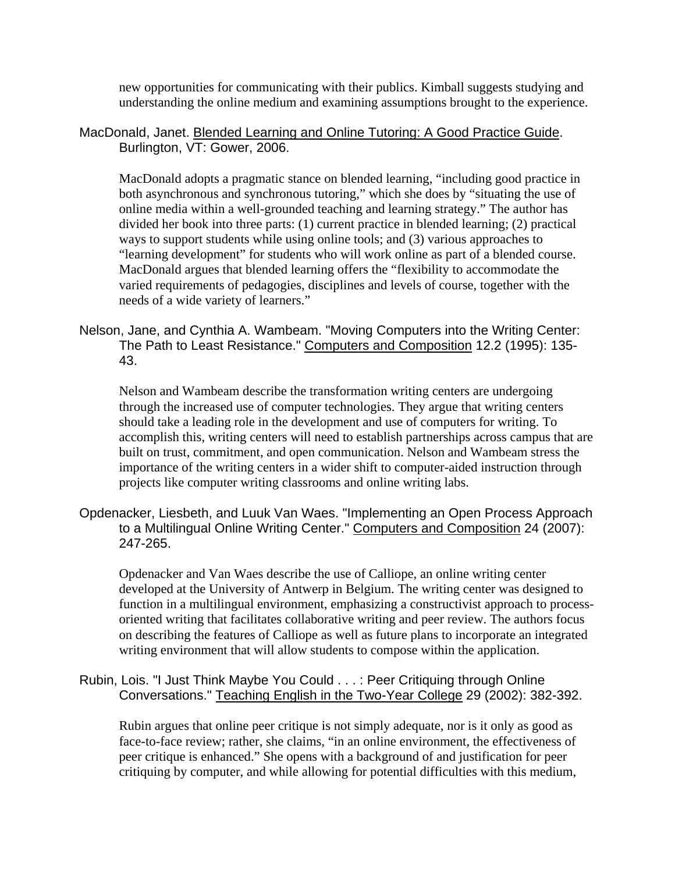new opportunities for communicating with their publics. Kimball suggests studying and understanding the online medium and examining assumptions brought to the experience.

MacDonald, Janet. Blended Learning and Online Tutoring: A Good Practice Guide. Burlington, VT: Gower, 2006.

MacDonald adopts a pragmatic stance on blended learning, "including good practice in both asynchronous and synchronous tutoring," which she does by "situating the use of online media within a well-grounded teaching and learning strategy." The author has divided her book into three parts: (1) current practice in blended learning; (2) practical ways to support students while using online tools; and (3) various approaches to "learning development" for students who will work online as part of a blended course. MacDonald argues that blended learning offers the "flexibility to accommodate the varied requirements of pedagogies, disciplines and levels of course, together with the needs of a wide variety of learners."

Nelson, Jane, and Cynthia A. Wambeam. "Moving Computers into the Writing Center: The Path to Least Resistance." Computers and Composition 12.2 (1995): 135- 43.

Nelson and Wambeam describe the transformation writing centers are undergoing through the increased use of computer technologies. They argue that writing centers should take a leading role in the development and use of computers for writing. To accomplish this, writing centers will need to establish partnerships across campus that are built on trust, commitment, and open communication. Nelson and Wambeam stress the importance of the writing centers in a wider shift to computer-aided instruction through projects like computer writing classrooms and online writing labs.

Opdenacker, Liesbeth, and Luuk Van Waes. "Implementing an Open Process Approach to a Multilingual Online Writing Center." Computers and Composition 24 (2007): 247-265.

Opdenacker and Van Waes describe the use of Calliope, an online writing center developed at the University of Antwerp in Belgium. The writing center was designed to function in a multilingual environment, emphasizing a constructivist approach to processoriented writing that facilitates collaborative writing and peer review. The authors focus on describing the features of Calliope as well as future plans to incorporate an integrated writing environment that will allow students to compose within the application.

# Rubin, Lois. "I Just Think Maybe You Could . . . : Peer Critiquing through Online Conversations." Teaching English in the Two-Year College 29 (2002): 382-392.

Rubin argues that online peer critique is not simply adequate, nor is it only as good as face-to-face review; rather, she claims, "in an online environment, the effectiveness of peer critique is enhanced." She opens with a background of and justification for peer critiquing by computer, and while allowing for potential difficulties with this medium,